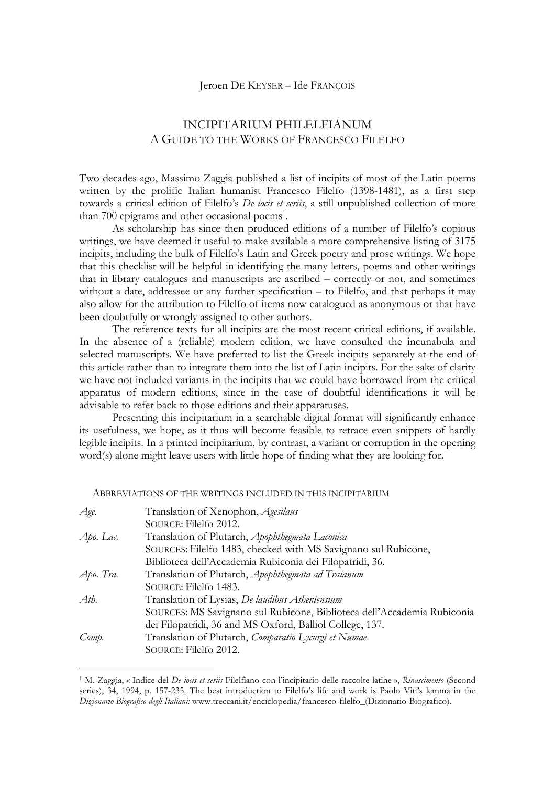## Jeroen DE KEYSER – Ide FRANÇOIS

## INCIPITARIUM PHILELFIANUM A GUIDE TO THE WORKS OF FRANCESCO FILELFO

Two decades ago, Massimo Zaggia published a list of incipits of most of the Latin poems written by the prolific Italian humanist Francesco Filelfo (1398-1481), as a first step towards a critical edition of Filelfo's *De iocis et seriis*, a still unpublished collection of more than 700 epigrams and other occasional poems<sup>1</sup>.

As scholarship has since then produced editions of a number of Filelfo's copious writings, we have deemed it useful to make available a more comprehensive listing of 3175 incipits, including the bulk of Filelfo's Latin and Greek poetry and prose writings. We hope that this checklist will be helpful in identifying the many letters, poems and other writings that in library catalogues and manuscripts are ascribed – correctly or not, and sometimes without a date, addressee or any further specification – to Filelfo, and that perhaps it may also allow for the attribution to Filelfo of items now catalogued as anonymous or that have been doubtfully or wrongly assigned to other authors.

The reference texts for all incipits are the most recent critical editions, if available. In the absence of a (reliable) modern edition, we have consulted the incunabula and selected manuscripts. We have preferred to list the Greek incipits separately at the end of this article rather than to integrate them into the list of Latin incipits. For the sake of clarity we have not included variants in the incipits that we could have borrowed from the critical apparatus of modern editions, since in the case of doubtful identifications it will be advisable to refer back to those editions and their apparatuses.

Presenting this incipitarium in a searchable digital format will significantly enhance its usefulness, we hope, as it thus will become feasible to retrace even snippets of hardly legible incipits. In a printed incipitarium, by contrast, a variant or corruption in the opening word(s) alone might leave users with little hope of finding what they are looking for.

| Age.      | Translation of Xenophon, Agesilaus                                      |
|-----------|-------------------------------------------------------------------------|
|           | SOURCE: Filelfo 2012.                                                   |
| Apo. Lac. | Translation of Plutarch, Apophthegmata Laconica                         |
|           | SOURCES: Filelfo 1483, checked with MS Savignano sul Rubicone,          |
|           | Biblioteca dell'Accademia Rubiconia dei Filopatridi, 36.                |
| Apo. Tra. | Translation of Plutarch, Apophthegmata ad Traianum                      |
|           | SOURCE: Filelfo 1483.                                                   |
| Ath.      | Translation of Lysias, De laudibus Atheniensium                         |
|           | SOURCES: MS Savignano sul Rubicone, Biblioteca dell'Accademia Rubiconia |
|           | dei Filopatridi, 36 and MS Oxford, Balliol College, 137.                |
| Comp.     | Translation of Plutarch, Comparatio Lycurgi et Numae                    |
|           | SOURCE: Filelfo 2012.                                                   |
|           |                                                                         |

ABBREVIATIONS OF THE WRITINGS INCLUDED IN THIS INCIPITARIUM

 

<sup>1</sup> M. Zaggia, « Indice del *De iocis et seriis* Filelfiano con l'incipitario delle raccolte latine », *Rinascimento* (Second series), 34, 1994, p. 157-235. The best introduction to Filelfo's life and work is Paolo Viti's lemma in the *Dizionario Biografico degli Italiani:* www.treccani.it/enciclopedia/francesco-filelfo\_(Dizionario-Biografico).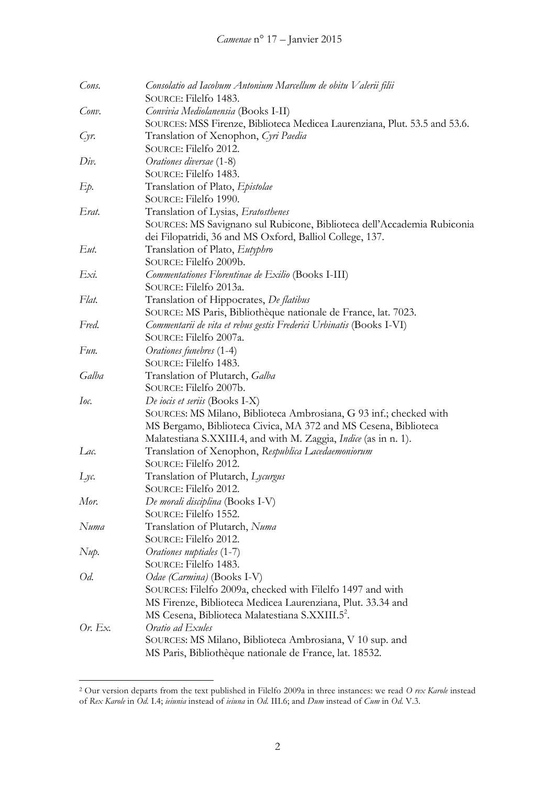| Cons.   | Consolatio ad Iacobum Antonium Marcellum de obitu Valerii filii            |
|---------|----------------------------------------------------------------------------|
|         | SOURCE: Filelfo 1483.                                                      |
| Conv.   | Convivia Mediolanensia (Books I-II)                                        |
|         | SOURCES: MSS Firenze, Biblioteca Medicea Laurenziana, Plut. 53.5 and 53.6. |
| Cyr     | Translation of Xenophon, Cyri Paedia                                       |
|         | SOURCE: Filelfo 2012.                                                      |
| Div.    | Orationes diversae (1-8)                                                   |
|         | SOURCE: Filelfo 1483.                                                      |
| Ep.     | Translation of Plato, Epistolae                                            |
|         | SOURCE: Filelfo 1990.                                                      |
| Erat.   | Translation of Lysias, Eratosthenes                                        |
|         | SOURCES: MS Savignano sul Rubicone, Biblioteca dell'Accademia Rubiconia    |
|         | dei Filopatridi, 36 and MS Oxford, Balliol College, 137.                   |
| Eut.    | Translation of Plato, <i>Eutyphro</i>                                      |
|         | SOURCE: Filelfo 2009b.                                                     |
| Exi.    | Commentationes Florentinae de Exilio (Books I-III)                         |
|         | SOURCE: Filelfo 2013a.                                                     |
| Flat.   | Translation of Hippocrates, De flatibus                                    |
|         | SOURCE: MS Paris, Bibliothèque nationale de France, lat. 7023.             |
| Fred.   | Commentarii de vita et rebus gestis Frederici Urbinatis (Books I-VI)       |
|         | SOURCE: Filelfo 2007a.                                                     |
| Fun.    | Orationes funebres (1-4)                                                   |
|         | SOURCE: Filelfo 1483.                                                      |
| Galba   | Translation of Plutarch, Galba                                             |
|         | SOURCE: Filelfo 2007b.                                                     |
| Ioc.    | De iocis et seriis (Books I-X)                                             |
|         | SOURCES: MS Milano, Biblioteca Ambrosiana, G 93 inf.; checked with         |
|         | MS Bergamo, Biblioteca Civica, MA 372 and MS Cesena, Biblioteca            |
|         | Malatestiana S.XXIII.4, and with M. Zaggia, Indice (as in n. 1).           |
| Lac.    | Translation of Xenophon, Respublica Lacedaemoniorum                        |
|         | SOURCE: Filelfo 2012.                                                      |
| $Lyc$ . | Translation of Plutarch, Lycurgus                                          |
|         | SOURCE: Filelfo 2012.                                                      |
| Mor.    | De morali disciplina (Books I-V)                                           |
|         | SOURCE: Filelfo 1552.                                                      |
| Numa    | Translation of Plutarch, Numa                                              |
|         | SOURCE: Filelfo 2012.                                                      |
| Nup.    | Orationes nuptiales (1-7)                                                  |
|         | SOURCE: Filelfo 1483.                                                      |
| Od.     | Odae (Carmina) (Books I-V)                                                 |
|         | SOURCES: Filelfo 2009a, checked with Filelfo 1497 and with                 |
|         | MS Firenze, Biblioteca Medicea Laurenziana, Plut. 33.34 and                |
|         | MS Cesena, Biblioteca Malatestiana S.XXIII.5 <sup>2</sup> .                |
| Or. Ex. | Oratio ad Exules                                                           |
|         | SOURCES: MS Milano, Biblioteca Ambrosiana, V 10 sup. and                   |
|         | MS Paris, Bibliothèque nationale de France, lat. 18532.                    |

<u> 1989 - Johann Stein, mars et al. 1989 - Anna ann an t-Anna ann an t-Anna ann an t-Anna ann an t-Anna ann an t-</u>

<sup>2</sup> Our version departs from the text published in Filelfo 2009a in three instances: we read *O rex Karole* instead of *Rex Karole* in *Od.* I.4; *ieiunia* instead of *ieiuna* in *Od.* III.6; and *Dum* instead of *Cum* in *Od.* V.3.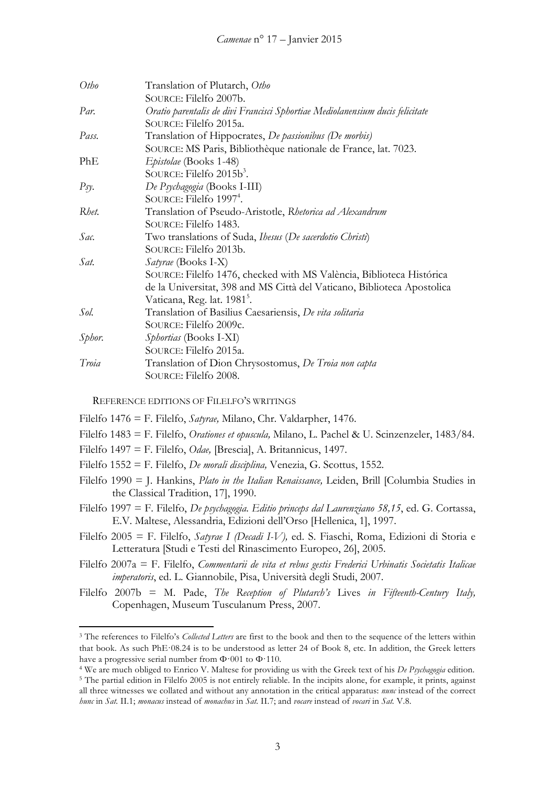| Otho   | Translation of Plutarch, Otho                                                 |
|--------|-------------------------------------------------------------------------------|
|        | SOURCE: Filelfo 2007b.                                                        |
| Par.   | Oratio parentalis de divi Francisci Sphortiae Mediolanensium ducis felicitate |
|        | SOURCE: Filelfo 2015a.                                                        |
| Pass.  | Translation of Hippocrates, De passionibus (De morbis)                        |
|        | SOURCE: MS Paris, Bibliothèque nationale de France, lat. 7023.                |
| PhE    | Epistolae (Books 1-48)                                                        |
|        | SOURCE: Filelfo $2015b^3$ .                                                   |
| Psy.   | De Psychagogia (Books I-III)                                                  |
|        | SOURCE: Filelfo 1997 <sup>4</sup> .                                           |
| Rhet.  | Translation of Pseudo-Aristotle, Rhetorica ad Alexandrum                      |
|        | SOURCE: Filelfo 1483.                                                         |
| Sac.   | Two translations of Suda, <i>Ibesus</i> ( <i>De sacerdotio Christi</i> )      |
|        | SOURCE: Filelfo 2013b.                                                        |
| Sat.   | <i>Satyrae</i> (Books I-X)                                                    |
|        | SOURCE: Filelfo 1476, checked with MS València, Biblioteca Histórica          |
|        | de la Universitat, 398 and MS Città del Vaticano, Biblioteca Apostolica       |
|        | Vaticana, Reg. lat. 1981 <sup>5</sup> .                                       |
| Sol.   | Translation of Basilius Caesariensis, De vita solitaria                       |
|        | SOURCE: Filelfo 2009c.                                                        |
| Sphor. | <i>Sphortias</i> (Books I-XI)                                                 |
|        | SOURCE: Filelfo 2015a.                                                        |
| Troia  | Translation of Dion Chrysostomus, De Troia non capta                          |
|        | SOURCE: Filelfo 2008.                                                         |

REFERENCE EDITIONS OF FILELFO'S WRITINGS

<u> 1989 - Johann Stein, mars et al. 1989 - Anna ann an t-Anna ann an t-Anna ann an t-Anna ann an t-Anna ann an t-</u>

- Filelfo 1476 = F. Filelfo, *Satyrae,* Milano, Chr. Valdarpher, 1476.
- Filelfo 1483 = F. Filelfo, *Orationes et opuscula,* Milano, L. Pachel & U. Scinzenzeler, 1483/84.
- Filelfo 1497 = F. Filelfo, *Odae,* [Brescia], A. Britannicus, 1497.
- Filelfo 1552 = F. Filelfo, *De morali disciplina,* Venezia, G. Scottus, 1552.
- Filelfo 1990 = J. Hankins, *Plato in the Italian Renaissance,* Leiden, Brill [Columbia Studies in the Classical Tradition, 17], 1990.
- Filelfo 1997 = F. Filelfo, *De psychagogia. Editio princeps dal Laurenziano 58,15*, ed. G. Cortassa, E.V. Maltese, Alessandria, Edizioni dell'Orso [Hellenica, 1], 1997.
- Filelfo 2005 = F. Filelfo, *Satyrae I (Decadi I-V),* ed. S. Fiaschi, Roma, Edizioni di Storia e Letteratura [Studi e Testi del Rinascimento Europeo, 26], 2005.
- Filelfo 2007a = F. Filelfo, *Commentarii de vita et rebus gestis Frederici Urbinatis Societatis Italicae imperatoris*, ed. L. Giannobile, Pisa, Università degli Studi, 2007.
- Filelfo 2007b = M. Pade, *The Reception of Plutarch's* Lives *in Fifteenth-Century Italy,* Copenhagen, Museum Tusculanum Press, 2007.

<sup>4</sup> We are much obliged to Enrico V. Maltese for providing us with the Greek text of his *De Psychagogia* edition.

<sup>3</sup> The references to Filelfo's *Collected Letters* are first to the book and then to the sequence of the letters within that book. As such PhE·08.24 is to be understood as letter 24 of Book 8, etc. In addition, the Greek letters have a progressive serial number from Φ·001 to Φ·110.

<sup>5</sup> The partial edition in Filelfo 2005 is not entirely reliable. In the incipits alone, for example, it prints, against all three witnesses we collated and without any annotation in the critical apparatus: *nunc* instead of the correct *hunc* in *Sat.* II.1; *monacus* instead of *monachus* in *Sat.* II.7; and *vocare* instead of *vocari* in *Sat.* V.8.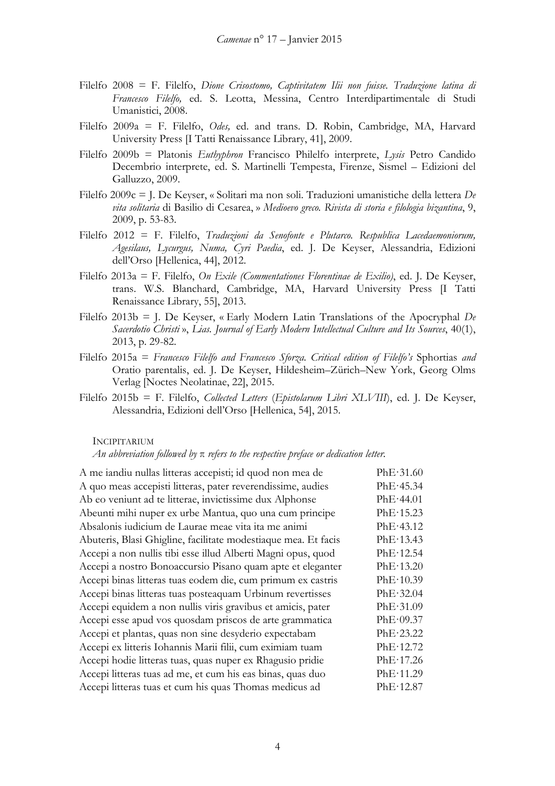- Filelfo 2008 = F. Filelfo, *Dione Crisostomo, Captivitatem Ilii non fuisse. Traduzione latina di Francesco Filelfo,* ed. S. Leotta, Messina, Centro Interdipartimentale di Studi Umanistici, 2008.
- Filelfo 2009a = F. Filelfo, *Odes,* ed. and trans. D. Robin, Cambridge, MA, Harvard University Press [I Tatti Renaissance Library, 41], 2009.
- Filelfo 2009b = Platonis *Euthyphron* Francisco Philelfo interprete, *Lysis* Petro Candido Decembrio interprete, ed. S. Martinelli Tempesta, Firenze, Sismel – Edizioni del Galluzzo, 2009.
- Filelfo 2009c = J. De Keyser, « Solitari ma non soli. Traduzioni umanistiche della lettera *De vita solitaria* di Basilio di Cesarea, » *Medioevo greco. Rivista di storia e filologia bizantina*, 9, 2009, p. 53-83.
- Filelfo 2012 = F. Filelfo, *Traduzioni da Senofonte e Plutarco. Respublica Lacedaemoniorum, Agesilaus, Lycurgus, Numa, Cyri Paedia*, ed. J. De Keyser, Alessandria, Edizioni dell'Orso [Hellenica, 44], 2012.
- Filelfo 2013a = F. Filelfo, *On Exile (Commentationes Florentinae de Exilio)*, ed. J. De Keyser, trans. W.S. Blanchard, Cambridge, MA, Harvard University Press [I Tatti Renaissance Library, 55], 2013.
- Filelfo 2013b = J. De Keyser, « Early Modern Latin Translations of the Apocryphal *De Sacerdotio Christi* », *Lias. Journal of Early Modern Intellectual Culture and Its Sources*, 40(1), 2013, p. 29-82.
- Filelfo 2015a = *Francesco Filelfo and Francesco Sforza. Critical edition of Filelfo's* Sphortias *and*  Oratio parentalis, ed. J. De Keyser, Hildesheim–Zürich–New York, Georg Olms Verlag [Noctes Neolatinae, 22], 2015.
- Filelfo 2015b = F. Filelfo, *Collected Letters* (*Epistolarum Libri XLVIII*), ed. J. De Keyser, Alessandria, Edizioni dell'Orso [Hellenica, 54], 2015.

## INCIPITARIUM

## *An abbreviation followed by* π *refers to the respective preface or dedication letter.*

| A me iandiu nullas litteras accepisti; id quod non mea de      | PhE·31.60 |
|----------------------------------------------------------------|-----------|
| A quo meas accepisti litteras, pater reverendissime, audies    | PhE·45.34 |
| Ab eo veniunt ad te litterae, invictissime dux Alphonse        | PhE·44.01 |
| Abeunti mihi nuper ex urbe Mantua, quo una cum principe        | PhE·15.23 |
| Absalonis iudicium de Laurae meae vita ita me animi            | PhE·43.12 |
| Abuteris, Blasi Ghigline, facilitate modestiaque mea. Et facis | PhE·13.43 |
| Accepi a non nullis tibi esse illud Alberti Magni opus, quod   | PhE·12.54 |
| Accepi a nostro Bonoaccursio Pisano quam apte et eleganter     | PhE·13.20 |
| Accepi binas litteras tuas eodem die, cum primum ex castris    | PhE·10.39 |
| Accepi binas litteras tuas posteaquam Urbinum revertisses      | PhE·32.04 |
| Accepi equidem a non nullis viris gravibus et amicis, pater    | PhE·31.09 |
| Accepi esse apud vos quosdam priscos de arte grammatica        | PhE·09.37 |
| Accepi et plantas, quas non sine desyderio expectabam          | PhE·23.22 |
| Accepi ex litteris Iohannis Marii filii, cum eximiam tuam      | PhE·12.72 |
| Accepi hodie litteras tuas, quas nuper ex Rhagusio pridie      | PhE·17.26 |
| Accepi litteras tuas ad me, et cum his eas binas, quas duo     | PhE·11.29 |
| Accepi litteras tuas et cum his quas Thomas medicus ad         | PhE·12.87 |
|                                                                |           |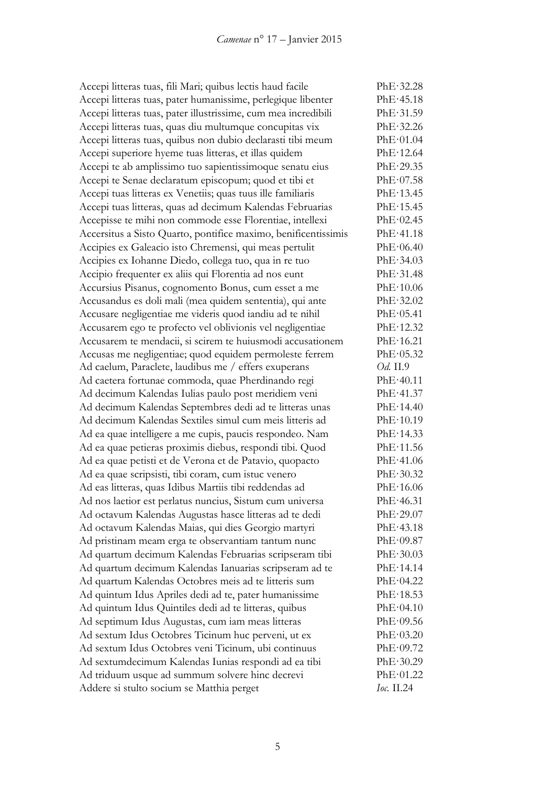Accepi litteras tuas, fili Mari; quibus lectis haud facile PhE·32.28 Accepi litteras tuas, pater humanissime, perlegique libenter PhE·45.18 Accepi litteras tuas, pater illustrissime, cum mea incredibili PhE·31.59 Accepi litteras tuas, quas diu multumque concupitas vix PhE·32.26 Accepi litteras tuas, quibus non dubio declarasti tibi meum PhE·01.04 Accepi superiore hyeme tuas litteras, et illas quidem PhE·12.64 Accepi te ab amplissimo tuo sapientissimoque senatu eius PhE·29.35 Accepi te Senae declaratum episcopum; quod et tibi et PhE·07.58 Accepi tuas litteras ex Venetiis; quas tuus ille familiaris PhE·13.45 Accepi tuas litteras, quas ad decimum Kalendas Februarias PhE·15.45 Accepisse te mihi non commode esse Florentiae, intellexi PhE·02.45 Accersitus a Sisto Quarto, pontifice maximo, benificentissimis PhE·41.18 Accipies ex Galeacio isto Chremensi, qui meas pertulit PhE·06.40 Accipies ex Iohanne Diedo, collega tuo, qua in re tuo PhE·34.03 Accipio frequenter ex aliis qui Florentia ad nos eunt PhE·31.48 Accursius Pisanus, cognomento Bonus, cum esset a me PhE·10.06 Accusandus es doli mali (mea quidem sententia), qui ante PhE·32.02 Accusare negligentiae me videris quod iandiu ad te nihil PhE·05.41 Accusarem ego te profecto vel oblivionis vel negligentiae PhE·12.32 Accusarem te mendacii, si scirem te huiusmodi accusationem PhE·16.21 Accusas me negligentiae; quod equidem permoleste ferrem PhE·05.32 Ad caelum, Paraclete, laudibus me / effers exuperans *Od.* II.9 Ad caetera fortunae commoda, quae Pherdinando regi PhE·40.11 Ad decimum Kalendas Iulias paulo post meridiem veni PhE·41.37 Ad decimum Kalendas Septembres dedi ad te litteras unas PhE·14.40 Ad decimum Kalendas Sextiles simul cum meis litteris ad PhE·10.19 Ad ea quae intelligere a me cupis, paucis respondeo. Nam PhE·14.33 Ad ea quae petieras proximis diebus, respondi tibi. Quod PhE·11.56 Ad ea quae petisti et de Verona et de Patavio, quopacto PhE·41.06 Ad ea quae scripsisti, tibi coram, cum istuc venero PhE·30.32 Ad eas litteras, quas Idibus Martiis tibi reddendas ad PhE·16.06 Ad nos laetior est perlatus nuncius, Sistum cum universa PhE·46.31 Ad octavum Kalendas Augustas hasce litteras ad te dedi PhE·29.07 Ad octavum Kalendas Maias, qui dies Georgio martyri PhE·43.18 Ad pristinam meam erga te observantiam tantum nunc PhE·09.87 Ad quartum decimum Kalendas Februarias scripseram tibi PhE·30.03 Ad quartum decimum Kalendas Ianuarias scripseram ad te PhE·14.14 Ad quartum Kalendas Octobres meis ad te litteris sum PhE·04.22 Ad quintum Idus Apriles dedi ad te, pater humanissime PhE·18.53 Ad quintum Idus Quintiles dedi ad te litteras, quibus PhE·04.10 Ad septimum Idus Augustas, cum iam meas litteras PhE·09.56 Ad sextum Idus Octobres Ticinum huc perveni, ut ex PhE·03.20 Ad sextum Idus Octobres veni Ticinum, ubi continuus PhE·09.72 Ad sextumdecimum Kalendas Iunias respondi ad ea tibi PhE·30.29 Ad triduum usque ad summum solvere hinc decrevi PhE·01.22 Addere si stulto socium se Matthia perget *Ioc.* II.24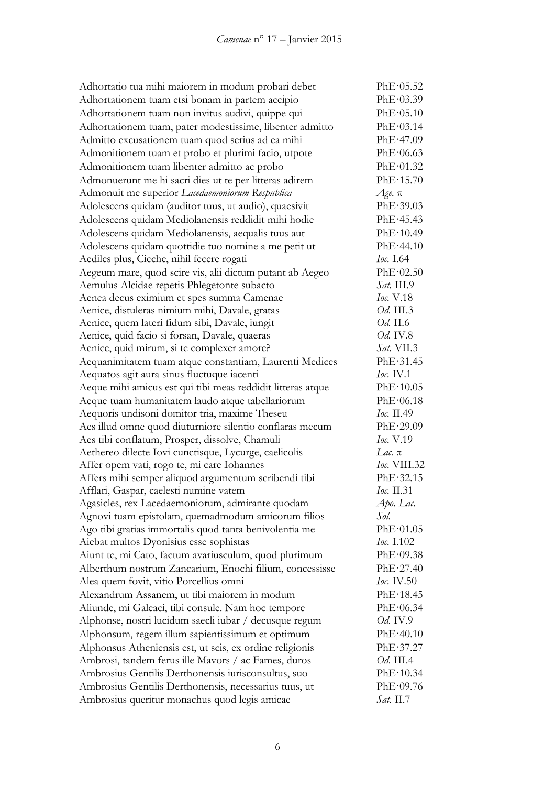| Adhortatio tua mihi maiorem in modum probari debet                                               | PhE·05.52         |
|--------------------------------------------------------------------------------------------------|-------------------|
| Adhortationem tuam etsi bonam in partem accipio                                                  | PhE·03.39         |
| Adhortationem tuam non invitus audivi, quippe qui                                                | PhE·05.10         |
| Adhortationem tuam, pater modestissime, libenter admitto                                         | PhE·03.14         |
| Admitto excusationem tuam quod serius ad ea mihi                                                 | PhE·47.09         |
| Admonitionem tuam et probo et plurimi facio, utpote                                              | PhE·06.63         |
| Admonitionem tuam libenter admitto ac probo                                                      | PhE·01.32         |
| Admonuerunt me hi sacri dies ut te per litteras adirem                                           | PhE·15.70         |
| Admonuit me superior Lacedaemoniorum Respublica                                                  | $A$ ge. $\pi$     |
| Adolescens quidam (auditor tuus, ut audio), quaesivit                                            | PhE·39.03         |
| Adolescens quidam Mediolanensis reddidit mihi hodie                                              | PhE·45.43         |
| Adolescens quidam Mediolanensis, aequalis tuus aut                                               | PhE·10.49         |
| Adolescens quidam quottidie tuo nomine a me petit ut                                             | PhE·44.10         |
| Aediles plus, Cicche, nihil fecere rogati                                                        | <i>Ioc.</i> I.64  |
| Aegeum mare, quod scire vis, alii dictum putant ab Aegeo                                         | PhE·02.50         |
| Aemulus Alcidae repetis Phlegetonte subacto                                                      | Sat. III.9        |
| Aenea decus eximium et spes summa Camenae                                                        | <i>Ioc.</i> V.18  |
| Aenice, distuleras nimium mihi, Davale, gratas                                                   | Od. III.3         |
| Aenice, quem lateri fidum sibi, Davale, iungit                                                   | <i>Od.</i> II.6   |
| Aenice, quid facio si forsan, Davale, quaeras                                                    | <i>Od.</i> IV.8   |
| Aenice, quid mirum, si te complexer amore?                                                       | Sat. VII.3        |
| Aequanimitatem tuam atque constantiam, Laurenti Medices                                          | PhE·31.45         |
| Aequatos agit aura sinus fluctuque iacenti                                                       | Ioc. IV.1         |
| Aeque mihi amicus est qui tibi meas reddidit litteras atque                                      | PhE·10.05         |
| Aeque tuam humanitatem laudo atque tabellariorum                                                 | PhE·06.18         |
| Aequoris undisoni domitor tria, maxime Theseu                                                    | Ioc. II.49        |
| Aes illud omne quod diuturniore silentio conflaras mecum                                         | PhE.29.09         |
| Aes tibi conflatum, Prosper, dissolve, Chamuli                                                   | Ioc. V.19         |
| Aethereo dilecte Iovi cunctisque, Lycurge, caelicolis                                            | Lac. π            |
| Affer opem vati, rogo te, mi care Iohannes                                                       | Ioc. VIII.32      |
|                                                                                                  | PhE·32.15         |
| Affers mihi semper aliquod argumentum scribendi tibi<br>Afflari, Gaspar, caelesti numine vatem   | Іос. II.31        |
| Agasicles, rex Lacedaemoniorum, admirante quodam                                                 | Apo. Lac.         |
| Agnovi tuam epistolam, quemadmodum amicorum filios                                               | Sol.              |
|                                                                                                  | PhE·01.05         |
| Ago tibi gratias immortalis quod tanta benivolentia me<br>Aiebat multos Dyonisius esse sophistas | Ioc. 1.102        |
| Aiunt te, mi Cato, factum avariusculum, quod plurimum                                            | PhE·09.38         |
|                                                                                                  |                   |
| Alberthum nostrum Zancarium, Enochi filium, concessisse                                          | PhE·27.40         |
| Alea quem fovit, vitio Porcellius omni                                                           | <i>Ioc.</i> IV.50 |
| Alexandrum Assanem, ut tibi maiorem in modum                                                     | PhE·18.45         |
| Aliunde, mi Galeaci, tibi consule. Nam hoc tempore                                               | PhE·06.34         |
| Alphonse, nostri lucidum saecli iubar / decusque regum                                           | Od. IV.9          |
| Alphonsum, regem illum sapientissimum et optimum                                                 | PhE·40.10         |
| Alphonsus Atheniensis est, ut scis, ex ordine religionis                                         | PhE·37.27         |
| Ambrosi, tandem ferus ille Mavors / ac Fames, duros                                              | Od. III.4         |
| Ambrosius Gentilis Derthonensis iurisconsultus, suo                                              | PhE·10.34         |
| Ambrosius Gentilis Derthonensis, necessarius tuus, ut                                            | PhE·09.76         |
| Ambrosius queritur monachus quod legis amicae                                                    | <i>Sat.</i> II.7  |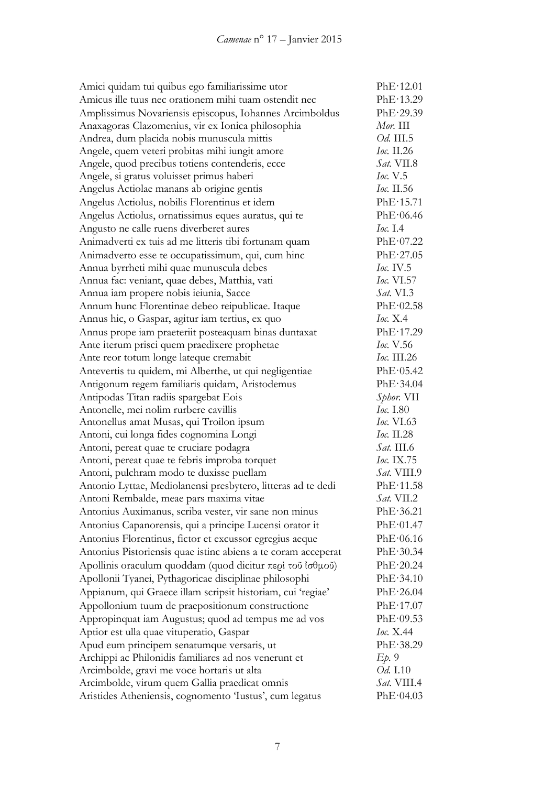| Amici quidam tui quibus ego familiarissime utor               | PhE·12.01          |
|---------------------------------------------------------------|--------------------|
| Amicus ille tuus nec orationem mihi tuam ostendit nec         | PhE·13.29          |
| Amplissimus Novariensis episcopus, Iohannes Arcimboldus       | PhE·29.39          |
| Anaxagoras Clazomenius, vir ex Ionica philosophia             | $Mor.$ III         |
| Andrea, dum placida nobis munuscula mittis                    | Od. III.5          |
| Angele, quem veteri probitas mihi iungit amore                | $loc.$ II.26       |
| Angele, quod precibus totiens contenderis, ecce               | Sat. VII.8         |
| Angele, si gratus voluisset primus haberi                     | loc. V.5           |
| Angelus Actiolae manans ab origine gentis                     | <i>Ioc.</i> II.56  |
| Angelus Actiolus, nobilis Florentinus et idem                 | PhE·15.71          |
| Angelus Actiolus, ornatissimus eques auratus, qui te          | PhE·06.46          |
| Angusto ne calle ruens diverberet aures                       | $Ioc.$ I.4         |
| Animadverti ex tuis ad me litteris tibi fortunam quam         | PhE·07.22          |
| Animadverto esse te occupatissimum, qui, cum hinc             | PhE·27.05          |
| Annua byrrheti mihi quae munuscula debes                      | Ioc. IV.5          |
| Annua fac: veniant, quae debes, Matthia, vati                 | <i>Ioc.</i> VI.57  |
| Annua iam propere nobis ieiunia, Sacce                        | Sat. VI.3          |
| Annum hunc Florentinae debeo reipublicae. Itaque              | PhE·02.58          |
| Annus hic, o Gaspar, agitur iam tertius, ex quo               | Ioc. X.4           |
| Annus prope iam praeteriit posteaquam binas duntaxat          | PhE·17.29          |
| Ante iterum prisci quem praedixere prophetae                  | <i>Ioc.</i> V.56   |
| Ante reor totum longe lateque cremabit                        | <i>Ioc.</i> III.26 |
| Antevertis tu quidem, mi Alberthe, ut qui negligentiae        | PhE·05.42          |
| Antigonum regem familiaris quidam, Aristodemus                | PhE·34.04          |
| Antipodas Titan radiis spargebat Eois                         | Sphor. VII         |
| Antonelle, mei nolim rurbere cavillis                         | Ioc. 1.80          |
| Antonellus amat Musas, qui Troilon ipsum                      | <i>Ioc.</i> VI.63  |
| Antoni, cui longa fides cognomina Longi                       | Ioc. $II.28$       |
| Antoni, pereat quae te cruciare podagra                       | $Sat.$ III.6       |
| Antoni, pereat quae te febris improba torquet                 | <i>Ioc.</i> IX.75  |
| Antoni, pulchram modo te duxisse puellam                      | <i>Sat.</i> VIII.9 |
| Antonio Lyttae, Mediolanensi presbytero, litteras ad te dedi  | PhE·11.58          |
| Antoni Rembalde, meae pars maxima vitae                       | Sat. VII.2         |
| Antonius Auximanus, scriba vester, vir sane non minus         | PhE·36.21          |
| Antonius Capanorensis, qui a principe Lucensi orator it       | PhE·01.47          |
| Antonius Florentinus, fictor et excussor egregius aeque       | PhE·06.16          |
| Antonius Pistoriensis quae istinc abiens a te coram acceperat | PhE·30.34          |
| Apollinis oraculum quoddam (quod dicitur περί τοῦ ἰσθμοῦ)     | PhE·20.24          |
| Apollonii Tyanei, Pythagoricae disciplinae philosophi         | PhE·34.10          |
| Appianum, qui Graece illam scripsit historiam, cui 'regiae'   | PhE·26.04          |
| Appollonium tuum de praepositionum constructione              | PhE·17.07          |
| Appropinquat iam Augustus; quod ad tempus me ad vos           | PhE·09.53          |
| Aptior est ulla quae vituperatio, Gaspar                      | <i>Ioc.</i> X.44   |
| Apud eum principem senatumque versaris, ut                    | PhE·38.29          |
| Archippi ac Philonidis familiares ad nos venerunt et          | Ep.9               |
| Arcimbolde, gravi me voce hortaris ut alta                    | Od. I.10           |
| Arcimbolde, virum quem Gallia praedicat omnis                 | Sat. VIII.4        |
| Aristides Atheniensis, cognomento 'Iustus', cum legatus       | PhE·04.03          |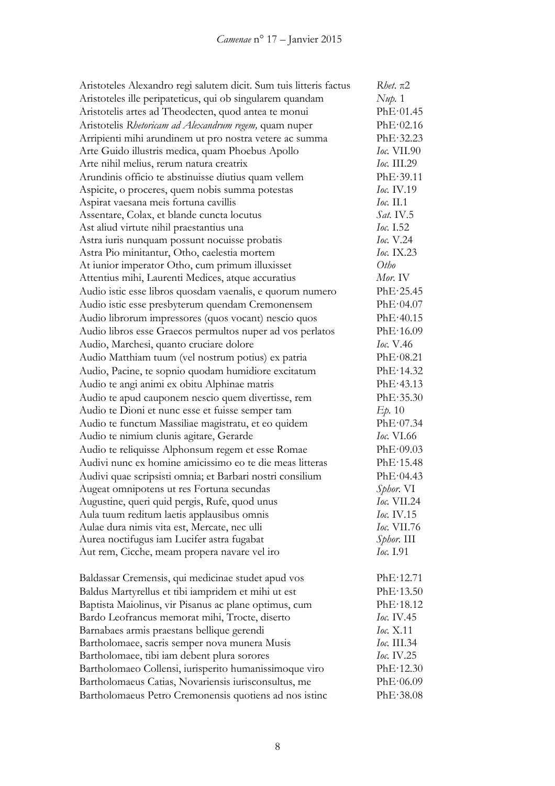| Aristoteles Alexandro regi salutem dicit. Sum tuis litteris factus | $R$ <i>het</i> . $\pi$ 2         |
|--------------------------------------------------------------------|----------------------------------|
| Aristoteles ille peripateticus, qui ob singularem quandam          | Nup. 1                           |
| Aristotelis artes ad Theodecten, quod antea te monui               | PhE·01.45                        |
| Aristotelis Rhetoricam ad Alexandrum regem, quam nuper             | PhE·02.16                        |
| Arripienti mihi arundinem ut pro nostra vetere ac summa            | PhE.32.23                        |
| Arte Guido illustris medica, quam Phoebus Apollo                   | <i>Ioc.</i> VII.90               |
| Arte nihil melius, rerum natura creatrix                           | <i>Ioc.</i> III.29               |
| Arundinis officio te abstinuisse diutius quam vellem               | PhE.39.11                        |
| Aspicite, o proceres, quem nobis summa potestas                    | Ioc. IV.19                       |
| Aspirat vaesana meis fortuna cavillis                              | $loc.$ II.1                      |
| Assentare, Colax, et blande cuncta locutus                         | <i>Sat.</i> IV.5                 |
| Ast aliud virtute nihil praestantius una                           | <i>Ioc.</i> I.52                 |
| Astra iuris nunquam possunt nocuisse probatis                      | <i>Ioc.</i> V.24                 |
| Astra Pio minitantur, Otho, caelestia mortem                       | Ioc. IX.23                       |
| At iunior imperator Otho, cum primum illuxisset                    | Otho                             |
| Attentius mihi, Laurenti Medices, atque accuratius                 | Mor. IV                          |
| Audio istic esse libros quosdam vaenalis, e quorum numero          | PhE·25.45                        |
| Audio istic esse presbyterum quendam Cremonensem                   | PhE·04.07                        |
| Audio librorum impressores (quos vocant) nescio quos               | PhE·40.15                        |
| Audio libros esse Graecos permultos nuper ad vos perlatos          | PhE·16.09                        |
| Audio, Marchesi, quanto cruciare dolore                            | Ioc. V.46                        |
| Audio Matthiam tuum (vel nostrum potius) ex patria                 | PhE·08.21                        |
| Audio, Pacine, te sopnio quodam humidiore excitatum                | PhE·14.32                        |
| Audio te angi animi ex obitu Alphinae matris                       | PhE·43.13                        |
| Audio te apud cauponem nescio quem divertisse, rem                 | PhE·35.30                        |
|                                                                    |                                  |
| Audio te Dioni et nunc esse et fuisse semper tam                   | $E_{\text{D}}$ , 10<br>PhE·07.34 |
| Audio te functum Massiliae magistratu, et eo quidem                | <i>Ioc.</i> VI.66                |
| Audio te nimium clunis agitare, Gerarde                            |                                  |
| Audio te reliquisse Alphonsum regem et esse Romae                  | PhE·09.03                        |
| Audivi nunc ex homine amicissimo eo te die meas litteras           | PhE·15.48                        |
| Audivi quae scripsisti omnia; et Barbari nostri consilium          | PhE·04.43                        |
| Augeat omnipotens ut res Fortuna secundas                          | Sphor. VI                        |
| Augustine, queri quid pergis, Rufe, quod unus                      | <i>Ioc.</i> VII.24               |
| Aula tuum reditum laetis applausibus omnis                         | <i>Ioc.</i> IV.15                |
| Aulae dura nimis vita est, Mercate, nec ulli                       | <i>Ioc.</i> VII.76               |
| Aurea noctifugus iam Lucifer astra fugabat                         | Sphor. III                       |
| Aut rem, Cicche, meam propera navare vel iro                       | Ioc. I.91                        |
| Baldassar Cremensis, qui medicinae studet apud vos                 | PhE·12.71                        |
| Baldus Martyrellus et tibi iampridem et mihi ut est                | PhE·13.50                        |
| Baptista Maiolinus, vir Pisanus ac plane optimus, cum              | PhE·18.12                        |
| Bardo Leofrancus memorat mihi, Trocte, diserto                     | <i>Ioc.</i> IV.45                |
| Barnabaes armis praestans bellique gerendi                         | <i>Ioc.</i> X.11                 |
| Bartholomaee, sacris semper nova munera Musis                      | <i>Ioc.</i> III.34               |
| Bartholomaee, tibi iam debent plura sorores                        | <i>Ioc.</i> IV.25                |
| Bartholomaeo Collensi, iurisperito humanissimoque viro             | PhE·12.30                        |
| Bartholomaeus Catias, Novariensis iurisconsultus, me               | PhE·06.09                        |
| Bartholomaeus Petro Cremonensis quotiens ad nos istinc             | PhE·38.08                        |
|                                                                    |                                  |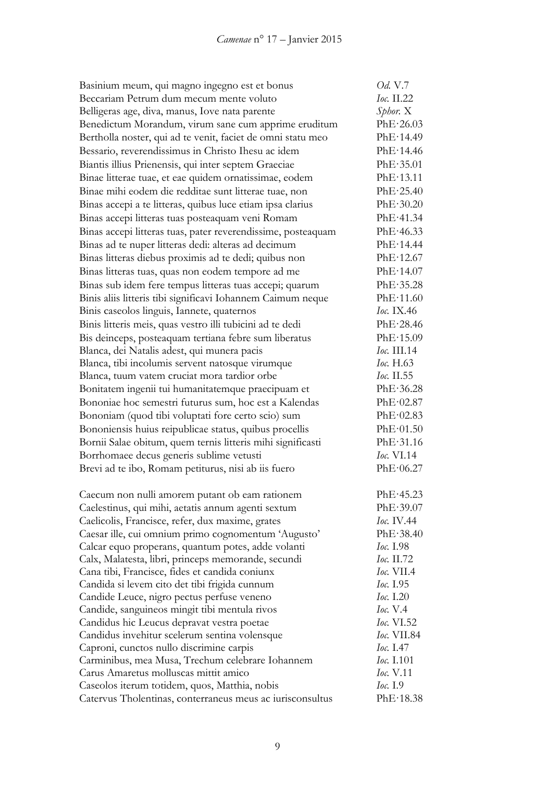| Basinium meum, qui magno ingegno est et bonus                | Od. V.7           |
|--------------------------------------------------------------|-------------------|
| Beccariam Petrum dum mecum mente voluto                      | Ioc. II.22        |
| Belligeras age, diva, manus, Iove nata parente               | Sphor. X          |
| Benedictum Morandum, virum sane cum apprime eruditum         | PhE·26.03         |
| Bertholla noster, qui ad te venit, faciet de omni statu meo  | PhE·14.49         |
| Bessario, reverendissimus in Christo Ihesu ac idem           | PhE·14.46         |
| Biantis illius Prienensis, qui inter septem Graeciae         | PhE.35.01         |
| Binae litterae tuae, et eae quidem ornatissimae, eodem       | PhE·13.11         |
| Binae mihi eodem die redditae sunt litterae tuae, non        | PhE·25.40         |
| Binas accepi a te litteras, quibus luce etiam ipsa clarius   | PhE·30.20         |
| Binas accepi litteras tuas posteaquam veni Romam             | PhE·41.34         |
| Binas accepi litteras tuas, pater reverendissime, posteaquam | PhE·46.33         |
| Binas ad te nuper litteras dedi: alteras ad decimum          | PhE·14.44         |
| Binas litteras diebus proximis ad te dedi; quibus non        | PhE·12.67         |
| Binas litteras tuas, quas non eodem tempore ad me            | PhE·14.07         |
| Binas sub idem fere tempus litteras tuas accepi; quarum      | PhE·35.28         |
| Binis aliis litteris tibi significavi Iohannem Caimum neque  | PhE·11.60         |
| Binis caseolos linguis, Iannete, quaternos                   | <i>Ioc.</i> IX.46 |
| Binis litteris meis, quas vestro illi tubicini ad te dedi    | PhE·28.46         |
| Bis deinceps, posteaquam tertiana febre sum liberatus        | PhE·15.09         |
| Blanca, dei Natalis adest, qui munera pacis                  | Ioc. III.14       |
| Blanca, tibi incolumis servent natosque virumque             | Ioc. $H.63$       |
| Blanca, tuum vatem cruciat mora tardior orbe                 | <i>Ioc.</i> II.55 |
| Bonitatem ingenii tui humanitatemque praecipuam et           | PhE·36.28         |
| Bononiae hoc semestri futurus sum, hoc est a Kalendas        | PhE·02.87         |
| Bononiam (quod tibi voluptati fore certo scio) sum           | PhE·02.83         |
| Bononiensis huius reipublicae status, quibus procellis       | PhE·01.50         |
| Bornii Salae obitum, quem ternis litteris mihi significasti  | PhE·31.16         |
| Borrhomaee decus generis sublime vetusti                     | <i>Ioc.</i> VI.14 |
| Brevi ad te ibo, Romam petiturus, nisi ab iis fuero          | PhE·06.27         |
| Caecum non nulli amorem putant ob eam rationem               | PhE-45.23         |
| Caelestinus, qui mihi, aetatis annum agenti sextum           | PhE.39.07         |
| Caelicolis, Francisce, refer, dux maxime, grates             | <i>Ioc.</i> IV.44 |
| Caesar ille, cui omnium primo cognomentum 'Augusto'          | PhE·38.40         |
| Calcar equo properans, quantum potes, adde volanti           | Ioc. 1.98         |
| Calx, Malatesta, libri, princeps memorande, secundi          | Ioc. II.72        |
| Cana tibi, Francisce, fides et candida coniunx               | <b>Ioc.</b> VII.4 |
| Candida si levem cito det tibi frigida cunnum                | Ioc. 1.95         |
| Candide Leuce, nigro pectus perfuse veneno                   | Ioc. 1.20         |
| Candide, sanguineos mingit tibi mentula rivos                | <i>Ioc.</i> V.4   |
| Candidus hic Leucus depravat vestra poetae                   | Ioc. VI.52        |
| Candidus invehitur scelerum sentina volensque                | Ioc. VII.84       |
| Caproni, cunctos nullo discrimine carpis                     | <i>Ioc.</i> I.47  |
| Carminibus, mea Musa, Trechum celebrare Iohannem             | Ioc. I.101        |
| Carus Amaretus molluscas mittit amico                        | Ioc. V.11         |
| Caseolos iterum totidem, quos, Matthia, nobis                | <i>Ioc.</i> I.9   |
| Catervus Tholentinas, conterraneus meus ac iurisconsultus    | PhE·18.38         |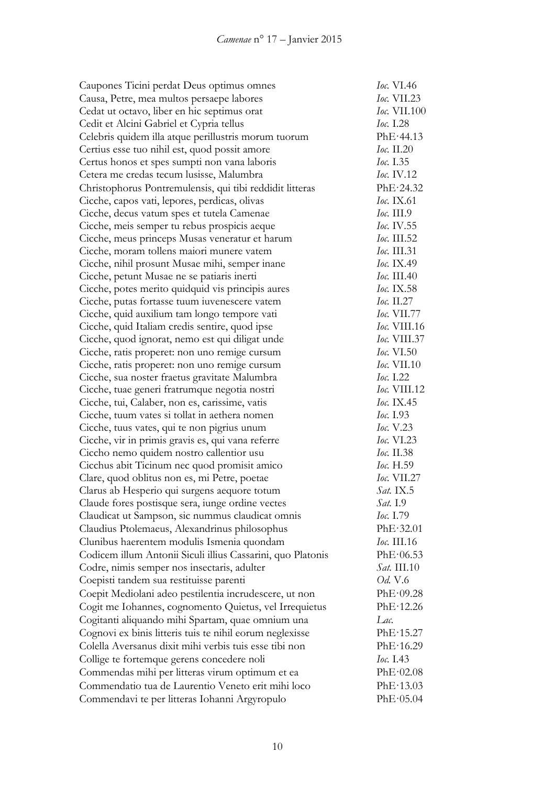| Caupones Ticini perdat Deus optimus omnes                   | <i>Ioc.</i> VI.46   |
|-------------------------------------------------------------|---------------------|
| Causa, Petre, mea multos persaepe labores                   | $loc.$ VII.23       |
| Cedat ut octavo, liber en hic septimus orat                 | <i>Ioc.</i> VII.100 |
| Cedit et Alcini Gabriel et Cypria tellus                    | <i>Ioc.</i> I.28    |
| Celebris quidem illa atque perillustris morum tuorum        | PhE·44.13           |
| Certius esse tuo nihil est, quod possit amore               | Ioc. II.20          |
| Certus honos et spes sumpti non vana laboris                | Ioc. 1.35           |
| Cetera me credas tecum lusisse, Malumbra                    | Ioc. IV.12          |
| Christophorus Pontremulensis, qui tibi reddidit litteras    | PhE·24.32           |
| Cicche, capos vati, lepores, perdicas, olivas               | <i>Ioc.</i> IX.61   |
| Cicche, decus vatum spes et tutela Camenae                  | $loc.$ III.9        |
| Cicche, meis semper tu rebus prospicis aeque                | Ioc. IV.55          |
| Cicche, meus princeps Musas veneratur et harum              | Ioc. III.52         |
| Cicche, moram tollens maiori munere vatem                   | Ioc. III.31         |
| Cicche, nihil prosunt Musae mihi, semper inane              | Ioc. IX.49          |
| Cicche, petunt Musae ne se patiaris inerti                  | Ioc. III.40         |
| Cicche, potes merito quidquid vis principis aures           | Ioc. IX.58          |
| Cicche, putas fortasse tuum iuvenescere vatem               | Ioc. $II.27$        |
| Cicche, quid auxilium tam longo tempore vati                | <i>Ioc.</i> VII.77  |
| Cicche, quid Italiam credis sentire, quod ipse              | Ioc. VIII.16        |
| Cicche, quod ignorat, nemo est qui diligat unde             | <i>Ioc.</i> VIII.37 |
| Cicche, ratis properet: non uno remige cursum               | <i>Ioc.</i> VI.50   |
| Cicche, ratis properet: non uno remige cursum               | <i>Ioc.</i> VII.10  |
| Cicche, sua noster fraetus gravitate Malumbra               | Ioc. 1.22           |
| Cicche, tuae generi fratrumque negotia nostri               | Ioc. VIII.12        |
| Cicche, tui, Calaber, non es, carissime, vatis              | Ioc. IX.45          |
| Cicche, tuum vates si tollat in aethera nomen               | Ioc. 1.93           |
| Cicche, tuus vates, qui te non pigrius unum                 | Ioc. V.23           |
| Cicche, vir in primis gravis es, qui vana referre           | Ioc. VI.23          |
| Ciccho nemo quidem nostro callentior usu                    | <i>Ioc.</i> II.38   |
| Cicchus abit Ticinum nec quod promisit amico                | Ioc. H.59           |
| Clare, quod oblitus non es, mi Petre, poetae                | Ioc. VII.27         |
| Clarus ab Hesperio qui surgens aequore totum                | Sat. IX.5           |
| Claude fores postisque sera, iunge ordine vectes            | Sat. 1.9            |
| Claudicat ut Sampson, sic nummus claudicat omnis            | Ioc. 1.79           |
| Claudius Ptolemaeus, Alexandrinus philosophus               | PhE·32.01           |
| Clunibus haerentem modulis Ismenia quondam                  | <i>Ioc.</i> III.16  |
| Codicem illum Antonii Siculi illius Cassarini, quo Platonis | PhE·06.53           |
| Codre, nimis semper nos insectaris, adulter                 | <i>Sat.</i> III.10  |
| Coepisti tandem sua restituisse parenti                     | <i>Od.</i> V.6      |
| Coepit Mediolani adeo pestilentia incrudescere, ut non      | PhE·09.28           |
| Cogit me Iohannes, cognomento Quietus, vel Irrequietus      | PhE·12.26           |
| Cogitanti aliquando mihi Spartam, quae omnium una           | Lac.                |
| Cognovi ex binis litteris tuis te nihil eorum neglexisse    | PhE·15.27           |
| Colella Aversanus dixit mihi verbis tuis esse tibi non      | PhE·16.29           |
| Collige te fortemque gerens concedere noli                  | Ioc. 1.43           |
| Commendas mihi per litteras virum optimum et ea             | PhE·02.08           |
| Commendatio tua de Laurentio Veneto erit mihi loco          | PhE·13.03           |
| Commendavi te per litteras Iohanni Argyropulo               | PhE·05.04           |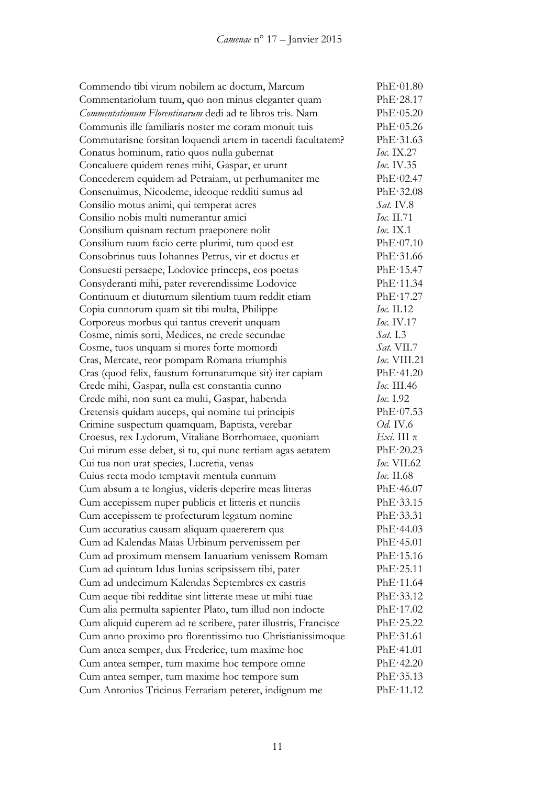Commendo tibi virum nobilem ac doctum, Marcum PhE·01.80 Commentariolum tuum, quo non minus eleganter quam PhE·28.17 *Commentationum Florentinarum* dedi ad te libros tris. Nam PhE·05.20 Communis ille familiaris noster me coram monuit tuis PhE·05.26 Commutarisne forsitan loquendi artem in tacendi facultatem? PhE·31.63 Conatus hominum, ratio quos nulla gubernat *Ioc.* IX.27 Concaluere quidem renes mihi, Gaspar, et urunt *Ioc.* IV.35 Concederem equidem ad Petraiam, ut perhumaniter me PhE·02.47 Consenuimus, Nicodeme, ideoque redditi sumus ad PhE·32.08 Consilio motus animi, qui temperat acres *Sat.* IV.8 Consilio nobis multi numerantur amici *Ioc.* II.71 Consilium quisnam rectum praeponere nolit *Ioc.* IX.1 Consilium tuum facio certe plurimi, tum quod est PhE·07.10 Consobrinus tuus Iohannes Petrus, vir et doctus et PhE·31.66 Consuesti persaepe, Lodovice princeps, eos poetas PhE·15.47 Consyderanti mihi, pater reverendissime Lodovice PhE·11.34 Continuum et diuturnum silentium tuum reddit etiam PhE·17.27 Copia cunnorum quam sit tibi multa, Philippe *Ioc.* II.12 Corporeus morbus qui tantus creverit unquam *Ioc.* IV.17 Cosme, nimis sorti, Medices, ne crede secundae *Sat.* I.3 Cosme, tuos unquam si mores forte momordi *Sat.* VII.7 Cras, Mercate, reor pompam Romana triumphis *Ioc.* VIII.21 Cras (quod felix, faustum fortunatumque sit) iter capiam PhE·41.20 Crede mihi, Gaspar, nulla est constantia cunno *Ioc.* III.46 Crede mihi, non sunt ea multi, Gaspar, habenda *Ioc.* I.92 Cretensis quidam auceps, qui nomine tui principis PhE·07.53 Crimine suspectum quamquam, Baptista, verebar *Od.* IV.6 Croesus, rex Lydorum, Vitaliane Borrhomaee, quoniam *Exi.* III π Cui mirum esse debet, si tu, qui nunc tertiam agas aetatem PhE·20.23 Cui tua non urat species, Lucretia, venas *Ioc.* VII.62 Cuius recta modo temptavit mentula cunnum *Ioc.* II.68 Cum absum a te longius, videris deperire meas litteras PhE·46.07 Cum accepissem nuper publicis et litteris et nunciis PhE·33.15 Cum accepissem te profecturum legatum nomine PhE·33.31 Cum accuratius causam aliquam quaererem qua PhE·44.03 Cum ad Kalendas Maias Urbinum pervenissem per PhE·45.01 Cum ad proximum mensem Ianuarium venissem Romam PhE·15.16 Cum ad quintum Idus Iunias scripsissem tibi, pater PhE·25.11 Cum ad undecimum Kalendas Septembres ex castris PhE·11.64 Cum aeque tibi redditae sint litterae meae ut mihi tuae PhE·33.12 Cum alia permulta sapienter Plato, tum illud non indocte PhE·17.02 Cum aliquid cuperem ad te scribere, pater illustris, Francisce PhE·25.22 Cum anno proximo pro florentissimo tuo Christianissimoque PhE·31.61 Cum antea semper, dux Frederice, tum maxime hoc PhE·41.01 Cum antea semper, tum maxime hoc tempore omne PhE·42.20 Cum antea semper, tum maxime hoc tempore sum PhE·35.13 Cum Antonius Tricinus Ferrariam peteret, indignum me PhE·11.12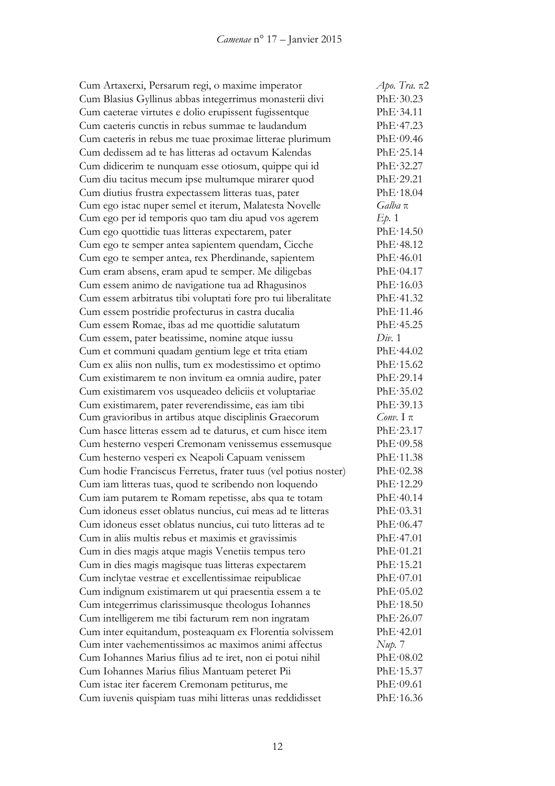Cum Artaxerxi, Persarum regi, o maxime imperator *Apo. Tra.* π2 Cum Blasius Gyllinus abbas integerrimus monasterii divi PhE·30.23 Cum caeterae virtutes e dolio erupissent fugissentque PhE·34.11 Cum caeteris cunctis in rebus summae te laudandum PhE·47.23 Cum caeteris in rebus me tuae proximae litterae plurimum PhE·09.46 Cum dedissem ad te has litteras ad octavum Kalendas PhE·25.14 Cum didicerim te nunquam esse otiosum, quippe qui id PhE·32.27 Cum diu tacitus mecum ipse multumque mirarer quod PhE·29.21 Cum diutius frustra expectassem litteras tuas, pater PhE·18.04 Cum ego istac nuper semel et iterum, Malatesta Novelle *Galba* π Cum ego per id temporis quo tam diu apud vos agerem *Ep.* 1 Cum ego quottidie tuas litteras expectarem, pater PhE·14.50 Cum ego te semper antea sapientem quendam, Cicche PhE·48.12 Cum ego te semper antea, rex Pherdinande, sapientem PhE·46.01 Cum eram absens, eram apud te semper. Me diligebas PhE·04.17 Cum essem animo de navigatione tua ad Rhagusinos PhE·16.03 Cum essem arbitratus tibi voluptati fore pro tui liberalitate PhE·41.32 Cum essem postridie profecturus in castra ducalia PhE·11.46 Cum essem Romae, ibas ad me quottidie salutatum PhE·45.25 Cum essem, pater beatissime, nomine atque iussu *Div.* 1 Cum et communi quadam gentium lege et trita etiam PhE·44.02 Cum ex aliis non nullis, tum ex modestissimo et optimo PhE·15.62 Cum existimarem te non invitum ea omnia audire, pater PhE·29.14 Cum existimarem vos usqueadeo deliciis et voluptariae PhE·35.02 Cum existimarem, pater reverendissime, eas iam tibi PhE·39.13 Cum gravioribus in artibus atque disciplinis Graecorum *Conv.* I π Cum hasce litteras essem ad te daturus, et cum hisce item PhE·23.17 Cum hesterno vesperi Cremonam venissemus essemusque PhE·09.58 Cum hesterno vesperi ex Neapoli Capuam venissem PhE·11.38 Cum hodie Franciscus Ferretus, frater tuus (vel potius noster) PhE·02.38 Cum iam litteras tuas, quod te scribendo non loquendo PhE·12.29 Cum iam putarem te Romam repetisse, abs qua te totam PhE·40.14 Cum idoneus esset oblatus nuncius, cui meas ad te litteras PhE·03.31 Cum idoneus esset oblatus nuncius, cui tuto litteras ad te PhE·06.47 Cum in aliis multis rebus et maximis et gravissimis PhE·47.01 Cum in dies magis atque magis Venetiis tempus tero PhE·01.21 Cum in dies magis magisque tuas litteras expectarem PhE·15.21 Cum inclytae vestrae et excellentissimae reipublicae PhE·07.01 Cum indignum existimarem ut qui praesentia essem a te PhE·05.02 Cum integerrimus clarissimusque theologus Iohannes PhE·18.50 Cum intelligerem me tibi facturum rem non ingratam PhE·26.07 Cum inter equitandum, posteaquam ex Florentia solvissem PhE·42.01 Cum inter vaehementissimos ac maximos animi affectus *Nup.* 7 Cum Iohannes Marius filius ad te iret, non ei potui nihil PhE·08.02 Cum Iohannes Marius filius Mantuam peteret Pii PhE·15.37 Cum istac iter facerem Cremonam petiturus, me PhE·09.61 Cum iuvenis quispiam tuas mihi litteras unas reddidisset PhE·16.36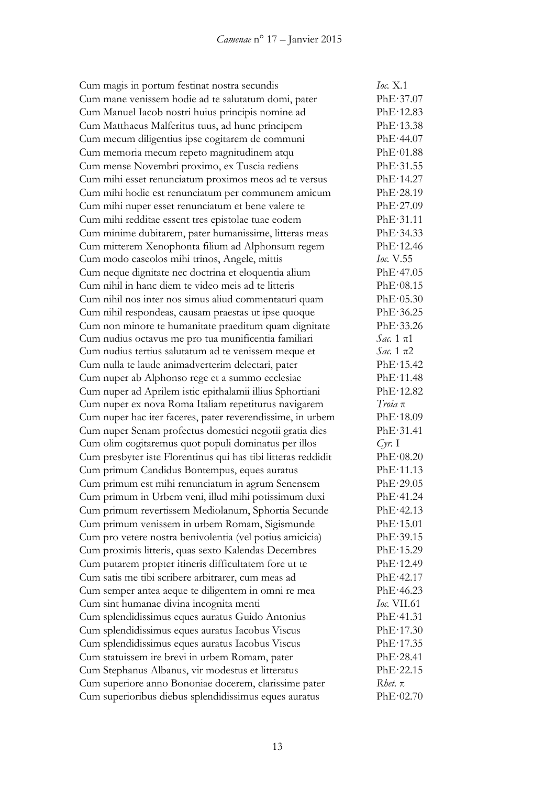Cum magis in portum festinat nostra secundis *Ioc.* X.1 Cum mane venissem hodie ad te salutatum domi, pater PhE·37.07 Cum Manuel Iacob nostri huius principis nomine ad PhE·12.83 Cum Matthaeus Malferitus tuus, ad hunc principem PhE·13.38 Cum mecum diligentius ipse cogitarem de communi PhE·44.07 Cum memoria mecum repeto magnitudinem atqu PhE·01.88 Cum mense Novembri proximo, ex Tuscia rediens PhE·31.55 Cum mihi esset renunciatum proximos meos ad te versus PhE·14.27 Cum mihi hodie est renunciatum per communem amicum PhE·28.19 Cum mihi nuper esset renunciatum et bene valere te PhE·27.09 Cum mihi redditae essent tres epistolae tuae eodem PhE·31.11 Cum minime dubitarem, pater humanissime, litteras meas PhE·34.33 Cum mitterem Xenophonta filium ad Alphonsum regem PhE·12.46 Cum modo caseolos mihi trinos, Angele, mittis *Ioc.* V.55 Cum neque dignitate nec doctrina et eloquentia alium PhE·47.05 Cum nihil in hanc diem te video meis ad te litteris PhE·08.15 Cum nihil nos inter nos simus aliud commentaturi quam PhE·05.30 Cum nihil respondeas, causam praestas ut ipse quoque PhE·36.25 Cum non minore te humanitate praeditum quam dignitate PhE·33.26 Cum nudius octavus me pro tua munificentia familiari *Sac.* 1 π1 Cum nudius tertius salutatum ad te venissem meque et *Sac.* 1 π2 Cum nulla te laude animadverterim delectari, pater PhE·15.42 Cum nuper ab Alphonso rege et a summo ecclesiae PhE·11.48 Cum nuper ad Aprilem istic epithalamii illius Sphortiani PhE·12.82 Cum nuper ex nova Roma Italiam repetiturus navigarem *Troia* π Cum nuper hac iter faceres, pater reverendissime, in urbem PhE·18.09 Cum nuper Senam profectus domestici negotii gratia dies PhE·31.41 Cum olim cogitaremus quot populi dominatus per illos *Cyr.* I Cum presbyter iste Florentinus qui has tibi litteras reddidit PhE·08.20 Cum primum Candidus Bontempus, eques auratus PhE·11.13 Cum primum est mihi renunciatum in agrum Senensem PhE·29.05 Cum primum in Urbem veni, illud mihi potissimum duxi PhE·41.24 Cum primum revertissem Mediolanum, Sphortia Secunde PhE·42.13 Cum primum venissem in urbem Romam, Sigismunde PhE·15.01 Cum pro vetere nostra benivolentia (vel potius amicicia) PhE·39.15 Cum proximis litteris, quas sexto Kalendas Decembres PhE·15.29 Cum putarem propter itineris difficultatem fore ut te PhE·12.49 Cum satis me tibi scribere arbitrarer, cum meas ad PhE·42.17 Cum semper antea aeque te diligentem in omni re mea PhE·46.23 Cum sint humanae divina incognita menti *Ioc.* VII.61 Cum splendidissimus eques auratus Guido Antonius PhE·41.31 Cum splendidissimus eques auratus Iacobus Viscus PhE·17.30 Cum splendidissimus eques auratus Iacobus Viscus PhE·17.35 Cum statuissem ire brevi in urbem Romam, pater PhE·28.41 Cum Stephanus Albanus, vir modestus et litteratus PhE·22.15 Cum superiore anno Bononiae docerem, clarissime pater *Rhet*. π Cum superioribus diebus splendidissimus eques auratus PhE·02.70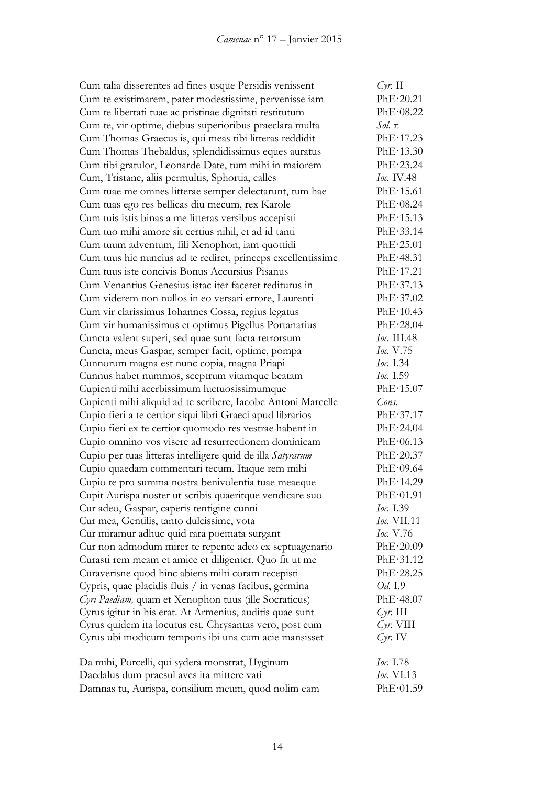| Cum talia disserentes ad fines usque Persidis venissent      | $Cyr$ . II        |
|--------------------------------------------------------------|-------------------|
| Cum te existimarem, pater modestissime, pervenisse iam       | PhE·20.21         |
| Cum te libertati tuae ac pristinae dignitati restitutum      | PhE·08.22         |
| Cum te, vir optime, diebus superioribus praeclara multa      | $Sol. \pi$        |
| Cum Thomas Graecus is, qui meas tibi litteras reddidit       | PhE·17.23         |
| Cum Thomas Thebaldus, splendidissimus eques auratus          | PhE·13.30         |
| Cum tibi gratulor, Leonarde Date, tum mihi in maiorem        | PhE·23.24         |
| Cum, Tristane, aliis permultis, Sphortia, calles             | <i>Ioc.</i> IV.48 |
| Cum tuae me omnes litterae semper delectarunt, tum hae       | PhE·15.61         |
| Cum tuas ego res bellicas diu mecum, rex Karole              | PhE·08.24         |
| Cum tuis istis binas a me litteras versibus accepisti        | PhE·15.13         |
| Cum tuo mihi amore sit certius nihil, et ad id tanti         | PhE·33.14         |
| Cum tuum adventum, fili Xenophon, iam quottidi               | PhE·25.01         |
| Cum tuus hic nuncius ad te rediret, princeps excellentissime | PhE·48.31         |
| Cum tuus iste concivis Bonus Accursius Pisanus               | PhE·17.21         |
| Cum Venantius Genesius istac iter faceret rediturus in       | PhE·37.13         |
| Cum viderem non nullos in eo versari errore, Laurenti        | PhE·37.02         |
| Cum vir clarissimus Iohannes Cossa, regius legatus           | PhE·10.43         |
| Cum vir humanissimus et optimus Pigellus Portanarius         | PhE·28.04         |
| Cuncta valent superi, sed quae sunt facta retrorsum          | Ioc. III.48       |
| Cuncta, meus Gaspar, semper facit, optime, pompa             | Ioc. V.75         |
| Cunnorum magna est nunc copia, magna Priapi                  | <i>Ioc.</i> I.34  |
| Cunnus habet nummos, sceptrum vitamque beatam                | <i>Ioc.</i> I.59  |
| Cupienti mihi acerbissimum luctuosissimumque                 | PhE·15.07         |
| Cupienti mihi aliquid ad te scribere, Iacobe Antoni Marcelle | Cons.             |
| Cupio fieri a te certior siqui libri Graeci apud librarios   | PhE·37.17         |
| Cupio fieri ex te certior quomodo res vestrae habent in      | PhE·24.04         |
| Cupio omnino vos visere ad resurrectionem dominicam          | PhE·06.13         |
| Cupio per tuas litteras intelligere quid de illa Satyrarum   | PhE·20.37         |
| Cupio quaedam commentari tecum. Itaque rem mihi              | PhE·09.64         |
| Cupio te pro summa nostra benivolentia tuae meaeque          | PhE·14.29         |
| Cupit Aurispa noster ut scribis quaeritque vendicare suo     | PhE·01.91         |
| Cur adeo, Gaspar, caperis tentigine cunni                    | <i>Ioc.</i> I.39  |
| Cur mea, Gentilis, tanto dulcissime, vota                    | $Ioc$ . VII.11    |
| Cur miramur adhuc quid rara poemata surgant                  | <i>Ioc.</i> V.76  |
| Cur non admodum mirer te repente adeo ex septuagenario       | PhE·20.09         |
| Curasti rem meam et amice et diligenter. Quo fit ut me       | PhE·31.12         |
| Curaverisne quod hinc abiens mihi coram recepisti            | PhE·28.25         |
| Cypris, quae placidis fluis / in venas facibus, germina      | Od. I.9           |
| Cyri Paediam, quam et Xenophon tuus (ille Socraticus)        | PhE·48.07         |
| Cyrus igitur in his erat. At Armenius, auditis quae sunt     | $Cyr$ . III       |
| Cyrus quidem ita locutus est. Chrysantas vero, post eum      | $Cyr$ . VIII      |
| Cyrus ubi modicum temporis ibi una cum acie mansisset        | $Cyr$ . IV        |
|                                                              |                   |
| Da mihi, Porcelli, qui sydera monstrat, Hyginum              | <i>Ioc.</i> 1.78  |
| Daedalus dum praesul aves ita mittere vati                   | <i>Ioc.</i> VI.13 |
| Damnas tu, Aurispa, consilium meum, quod nolim eam           | PhE·01.59         |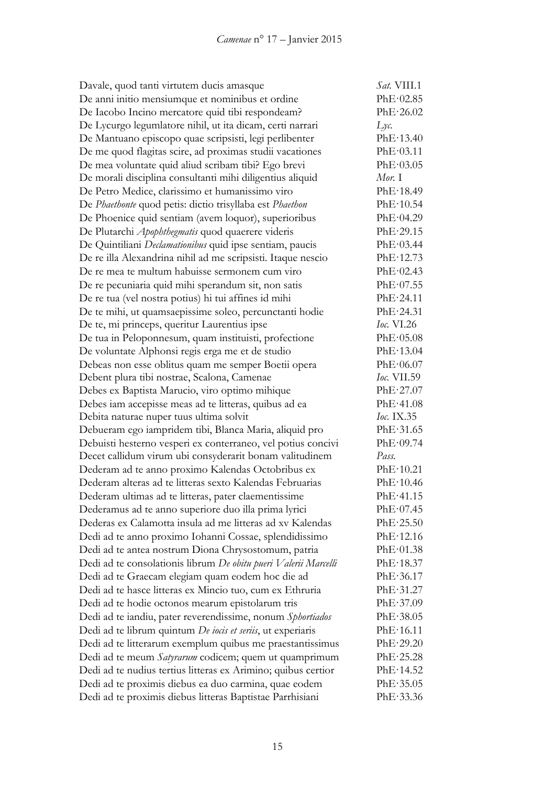| Davale, quod tanti virtutem ducis amasque                       | Sat. VIII.1         |
|-----------------------------------------------------------------|---------------------|
| De anni initio mensiumque et nominibus et ordine                | PhE·02.85           |
| De Iacobo Incino mercatore quid tibi respondeam?                | PhE·26.02           |
| De Lycurgo legumlatore nihil, ut ita dicam, certi narrari       | $Lyc$ .             |
| De Mantuano episcopo quae scripsisti, legi perlibenter          | PhE·13.40           |
| De me quod flagitas scire, ad proximas studii vacationes        | PhE·03.11           |
| De mea voluntate quid aliud scribam tibi? Ego brevi             | PhE·03.05           |
| De morali disciplina consultanti mihi diligentius aliquid       | Mor. I              |
| De Petro Medice, clarissimo et humanissimo viro                 | PhE·18.49           |
| De Phaethonte quod petis: dictio trisyllaba est Phaethon        | PhE·10.54           |
| De Phoenice quid sentiam (avem loquor), superioribus            | PhE·04.29           |
| De Plutarchi Apophthegmatis quod quaerere videris               | PhE·29.15           |
| De Quintiliani Declamationibus quid ipse sentiam, paucis        | PhE·03.44           |
| De re illa Alexandrina nihil ad me scripsisti. Itaque nescio    | PhE·12.73           |
| De re mea te multum habuisse sermonem cum viro                  | PhE·02.43           |
| De re pecuniaria quid mihi sperandum sit, non satis             | PhE·07.55           |
| De re tua (vel nostra potius) hi tui affines id mihi            | PhE·24.11           |
| De te mihi, ut quamsaepissime soleo, percunctanti hodie         | PhE·24.31           |
| De te, mi princeps, queritur Laurentius ipse                    | <i>Ioc.</i> $VI.26$ |
| De tua in Peloponnesum, quam instituisti, profectione           | PhE·05.08           |
| De voluntate Alphonsi regis erga me et de studio                | PhE·13.04           |
| Debeas non esse oblitus quam me semper Boetii opera             | PhE·06.07           |
| Debent plura tibi nostrae, Scalona, Camenae                     | <i>Ioc.</i> VII.59  |
| Debes ex Baptista Marucio, viro optimo mihique                  | PhE·27.07           |
| Debes iam accepisse meas ad te litteras, quibus ad ea           | PhE·41.08           |
| Debita naturae nuper tuus ultima solvit                         | <i>Ioc.</i> IX.35   |
| Debueram ego iampridem tibi, Blanca Maria, aliquid pro          | PhE·31.65           |
| Debuisti hesterno vesperi ex conterraneo, vel potius concivi    | PhE·09.74           |
| Decet callidum virum ubi consyderarit bonam valitudinem         | Pass.               |
| Dederam ad te anno proximo Kalendas Octobribus ex               | PhE·10.21           |
| Dederam alteras ad te litteras sexto Kalendas Februarias        | PhE·10.46           |
| Dederam ultimas ad te litteras, pater claementissime            | PhE·41.15           |
| Dederamus ad te anno superiore duo illa prima lyrici            | PhE·07.45           |
| Dederas ex Calamotta insula ad me litteras ad xv Kalendas       | $PhE \cdot 25.50$   |
| Dedi ad te anno proximo Iohanni Cossae, splendidissimo          | PhE·12.16           |
| Dedi ad te antea nostrum Diona Chrysostomum, patria             | PhE·01.38           |
| Dedi ad te consolationis librum De obitu pueri Valerii Marcelli | PhE·18.37           |
| Dedi ad te Graecam elegiam quam eodem hoc die ad                | PhE·36.17           |
| Dedi ad te hasce litteras ex Mincio tuo, cum ex Ethruria        | PhE·31.27           |
| Dedi ad te hodie octonos mearum epistolarum tris                | PhE·37.09           |
| Dedi ad te iandiu, pater reverendissime, nonum Sphortiados      | PhE.38.05           |
| Dedi ad te librum quintum De iocis et seriis, ut experiaris     | PhE·16.11           |
| Dedi ad te litterarum exemplum quibus me praestantissimus       | PhE·29.20           |
| Dedi ad te meum Satyrarum codicem; quem ut quamprimum           | PhE·25.28           |
| Dedi ad te nudius tertius litteras ex Arimino; quibus certior   | PhE·14.52           |
| Dedi ad te proximis diebus ea duo carmina, quae eodem           | PhE.35.05           |
| Dedi ad te proximis diebus litteras Baptistae Parrhisiani       | PhE.33.36           |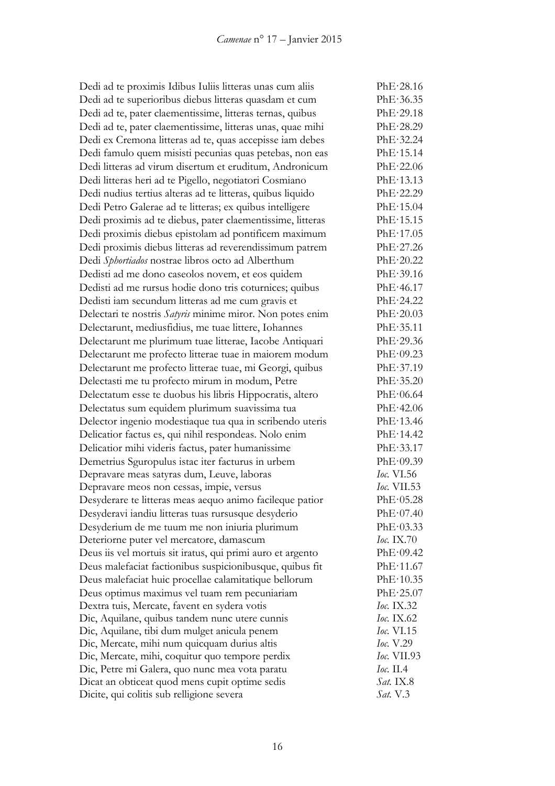Dedi ad te proximis Idibus Iuliis litteras unas cum aliis PhE·28.16 Dedi ad te superioribus diebus litteras quasdam et cum PhE·36.35 Dedi ad te, pater claementissime, litteras ternas, quibus PhE·29.18 Dedi ad te, pater claementissime, litteras unas, quae mihi PhE·28.29 Dedi ex Cremona litteras ad te, quas accepisse iam debes PhE·32.24 Dedi famulo quem misisti pecunias quas petebas, non eas PhE·15.14 Dedi litteras ad virum disertum et eruditum, Andronicum PhE·22.06 Dedi litteras heri ad te Pigello, negotiatori Cosmiano PhE·13.13 Dedi nudius tertius alteras ad te litteras, quibus liquido PhE·22.29 Dedi Petro Galerae ad te litteras; ex quibus intelligere PhE·15.04 Dedi proximis ad te diebus, pater claementissime, litteras PhE·15.15 Dedi proximis diebus epistolam ad pontificem maximum PhE·17.05 Dedi proximis diebus litteras ad reverendissimum patrem PhE·27.26 Dedi *Sphortiados* nostrae libros octo ad Alberthum PhE·20.22 Dedisti ad me dono caseolos novem, et eos quidem PhE·39.16 Dedisti ad me rursus hodie dono tris coturnices; quibus PhE·46.17 Dedisti iam secundum litteras ad me cum gravis et PhE·24.22 Delectari te nostris *Satyris* minime miror. Non potes enim PhE·20.03 Delectarunt, mediusfidius, me tuae littere, Iohannes PhE·35.11 Delectarunt me plurimum tuae litterae, Iacobe Antiquari PhE·29.36 Delectarunt me profecto litterae tuae in maiorem modum PhE·09.23 Delectarunt me profecto litterae tuae, mi Georgi, quibus PhE·37.19 Delectasti me tu profecto mirum in modum, Petre PhE·35.20 Delectatum esse te duobus his libris Hippocratis, altero PhE·06.64 Delectatus sum equidem plurimum suavissima tua PhE·42.06 Delector ingenio modestiaque tua qua in scribendo uteris PhE·13.46 Delicatior factus es, qui nihil respondeas. Nolo enim PhE·14.42 Delicatior mihi videris factus, pater humanissime PhE·33.17 Demetrius Sguropulus istac iter facturus in urbem PhE·09.39 Depravare meas satyras dum, Leuve, laboras *Ioc.* VI.56 Depravare meos non cessas, impie, versus *Ioc.* VII.53 Desyderare te litteras meas aequo animo facileque patior PhE·05.28 Desyderavi iandiu litteras tuas rursusque desyderio PhE·07.40 Desyderium de me tuum me non iniuria plurimum PhE·03.33 Deteriorne puter vel mercatore, damascum *Ioc.* IX.70 Deus iis vel mortuis sit iratus, qui primi auro et argento PhE·09.42 Deus malefaciat factionibus suspicionibusque, quibus fit PhE·11.67 Deus malefaciat huic procellae calamitatique bellorum PhE·10.35 Deus optimus maximus vel tuam rem pecuniariam PhE·25.07 Dextra tuis, Mercate, favent en sydera votis *Ioc.* IX.32 Dic, Aquilane, quibus tandem nunc utere cunnis *Ioc.* IX.62 Dic, Aquilane, tibi dum mulget anicula penem *Ioc.* VI.15 Dic, Mercate, mihi num quicquam durius altis *Ioc.* V.29 Dic, Mercate, mihi, coquitur quo tempore perdix *Ioc.* VII.93 Dic, Petre mi Galera, quo nunc mea vota paratu *Ioc.* II.4 Dicat an obticeat quod mens cupit optime sedis *Sat.* IX.8 Dicite, qui colitis sub relligione severa *Sat.* V.3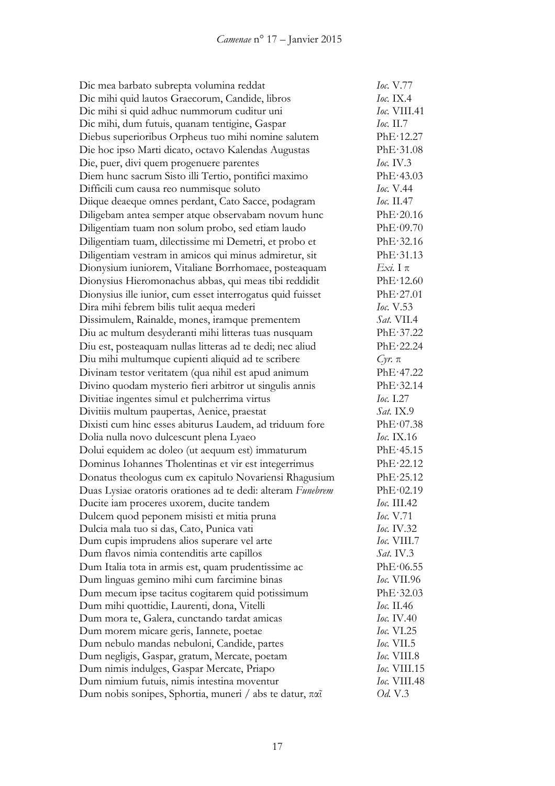| Dic mea barbato subrepta volumina reddat                    | Ioc. V.77                 |
|-------------------------------------------------------------|---------------------------|
| Dic mihi quid lautos Graecorum, Candide, libros             | <i>Ioc.</i> IX.4          |
| Dic mihi si quid adhuc nummorum cuditur uni                 | Ioc. VIII.41              |
| Dic mihi, dum futuis, quanam tentigine, Gaspar              | Ioc. $II.7$               |
| Diebus superioribus Orpheus tuo mihi nomine salutem         | PhE·12.27                 |
| Die hoc ipso Marti dicato, octavo Kalendas Augustas         | PhE·31.08                 |
| Die, puer, divi quem progenuere parentes                    | loc. IV.3                 |
| Diem hunc sacrum Sisto illi Tertio, pontifici maximo        | PhE·43.03                 |
| Difficili cum causa reo nummisque soluto                    | <i>Ioc.</i> V.44          |
| Diique deaeque omnes perdant, Cato Sacce, podagram          | Ioc. $II.47$              |
| Diligebam antea semper atque observabam novum hunc          | PhE·20.16                 |
| Diligentiam tuam non solum probo, sed etiam laudo           | PhE·09.70                 |
| Diligentiam tuam, dilectissime mi Demetri, et probo et      | PhE·32.16                 |
| Diligentiam vestram in amicos qui minus admiretur, sit      | PhE·31.13                 |
| Dionysium iuniorem, Vitaliane Borrhomaee, posteaquam        | $Exi$ . Ιπ                |
| Dionysius Hieromonachus abbas, qui meas tibi reddidit       | PhE·12.60                 |
| Dionysius ille iunior, cum esset interrogatus quid fuisset  | PhE·27.01                 |
| Dira mihi febrem bilis tulit aequa mederi                   | Ioc. V.53                 |
| Dissimulem, Rainalde, mones, iramque prementem              | <i>Sat.</i> VII.4         |
| Diu ac multum desyderanti mihi litteras tuas nusquam        | PhE·37.22                 |
| Diu est, posteaquam nullas litteras ad te dedi; nec aliud   | PhE·22.24                 |
| Diu mihi multumque cupienti aliquid ad te scribere          | $Cyr$ . $\pi$             |
| Divinam testor veritatem (qua nihil est apud animum         | PhE·47.22                 |
| Divino quodam mysterio fieri arbitror ut singulis annis     | PhE·32.14                 |
| Divitiae ingentes simul et pulcherrima virtus               | <i>Ioc.</i> I.27          |
| Divitiis multum paupertas, Aenice, praestat                 | <i>Sat.</i> IX.9          |
| Dixisti cum hinc esses abiturus Laudem, ad triduum fore     | PhE·07.38                 |
| Dolia nulla novo dulcescunt plena Lyaeo                     | $loc.$ IX.16              |
| Dolui equidem ac doleo (ut aequum est) immaturum            | PhE·45.15                 |
| Dominus Iohannes Tholentinas et vir est integerrimus        | PhE·22.12                 |
| Donatus theologus cum ex capitulo Novariensi Rhagusium      | PhE·25.12                 |
| Duas Lysiae oratoris orationes ad te dedi: alteram Funebrem | PhE·02.19                 |
| Ducite iam proceres uxorem, ducite tandem                   | Ioc. III.42               |
| Dulcem quod peponem misisti et mitia pruna                  | <i>Ioc.</i> V.71          |
| Dulcia mala tuo si das, Cato, Punica vati                   | Ioc. IV.32                |
| Dum cupis imprudens alios superare vel arte                 | <i><b>Ioc. VIII.7</b></i> |
| Dum flavos nimia contenditis arte capillos                  | Sat. IV.3                 |
| Dum Italia tota in armis est, quam prudentissime ac         | PhE·06.55                 |
| Dum linguas gemino mihi cum farcimine binas                 | <i>Ioc.</i> VII.96        |
| Dum mecum ipse tacitus cogitarem quid potissimum            | PhE·32.03                 |
| Dum mihi quottidie, Laurenti, dona, Vitelli                 | <i>Ioc.</i> II.46         |
| Dum mora te, Galera, cunctando tardat amicas                | <i>Ioc.</i> IV.40         |
| Dum morem micare geris, Iannete, poetae                     | <i>Ioc.</i> VI.25         |
| Dum nebulo mandas nebuloni, Candide, partes                 | <i>Ioc.</i> VII.5         |
| Dum negligis, Gaspar, gratum, Mercate, poetam               | <i>Ioc.</i> VIII.8        |
| Dum nimis indulges, Gaspar Mercate, Priapo                  | Ioc. VIII.15              |
| Dum nimium futuis, nimis intestina moventur                 | Ioc. VIII.48              |
| Dum nobis sonipes, Sphortia, muneri / abs te datur, παῖ     | <i>Od.</i> V.3            |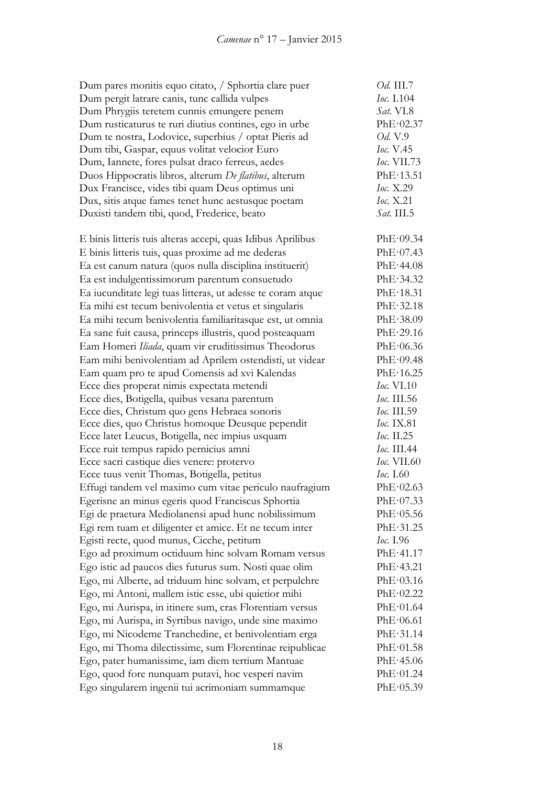| Dum pares monitis equo citato, / Sphortia clare puer        | Od. III.7          |
|-------------------------------------------------------------|--------------------|
| Dum pergit latrare canis, tunc callida vulpes               | Ioc. I.104         |
| Dum Phrygiis teretem cunnis emungere penem                  | Sat. VI.8          |
| Dum rusticaturus te ruri diutius contines, ego in urbe      | PhE·02.37          |
| Dum te nostra, Lodovice, superbius / optat Pieris ad        | Od. V.9            |
| Dum tibi, Gaspar, equus volitat velocior Euro               | Ioc. V.45          |
| Dum, Iannete, fores pulsat draco ferreus, aedes             | <i>Ioc.</i> VII.73 |
| Duos Hippocratis libros, alterum De flatibus, alterum       | PhE·13.51          |
| Dux Francisce, vides tibi quam Deus optimus uni             | Ioc. X.29          |
| Dux, sitis atque fames tenet hunc aestusque poetam          | <i>Ioc.</i> X.21   |
| Duxisti tandem tibi, quod, Frederice, beato                 | Sat. III.5         |
|                                                             |                    |
| E binis litteris tuis alteras accepi, quas Idibus Aprilibus | PhE·09.34          |
| E binis litteris tuis, quas proxime ad me dederas           | PhE·07.43          |
| Ea est canum natura (quos nulla disciplina instituerit)     | PhE·44.08          |
| Ea est indulgentissimorum parentum consuetudo               | PhE·34.32          |
| Ea iucunditate legi tuas litteras, ut adesse te coram atque | PhE·18.31          |
| Ea mihi est tecum benivolentia et vetus et singularis       | PhE·32.18          |
| Ea mihi tecum benivolentia familiaritasque est, ut omnia    | PhE.38.09          |
| Ea sane fuit causa, princeps illustris, quod posteaquam     | PhE·29.16          |
| Eam Homeri Iliada, quam vir eruditissimus Theodorus         | PhE·06.36          |
| Eam mihi benivolentiam ad Aprilem ostendisti, ut videar     | PhE·09.48          |
| Eam quam pro te apud Comensis ad xvi Kalendas               | PhE·16.25          |
| Ecce dies properat nimis expectata metendi                  | Ioc. VI.10         |
| Ecce dies, Botigella, quibus vesana parentum                | <i>Ioc.</i> III.56 |
| Ecce dies, Christum quo gens Hebraea sonoris                | Ioc. III.59        |
| Ecce dies, quo Christus homoque Deusque pependit            | Ioc. IX.81         |
| Ecce latet Leucus, Botigella, nec impius usquam             | <i>Ioc.</i> II.25  |
| Ecce ruit tempus rapido pernicius amni                      | 1ос. Ш.44          |
| Ecce sacri castique dies venere: protervo                   | <i>Ioc.</i> VII.60 |
| Ecce tuus venit Thomas, Botigella, petitus                  | <i>Ioc.</i> I.60   |
| Effugi tandem vel maximo cum vitae periculo naufragium      | PhE·02.63          |
| Egerisne an minus egeris quod Franciscus Sphortia           | PhE·07.33          |
| Egi de praetura Mediolanensi apud hunc nobilissimum         | PhE·05.56          |
| Egi rem tuam et diligenter et amice. Et ne tecum inter      | PhE·31.25          |
| Egisti recte, quod munus, Cicche, petitum                   | Ioc. 1.96          |
| Ego ad proximum octiduum hinc solvam Romam versus           | PhE·41.17          |
| Ego istic ad paucos dies futurus sum. Nosti quae olim       | PhE·43.21          |
| Ego, mi Alberte, ad triduum hinc solvam, et perpulchre      | PhE·03.16          |
| Ego, mi Antoni, mallem istic esse, ubi quietior mihi        | PhE·02.22          |
| Ego, mi Aurispa, in itinere sum, cras Florentiam versus     | PhE·01.64          |
| Ego, mi Aurispa, in Syrtibus navigo, unde sine maximo       | PhE·06.61          |
| Ego, mi Nicodeme Tranchedine, et benivolentiam erga         | PhE·31.14          |
| Ego, mi Thoma dilectissime, sum Florentinae reipublicae     | PhE·01.58          |
| Ego, pater humanissime, iam diem tertium Mantuae            | PhE·45.06          |
| Ego, quod fore nunquam putavi, hoc vesperi navim            | PhE·01.24          |
| Ego singularem ingenii tui acrimoniam summamque             | PhE·05.39          |
|                                                             |                    |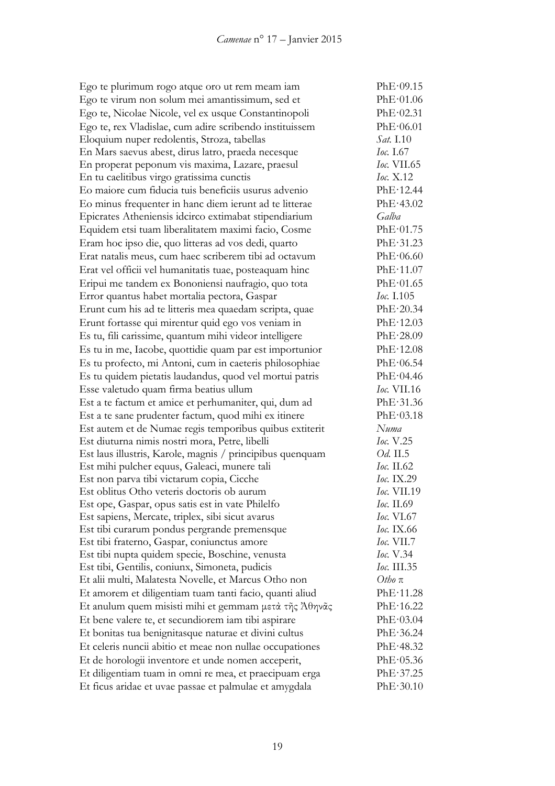Ego te plurimum rogo atque oro ut rem meam iam PhE·09.15 Ego te virum non solum mei amantissimum, sed et PhE·01.06 Ego te, Nicolae Nicole, vel ex usque Constantinopoli PhE·02.31 Ego te, rex Vladislae, cum adire scribendo instituissem PhE·06.01 Eloquium nuper redolentis, Stroza, tabellas *Sat.* I.10 En Mars saevus abest, dirus latro, praeda necesque *Ioc.* I.67 En properat peponum vis maxima, Lazare, praesul *Ioc.* VII.65 En tu caelitibus virgo gratissima cunctis *Ioc.* X.12 Eo maiore cum fiducia tuis beneficiis usurus advenio PhE·12.44 Eo minus frequenter in hanc diem ierunt ad te litterae PhE·43.02 Epicrates Atheniensis idcirco extimabat stipendiarium *Galba* Equidem etsi tuam liberalitatem maximi facio, Cosme PhE·01.75 Eram hoc ipso die, quo litteras ad vos dedi, quarto PhE·31.23 Erat natalis meus, cum haec scriberem tibi ad octavum PhE·06.60 Erat vel officii vel humanitatis tuae, posteaquam hinc PhE·11.07 Eripui me tandem ex Bononiensi naufragio, quo tota PhE·01.65 Error quantus habet mortalia pectora, Gaspar *Ioc.* I.105 Erunt cum his ad te litteris mea quaedam scripta, quae PhE·20.34 Erunt fortasse qui mirentur quid ego vos veniam in PhE·12.03 Es tu, fili carissime, quantum mihi videor intelligere PhE·28.09 Es tu in me, Iacobe, quottidie quam par est importunior PhE·12.08 Es tu profecto, mi Antoni, cum in caeteris philosophiae PhE·06.54 Es tu quidem pietatis laudandus, quod vel mortui patris  $\text{PhE-04.46}$ Esse valetudo quam firma beatius ullum *Ioc.* VII.16 Est a te factum et amice et perhumaniter, qui, dum ad PhE·31.36 Est a te sane prudenter factum, quod mihi ex itinere PhE·03.18 Est autem et de Numae regis temporibus quibus extiterit *Numa* Est diuturna nimis nostri mora, Petre, libelli *Ioc.* V.25 Est laus illustris, Karole, magnis / principibus quenquam *Od.* II.5 Est mihi pulcher equus, Galeaci, munere tali *Ioc.* II.62 Est non parva tibi victarum copia, Cicche *Ioc.* IX.29 Est oblitus Otho veteris doctoris ob aurum *Ioc.* VII.19 Est ope, Gaspar, opus satis est in vate Philelfo *Ioc.* II.69 Est sapiens, Mercate, triplex, sibi sicut avarus *Ioc.* VI.67 Est tibi curarum pondus pergrande premensque *Ioc.* IX.66 Est tibi fraterno, Gaspar, coniunctus amore *Ioc.* VII.7 Est tibi nupta quidem specie, Boschine, venusta *Ioc.* V.34 Est tibi, Gentilis, coniunx, Simoneta, pudicis *Ioc.* III.35 Et alii multi, Malatesta Novelle, et Marcus Otho non *Otho* π Et amorem et diligentiam tuam tanti facio, quanti aliud PhE·11.28 Et anulum quem misisti mihi et gemmam μετά τῆς Ἀθηνᾶς PhE·16.22 Et bene valere te, et secundiorem iam tibi aspirare PhE·03.04 Et bonitas tua benignitasque naturae et divini cultus PhE·36.24 Et celeris nuncii abitio et meae non nullae occupationes PhE·48.32 Et de horologii inventore et unde nomen acceperit, PhE·05.36 Et diligentiam tuam in omni re mea, et praecipuam erga PhE·37.25 Et ficus aridae et uvae passae et palmulae et amygdala PhE·30.10

19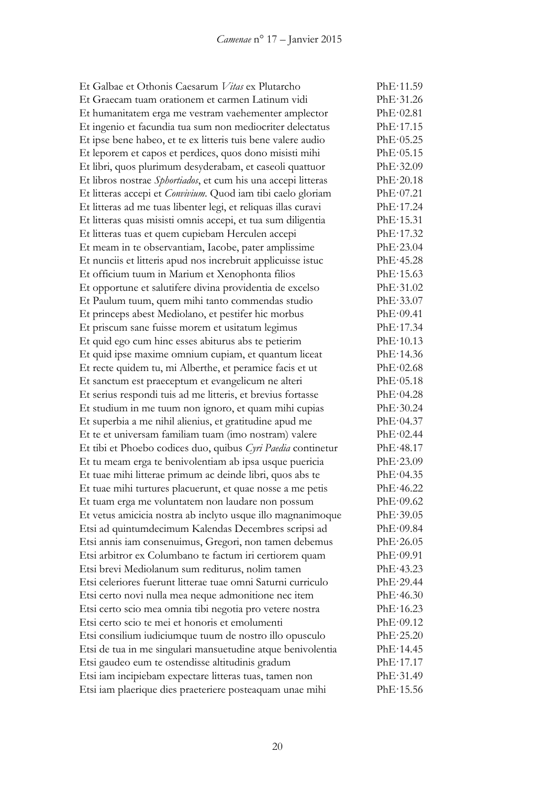Et Galbae et Othonis Caesarum *Vitas* ex Plutarcho PhE·11.59 Et Graecam tuam orationem et carmen Latinum vidi PhE·31.26 Et humanitatem erga me vestram vaehementer amplector PhE·02.81 Et ingenio et facundia tua sum non mediocriter delectatus PhE·17.15 Et ipse bene habeo, et te ex litteris tuis bene valere audio PhE·05.25 Et leporem et capos et perdices, quos dono misisti mihi PhE·05.15 Et libri, quos plurimum desyderabam, et caseoli quattuor PhE·32.09 Et libros nostrae *Sphortiados*, et cum his una accepi litteras PhE·20.18 Et litteras accepi et *Convivium*. Quod iam tibi caelo gloriam PhE·07.21 Et litteras ad me tuas libenter legi, et reliquas illas curavi PhE·17.24 Et litteras quas misisti omnis accepi, et tua sum diligentia PhE·15.31 Et litteras tuas et quem cupiebam Herculen accepi PhE·17.32 Et meam in te observantiam, Iacobe, pater amplissime PhE·23.04 Et nunciis et litteris apud nos increbruit applicuisse istuc PhE·45.28 Et officium tuum in Marium et Xenophonta filios PhE·15.63 Et opportune et salutifere divina providentia de excelso PhE·31.02 Et Paulum tuum, quem mihi tanto commendas studio PhE·33.07 Et princeps abest Mediolano, et pestifer hic morbus PhE·09.41 Et priscum sane fuisse morem et usitatum legimus PhE·17.34 Et quid ego cum hinc esses abiturus abs te petierim PhE·10.13 Et quid ipse maxime omnium cupiam, et quantum liceat PhE·14.36 Et recte quidem tu, mi Alberthe, et peramice facis et ut PhE·02.68 Et sanctum est praeceptum et evangelicum ne alteri PhE·05.18 Et serius respondi tuis ad me litteris, et brevius fortasse PhE·04.28 Et studium in me tuum non ignoro, et quam mihi cupias PhE·30.24 Et superbia a me nihil alienius, et gratitudine apud me PhE·04.37 Et te et universam familiam tuam (imo nostram) valere PhE·02.44 Et tibi et Phoebo codices duo, quibus *Cyri Paedia* continetur PhE·48.17 Et tu meam erga te benivolentiam ab ipsa usque puericia PhE·23.09 Et tuae mihi litterae primum ac deinde libri, quos abs te PhE·04.35 Et tuae mihi turtures placuerunt, et quae nosse a me petis PhE·46.22 Et tuam erga me voluntatem non laudare non possum PhE·09.62 Et vetus amicicia nostra ab inclyto usque illo magnanimoque PhE·39.05 Etsi ad quintumdecimum Kalendas Decembres scripsi ad PhE·09.84 Etsi annis iam consenuimus, Gregori, non tamen debemus PhE·26.05 Etsi arbitror ex Columbano te factum iri certiorem quam PhE·09.91 Etsi brevi Mediolanum sum rediturus, nolim tamen PhE·43.23 Etsi celeriores fuerunt litterae tuae omni Saturni curriculo PhE·29.44 Etsi certo novi nulla mea neque admonitione nec item PhE·46.30 Etsi certo scio mea omnia tibi negotia pro vetere nostra PhE·16.23 Etsi certo scio te mei et honoris et emolumenti PhE·09.12 Etsi consilium iudiciumque tuum de nostro illo opusculo PhE·25.20 Etsi de tua in me singulari mansuetudine atque benivolentia PhE·14.45 Etsi gaudeo eum te ostendisse altitudinis gradum PhE·17.17 Etsi iam incipiebam expectare litteras tuas, tamen non PhE·31.49 Etsi iam plaerique dies praeteriere posteaquam unae mihi PhE·15.56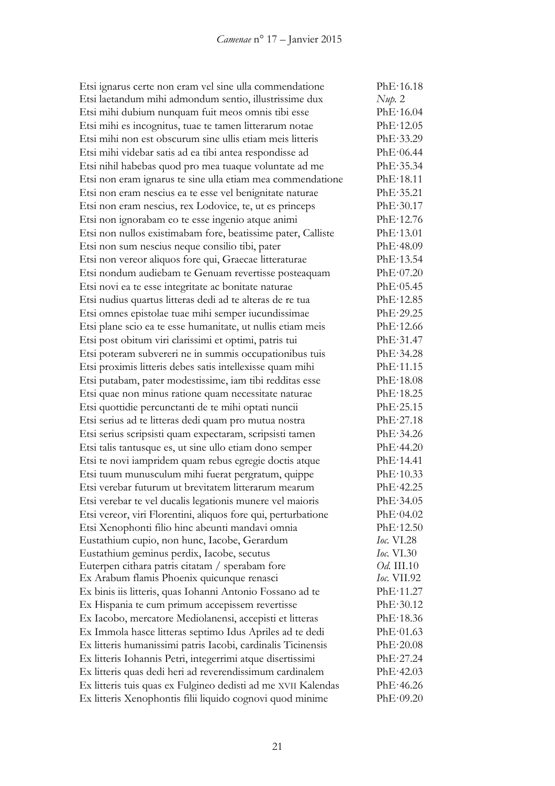Etsi ignarus certe non eram vel sine ulla commendatione PhE·16.18 Etsi laetandum mihi admondum sentio, illustrissime dux *Nup.* 2 Etsi mihi dubium nunquam fuit meos omnis tibi esse PhE·16.04 Etsi mihi es incognitus, tuae te tamen litterarum notae PhE·12.05 Etsi mihi non est obscurum sine ullis etiam meis litteris PhE·33.29 Etsi mihi videbar satis ad ea tibi antea respondisse ad PhE·06.44 Etsi nihil habebas quod pro mea tuaque voluntate ad me PhE·35.34 Etsi non eram ignarus te sine ulla etiam mea commendatione PhE·18.11 Etsi non eram nescius ea te esse vel benignitate naturae PhE·35.21 Etsi non eram nescius, rex Lodovice, te, ut es princeps PhE·30.17 Etsi non ignorabam eo te esse ingenio atque animi PhE·12.76 Etsi non nullos existimabam fore, beatissime pater, Calliste PhE·13.01 Etsi non sum nescius neque consilio tibi, pater PhE·48.09 Etsi non vereor aliquos fore qui, Graecae litteraturae PhE·13.54 Etsi nondum audiebam te Genuam revertisse posteaquam PhE·07.20 Etsi novi ea te esse integritate ac bonitate naturae PhE·05.45 Etsi nudius quartus litteras dedi ad te alteras de re tua PhE·12.85 Etsi omnes epistolae tuae mihi semper iucundissimae PhE·29.25 Etsi plane scio ea te esse humanitate, ut nullis etiam meis PhE·12.66 Etsi post obitum viri clarissimi et optimi, patris tui PhE·31.47 Etsi poteram subvereri ne in summis occupationibus tuis PhE·34.28 Etsi proximis litteris debes satis intellexisse quam mihi PhE·11.15 Etsi putabam, pater modestissime, iam tibi redditas esse PhE·18.08 Etsi quae non minus ratione quam necessitate naturae PhE·18.25 Etsi quottidie percunctanti de te mihi optati nuncii PhE·25.15 Etsi serius ad te litteras dedi quam pro mutua nostra PhE·27.18 Etsi serius scripsisti quam expectaram, scripsisti tamen PhE·34.26 Etsi talis tantusque es, ut sine ullo etiam dono semper PhE·44.20 Etsi te novi iampridem quam rebus egregie doctis atque PhE·14.41 Etsi tuum munusculum mihi fuerat pergratum, quippe PhE·10.33 Etsi verebar futurum ut brevitatem litterarum mearum PhE·42.25 Etsi verebar te vel ducalis legationis munere vel maioris PhE·34.05 Etsi vereor, viri Florentini, aliquos fore qui, perturbatione PhE·04.02 Etsi Xenophonti filio hinc abeunti mandavi omnia PhE·12.50 Eustathium cupio, non hunc, Iacobe, Gerardum *Ioc.* VI.28 Eustathium geminus perdix, Iacobe, secutus *Ioc.* VI.30 Euterpen cithara patris citatam / sperabam fore *Od.* III.10 Ex Arabum flamis Phoenix quicunque renasci *Ioc.* VII.92 Ex binis iis litteris, quas Iohanni Antonio Fossano ad te PhE·11.27 Ex Hispania te cum primum accepissem revertisse PhE·30.12 Ex Iacobo, mercatore Mediolanensi, accepisti et litteras PhE·18.36 Ex Immola hasce litteras septimo Idus Apriles ad te dedi PhE·01.63 Ex litteris humanissimi patris Iacobi, cardinalis Ticinensis PhE·20.08 Ex litteris Iohannis Petri, integerrimi atque disertissimi PhE·27.24 Ex litteris quas dedi heri ad reverendissimum cardinalem PhE·42.03 Ex litteris tuis quas ex Fulgineo dedisti ad me XVII Kalendas PhE·46.26 Ex litteris Xenophontis filii liquido cognovi quod minime PhE·09.20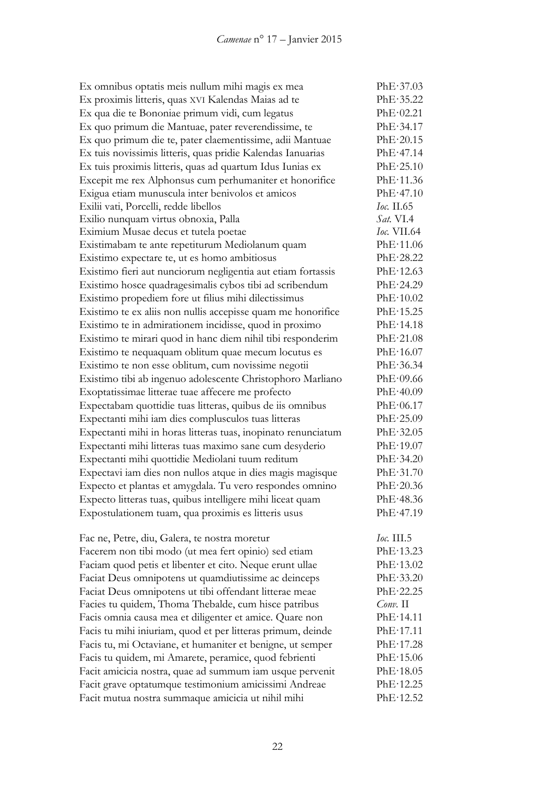| Ex omnibus optatis meis nullum mihi magis ex mea              | PhE·37.03          |
|---------------------------------------------------------------|--------------------|
| Ex proximis litteris, quas XVI Kalendas Maias ad te           | PhE·35.22          |
| Ex qua die te Bononiae primum vidi, cum legatus               | PhE·02.21          |
| Ex quo primum die Mantuae, pater reverendissime, te           | PhE·34.17          |
| Ex quo primum die te, pater claementissime, adii Mantuae      | PhE·20.15          |
| Ex tuis novissimis litteris, quas pridie Kalendas Ianuarias   | PhE·47.14          |
| Ex tuis proximis litteris, quas ad quartum Idus Iunias ex     | PhE·25.10          |
| Excepit me rex Alphonsus cum perhumaniter et honorifice       | PhE·11.36          |
| Exigua etiam munuscula inter benivolos et amicos              | PhE·47.10          |
| Exilii vati, Porcelli, redde libellos                         | <i>Ioc.</i> II.65  |
| Exilio nunquam virtus obnoxia, Palla                          | <i>Sat.</i> VI.4   |
| Eximium Musae decus et tutela poetae                          | <i>Ioc.</i> VII.64 |
| Existimabam te ante repetiturum Mediolanum quam               | PhE·11.06          |
| Existimo expectare te, ut es homo ambitiosus                  | PhE·28.22          |
| Existimo fieri aut nunciorum negligentia aut etiam fortassis  | PhE·12.63          |
| Existimo hosce quadragesimalis cybos tibi ad scribendum       | PhE·24.29          |
| Existimo propediem fore ut filius mihi dilectissimus          | PhE·10.02          |
| Existimo te ex aliis non nullis accepisse quam me honorifice  | PhE·15.25          |
| Existimo te in admirationem incidisse, quod in proximo        | PhE·14.18          |
| Existimo te mirari quod in hanc diem nihil tibi responderim   | PhE·21.08          |
| Existimo te nequaquam oblitum quae mecum locutus es           | PhE·16.07          |
| Existimo te non esse oblitum, cum novissime negotii           | PhE·36.34          |
| Existimo tibi ab ingenuo adolescente Christophoro Marliano    | PhE·09.66          |
| Exoptatissimae litterae tuae affecere me profecto             | PhE·40.09          |
| Expectabam quottidie tuas litteras, quibus de iis omnibus     | PhE·06.17          |
| Expectanti mihi iam dies complusculos tuas litteras           | PhE·25.09          |
| Expectanti mihi in horas litteras tuas, inopinato renunciatum | PhE·32.05          |
| Expectanti mihi litteras tuas maximo sane cum desyderio       | PhE·19.07          |
| Expectanti mihi quottidie Mediolani tuum reditum              | PhE·34.20          |
| Expectavi iam dies non nullos atque in dies magis magisque    | PhE·31.70          |
| Expecto et plantas et amygdala. Tu vero respondes omnino      | PhE·20.36          |
| Expecto litteras tuas, quibus intelligere mihi liceat quam    | PhE·48.36          |
| Expostulationem tuam, qua proximis es litteris usus           | PhE·47.19          |
| Fac ne, Petre, diu, Galera, te nostra moretur                 | <i>Ioc.</i> III.5  |
| Facerem non tibi modo (ut mea fert opinio) sed etiam          | PhE·13.23          |
| Faciam quod petis et libenter et cito. Neque erunt ullae      | PhE·13.02          |
| Faciat Deus omnipotens ut quamdiutissime ac deinceps          | PhE·33.20          |
| Faciat Deus omnipotens ut tibi offendant litterae meae        | PhE·22.25          |
| Facies tu quidem, Thoma Thebalde, cum hisce patribus          | $Conv.$ II         |
| Facis omnia causa mea et diligenter et amice. Quare non       | PhE·14.11          |
| Facis tu mihi iniuriam, quod et per litteras primum, deinde   | PhE·17.11          |
| Facis tu, mi Octaviane, et humaniter et benigne, ut semper    | PhE·17.28          |
| Facis tu quidem, mi Amarete, peramice, quod febrienti         | PhE·15.06          |
| Facit amicicia nostra, quae ad summum iam usque pervenit      | PhE·18.05          |
| Facit grave optatumque testimonium amicissimi Andreae         | PhE·12.25          |
| Facit mutua nostra summaque amicicia ut nihil mihi            | PhE·12.52          |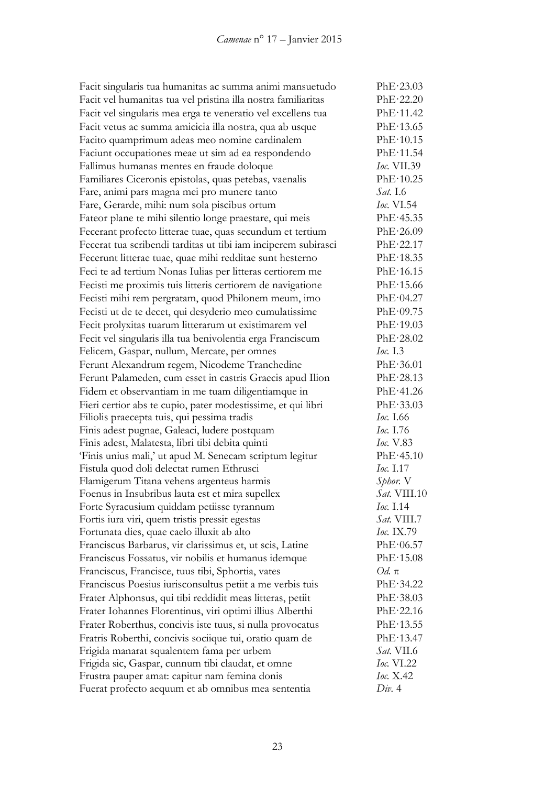Facit singularis tua humanitas ac summa animi mansuetudo PhE·23.03 Facit vel humanitas tua vel pristina illa nostra familiaritas PhE·22.20 Facit vel singularis mea erga te veneratio vel excellens tua PhE·11.42 Facit vetus ac summa amicicia illa nostra, qua ab usque PhE·13.65 Facito quamprimum adeas meo nomine cardinalem PhE·10.15 Faciunt occupationes meae ut sim ad ea respondendo PhE·11.54 Fallimus humanas mentes en fraude doloque *Ioc.* VII.39 Familiares Ciceronis epistolas, quas petebas, vaenalis PhE·10.25 Fare, animi pars magna mei pro munere tanto *Sat.* I.6 Fare, Gerarde, mihi: num sola piscibus ortum *Ioc.* VI.54 Fateor plane te mihi silentio longe praestare, qui meis PhE·45.35 Fecerant profecto litterae tuae, quas secundum et tertium PhE·26.09 Fecerat tua scribendi tarditas ut tibi iam inciperem subirasci PhE·22.17 Fecerunt litterae tuae, quae mihi redditae sunt hesterno PhE·18.35 Feci te ad tertium Nonas Iulias per litteras certiorem me PhE·16.15 Fecisti me proximis tuis litteris certiorem de navigatione PhE·15.66 Fecisti mihi rem pergratam, quod Philonem meum, imo PhE·04.27 Fecisti ut de te decet, qui desyderio meo cumulatissime PhE·09.75 Fecit prolyxitas tuarum litterarum ut existimarem vel PhE·19.03 Fecit vel singularis illa tua benivolentia erga Franciscum PhE·28.02 Felicem, Gaspar, nullum, Mercate, per omnes *Ioc.* I.3 Ferunt Alexandrum regem, Nicodeme Tranchedine PhE·36.01 Ferunt Palameden, cum esset in castris Graecis apud Ilion PhE·28.13 Fidem et observantiam in me tuam diligentiamque in PhE·41.26 Fieri certior abs te cupio, pater modestissime, et qui libri PhE·33.03 Filiolis praecepta tuis, qui pessima tradis *Ioc.* I.66 Finis adest pugnae, Galeaci, ludere postquam *Ioc.* I.76 Finis adest, Malatesta, libri tibi debita quinti *Ioc.* V.83 'Finis unius mali,' ut apud M. Senecam scriptum legitur PhE·45.10 Fistula quod doli delectat rumen Ethrusci *Ioc.* I.17 Flamigerum Titana vehens argenteus harmis *Sphor.* V Foenus in Insubribus lauta est et mira supellex *Sat.* VIII.10 Forte Syracusium quiddam petiisse tyrannum *Ioc.* I.14 Fortis iura viri, quem tristis pressit egestas *Sat.* VIII.7 Fortunata dies, quae caelo illuxit ab alto *Ioc.* IX.79 Franciscus Barbarus, vir clarissimus et, ut scis, Latine PhE·06.57 Franciscus Fossatus, vir nobilis et humanus idemque PhE·15.08 Franciscus, Francisce, tuus tibi, Sphortia, vates *Od.* π Franciscus Poesius iurisconsultus petiit a me verbis tuis PhE·34.22 Frater Alphonsus, qui tibi reddidit meas litteras, petiit PhE·38.03 Frater Iohannes Florentinus, viri optimi illius Alberthi PhE·22.16 Frater Roberthus, concivis iste tuus, si nulla provocatus PhE·13.55 Fratris Roberthi, concivis sociique tui, oratio quam de PhE·13.47 Frigida manarat squalentem fama per urbem *Sat.* VII.6 Frigida sic, Gaspar, cunnum tibi claudat, et omne *Ioc.* VI.22 Frustra pauper amat: capitur nam femina donis *Ioc.* X.42 Fuerat profecto aequum et ab omnibus mea sententia *Div.* 4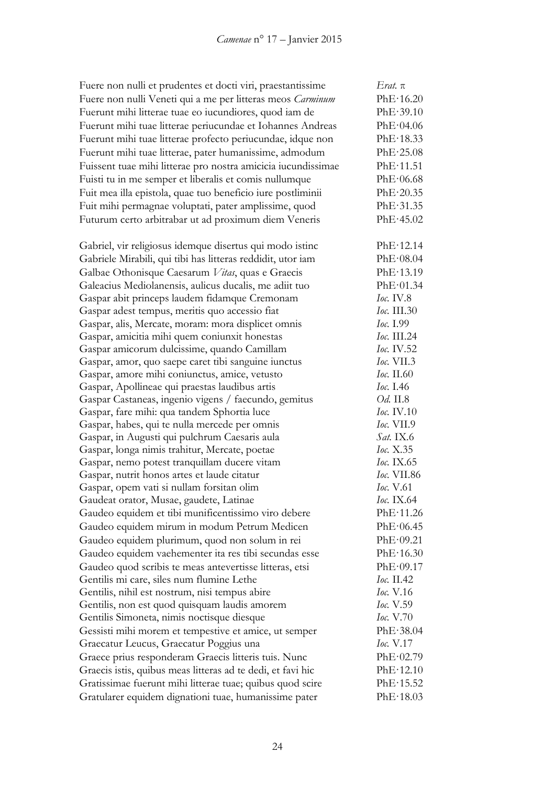| Fuere non nulli et prudentes et docti viri, praestantissime   | Erat. $\pi$              |
|---------------------------------------------------------------|--------------------------|
| Fuere non nulli Veneti qui a me per litteras meos Carminum    | PhE·16.20                |
| Fuerunt mihi litterae tuae eo iucundiores, quod iam de        | PhE·39.10                |
| Fuerunt mihi tuae litterae periucundae et Iohannes Andreas    | PhE·04.06                |
| Fuerunt mihi tuae litterae profecto periucundae, idque non    | PhE·18.33                |
| Fuerunt mihi tuae litterae, pater humanissime, admodum        | PhE·25.08                |
| Fuissent tuae mihi litterae pro nostra amicicia iucundissimae | PhE·11.51                |
| Fuisti tu in me semper et liberalis et comis nullumque        | PhE·06.68                |
| Fuit mea illa epistola, quae tuo beneficio iure postliminii   | PhE·20.35                |
| Fuit mihi permagnae voluptati, pater amplissime, quod         | PhE·31.35                |
| Futurum certo arbitrabar ut ad proximum diem Veneris          | PhE·45.02                |
| Gabriel, vir religiosus idemque disertus qui modo istinc      | PhE·12.14                |
| Gabriele Mirabili, qui tibi has litteras reddidit, utor iam   | PhE·08.04                |
| Galbae Othonisque Caesarum Vitas, quas e Graecis              | PhE·13.19                |
| Galeacius Mediolanensis, aulicus ducalis, me adiit tuo        | PhE·01.34                |
| Gaspar abit princeps laudem fidamque Cremonam                 | Ioc. IV.8                |
| Gaspar adest tempus, meritis quo accessio fiat                | Ioc. III.30              |
| Gaspar, alis, Mercate, moram: mora displicet omnis            | <i>Ioc.</i> I.99         |
| Gaspar, amicitia mihi quem coniunxit honestas                 | Ioc. III.24              |
| Gaspar amicorum dulcissime, quando Camillam                   | Ioc. IV.52               |
| Gaspar, amor, quo saepe caret tibi sanguine iunctus           | <i>Ioc.</i> VII.3        |
| Gaspar, amore mihi coniunctus, amice, vetusto                 | Ioc. II.60               |
| Gaspar, Apollineae qui praestas laudibus artis                | <i>Ioc.</i> I.46         |
| Gaspar Castaneas, ingenio vigens / faecundo, gemitus          | <i>Od.</i> II.8          |
| Gaspar, fare mihi: qua tandem Sphortia luce                   | Ioc. IV.10               |
| Gaspar, habes, qui te nulla mercede per omnis                 | <i><b>Ioc.</b></i> VII.9 |
| Gaspar, in Augusti qui pulchrum Caesaris aula                 | <i>Sat.</i> IX.6         |
| Gaspar, longa nimis trahitur, Mercate, poetae                 | Ioc. X.35                |
| Gaspar, nemo potest tranquillam ducere vitam                  | <i>Ioc.</i> IX.65        |
| Gaspar, nutrit honos artes et laude citatur                   | Ioc. VII.86              |
| Gaspar, opem vati si nullam forsitan olim                     | Ioc. V.61                |
| Gaudeat orator, Musae, gaudete, Latinae                       | Ioc. IX.64               |
| Gaudeo equidem et tibi munificentissimo viro debere           | PhE·11.26                |
| Gaudeo equidem mirum in modum Petrum Medicen                  | PhE·06.45                |
| Gaudeo equidem plurimum, quod non solum in rei                | PhE·09.21                |
| Gaudeo equidem vaehementer ita res tibi secundas esse         | PhE·16.30                |
| Gaudeo quod scribis te meas antevertisse litteras, etsi       | PhE·09.17                |
| Gentilis mi care, siles num flumine Lethe                     | <i>Ioc.</i> II.42        |
| Gentilis, nihil est nostrum, nisi tempus abire                | <i>Ioc.</i> V.16         |
| Gentilis, non est quod quisquam laudis amorem                 | <i>Ioc.</i> V.59         |
| Gentilis Simoneta, nimis noctisque diesque                    | <i>Ioc.</i> V.70         |
| Gessisti mihi morem et tempestive et amice, ut semper         | PhE·38.04                |
| Graecatur Leucus, Graecatur Poggius una                       | <i>Ioc.</i> $V.17$       |
| Graece prius responderam Graecis litteris tuis. Nunc          | PhE·02.79                |
| Graecis istis, quibus meas litteras ad te dedi, et favi hic   | PhE·12.10                |
| Gratissimae fuerunt mihi litterae tuae; quibus quod scire     | PhE·15.52                |
| Gratularer equidem dignationi tuae, humanissime pater         | PhE·18.03                |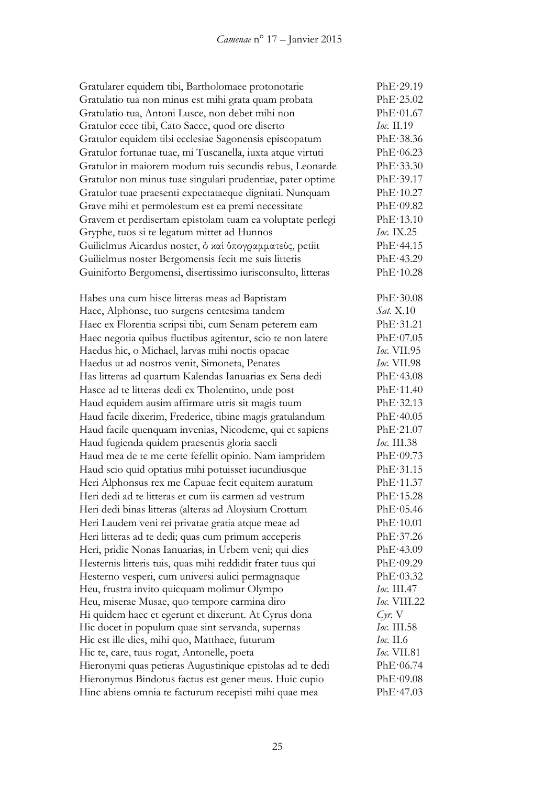| Gratularer equidem tibi, Bartholomaee protonotarie          | PhE·29.19          |
|-------------------------------------------------------------|--------------------|
| Gratulatio tua non minus est mihi grata quam probata        | PhE·25.02          |
| Gratulatio tua, Antoni Lusce, non debet mihi non            | PhE·01.67          |
| Gratulor ecce tibi, Cato Sacce, quod ore diserto            | Ioc. II.19         |
| Gratulor equidem tibi ecclesiae Sagonensis episcopatum      | PhE·38.36          |
| Gratulor fortunae tuae, mi Tuscanella, iuxta atque virtuti  | PhE·06.23          |
| Gratulor in maiorem modum tuis secundis rebus, Leonarde     | PhE·33.30          |
| Gratulor non minus tuae singulari prudentiae, pater optime  | PhE.39.17          |
| Gratulor tuae praesenti expectataeque dignitati. Nunquam    | PhE·10.27          |
| Grave mihi et permolestum est ea premi necessitate          | PhE·09.82          |
| Gravem et perdisertam epistolam tuam ea voluptate perlegi   | PhE·13.10          |
| Gryphe, tuos si te legatum mittet ad Hunnos                 | <i>Ioc.</i> IX.25  |
| Guilielmus Aicardus noster, δ και ύπογραμματεύς, petiit     | PhE·44.15          |
| Guilielmus noster Bergomensis fecit me suis litteris        | PhE·43.29          |
| Guiniforto Bergomensi, disertissimo iurisconsulto, litteras | PhE·10.28          |
|                                                             |                    |
| Habes una cum hisce litteras meas ad Baptistam              | PhE.30.08          |
| Haec, Alphonse, tuo surgens centesima tandem                | <i>Sat.</i> X.10   |
| Haec ex Florentia scripsi tibi, cum Senam peterem eam       | PhE·31.21          |
| Haec negotia quibus fluctibus agitentur, scio te non latere | PhE·07.05          |
| Haedus hic, o Michael, larvas mihi noctis opacae            | Ioc. VII.95        |
| Haedus ut ad nostros venit, Simoneta, Penates               | <i>Ioc.</i> VII.98 |
| Has litteras ad quartum Kalendas Ianuarias ex Sena dedi     | PhE·43.08          |
| Hasce ad te litteras dedi ex Tholentino, unde post          | PhE·11.40          |
| Haud equidem ausim affirmare utris sit magis tuum           | PhE·32.13          |
| Haud facile dixerim, Frederice, tibine magis gratulandum    | PhE·40.05          |
| Haud facile quenquam invenias, Nicodeme, qui et sapiens     | PhE·21.07          |
| Haud fugienda quidem praesentis gloria saecli               | <i>Ioc.</i> III.38 |
| Haud mea de te me certe fefellit opinio. Nam iampridem      | PhE·09.73          |
| Haud scio quid optatius mihi potuisset iucundiusque         | PhE·31.15          |
| Heri Alphonsus rex me Capuae fecit equitem auratum          | PhE·11.37          |
| Heri dedi ad te litteras et cum iis carmen ad vestrum       | PhE·15.28          |
| Heri dedi binas litteras (alteras ad Aloysium Crottum       | PhE·05.46          |
| Heri Laudem veni rei privatae gratia atque meae ad          | PhE·10.01          |
| Heri litteras ad te dedi; quas cum primum acceperis         | PhE·37.26          |
| Heri, pridie Nonas Ianuarias, in Urbem veni; qui dies       | PhE·43.09          |
| Hesternis litteris tuis, quas mihi reddidit frater tuus qui | PhE·09.29          |
| Hesterno vesperi, cum universi aulici permagnaque           | PhE·03.32          |
| Heu, frustra invito quicquam molimur Olympo                 | <i>Ioc.</i> III.47 |
| Heu, miserae Musae, quo tempore carmina diro                | Ioc. VIII.22       |
| Hi quidem haec et egerunt et dixerunt. At Cyrus dona        | $Cyr$ . $V$        |
| Hic docet in populum quae sint servanda, supernas           | Ioc. III.58        |
| Hic est ille dies, mihi quo, Matthaee, futurum              | <i>Ioc.</i> II.6   |
| Hic te, care, tuus rogat, Antonelle, poeta                  | Ioc. VII.81        |
| Hieronymi quas petieras Augustinique epistolas ad te dedi   | PhE·06.74          |
| Hieronymus Bindotus factus est gener meus. Huic cupio       | PhE·09.08          |
| Hinc abiens omnia te facturum recepisti mihi quae mea       | PhE·47.03          |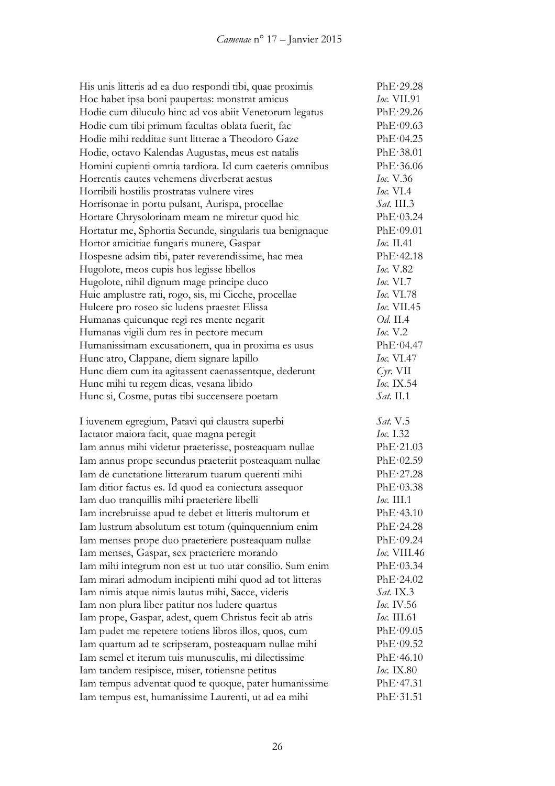| His unis litteris ad ea duo respondi tibi, quae proximis                                                     | PhE·29.28              |
|--------------------------------------------------------------------------------------------------------------|------------------------|
| Hoc habet ipsa boni paupertas: monstrat amicus                                                               | <i>Ioc.</i> VII.91     |
| Hodie cum diluculo hinc ad vos abiit Venetorum legatus                                                       | PhE·29.26              |
| Hodie cum tibi primum facultas oblata fuerit, fac                                                            | PhE·09.63              |
| Hodie mihi redditae sunt litterae a Theodoro Gaze                                                            | PhE·04.25              |
| Hodie, octavo Kalendas Augustas, meus est natalis                                                            | PhE·38.01              |
| Homini cupienti omnia tardiora. Id cum caeteris omnibus                                                      | PhE·36.06              |
| Horrentis cautes vehemens diverberat aestus                                                                  | <i>Ioc.</i> V.36       |
| Horribili hostilis prostratas vulnere vires                                                                  | <i>Ioc.</i> VI.4       |
| Horrisonae in portu pulsant, Aurispa, procellae                                                              | $Sat.$ III.3           |
| Hortare Chrysolorinam meam ne miretur quod hic                                                               | PhE·03.24              |
| Hortatur me, Sphortia Secunde, singularis tua benignaque                                                     | PhE·09.01              |
| Hortor amicitiae fungaris munere, Gaspar                                                                     | <i>Ioc.</i> II.41      |
| Hospesne adsim tibi, pater reverendissime, hac mea                                                           | PhE·42.18              |
| Hugolote, meos cupis hos legisse libellos                                                                    | <i>Ioc.</i> V.82       |
| Hugolote, nihil dignum mage principe duco                                                                    | <i>Ioc.</i> $VI.7$     |
| Huic amplustre rati, rogo, sis, mi Cicche, procellae                                                         | <i>Ioc.</i> VI.78      |
| Hulcere pro roseo sic ludens praestet Elissa                                                                 | Ioc. VII.45            |
| Humanas quicunque regi res mente negarit                                                                     | <i>Od.</i> II.4        |
| Humanas vigili dum res in pectore mecum                                                                      | Ioc. V.2               |
| Humanissimam excusationem, qua in proxima es usus                                                            | PhE·04.47              |
| Hunc atro, Clappane, diem signare lapillo                                                                    | <i>Ioc.</i> VI.47      |
| Hunc diem cum ita agitassent caenassentque, dederunt                                                         | $Cyr$ . VII            |
| Hunc mihi tu regem dicas, vesana libido                                                                      | Ioc. IX.54             |
| Hunc si, Cosme, putas tibi succensere poetam                                                                 | <i>Sat.</i> II.1       |
| I iuvenem egregium, Patavi qui claustra superbi                                                              | <i>Sat.</i> V.5        |
| Iactator maiora facit, quae magna peregit                                                                    | Ioc. 1.32              |
| Iam annus mihi videtur praeterisse, posteaquam nullae                                                        | PhE·21.03              |
| Iam annus prope secundus praeteriit posteaquam nullae                                                        | PhE·02.59              |
| Iam de cunctatione litterarum tuarum querenti mihi                                                           | PhE·27.28              |
| Iam ditior factus es. Id quod ea coniectura assequor                                                         | PhE·03.38              |
| Iam duo tranquillis mihi praeteriere libelli                                                                 | <i>Ioc.</i> III.1      |
| Iam increbruisse apud te debet et litteris multorum et                                                       | PhE·43.10              |
| Iam lustrum absolutum est totum (quinquennium enim                                                           | PhE·24.28              |
| Iam menses prope duo praeteriere posteaquam nullae                                                           | PhE·09.24              |
| Iam menses, Gaspar, sex praeteriere morando                                                                  | <i>Ioc.</i> VIII.46    |
| Iam mihi integrum non est ut tuo utar consilio. Sum enim                                                     | PhE·03.34              |
| Iam mirari admodum incipienti mihi quod ad tot litteras                                                      | PhE·24.02              |
| Iam nimis atque nimis lautus mihi, Sacce, videris                                                            | <i>Sat.</i> IX.3       |
| Iam non plura liber patitur nos ludere quartus                                                               | <i>Ioc.</i> IV.56      |
| Iam prope, Gaspar, adest, quem Christus fecit ab atris                                                       | <i>Ioc.</i> III.61     |
| Iam pudet me repetere totiens libros illos, quos, cum                                                        | PhE·09.05              |
| Iam quartum ad te scripseram, posteaquam nullae mihi                                                         | PhE·09.52              |
| Iam semel et iterum tuis munusculis, mi dilectissime                                                         |                        |
|                                                                                                              |                        |
|                                                                                                              | PhE·46.10              |
| Iam tandem resipisce, miser, totiensne petitus                                                               | <i>Ioc.</i> IX.80      |
| Iam tempus adventat quod te quoque, pater humanissime<br>Iam tempus est, humanissime Laurenti, ut ad ea mihi | PhE·47.31<br>PhE·31.51 |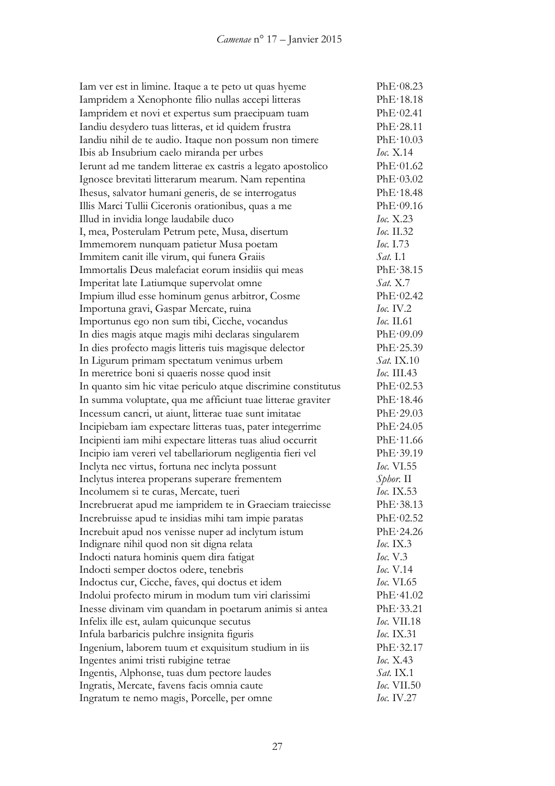| Iam ver est in limine. Itaque a te peto ut quas hyeme         | PhE·08.23          |
|---------------------------------------------------------------|--------------------|
| Iampridem a Xenophonte filio nullas accepi litteras           | PhE·18.18          |
| Iampridem et novi et expertus sum praecipuam tuam             | PhE·02.41          |
| Iandiu desydero tuas litteras, et id quidem frustra           | PhE·28.11          |
| Iandiu nihil de te audio. Itaque non possum non timere        | PhE·10.03          |
| Ibis ab Insubrium caelo miranda per urbes                     | Ioc. $X.14$        |
| Ierunt ad me tandem litterae ex castris a legato apostolico   | PhE·01.62          |
| Ignosce brevitati litterarum mearum. Nam repentina            | PhE·03.02          |
| Ihesus, salvator humani generis, de se interrogatus           | PhE·18.48          |
| Illis Marci Tullii Ciceronis orationibus, quas a me           | PhE·09.16          |
| Illud in invidia longe laudabile duco                         | Гос. Х.23          |
| I, mea, Posterulam Petrum pete, Musa, disertum                | <i>Ioc.</i> II.32  |
| Immemorem nunquam patietur Musa poetam                        | <i>Ioc.</i> 1.73   |
| Immitem canit ille virum, qui funera Graiis                   | <i>Sat.</i> I.1    |
| Immortalis Deus malefaciat eorum insidiis qui meas            | PhE·38.15          |
| Imperitat late Latiumque supervolat omne                      | <i>Sat.</i> X.7    |
| Impium illud esse hominum genus arbitror, Cosme               | PhE·02.42          |
| Importuna gravi, Gaspar Mercate, ruina                        | $Ioc.$ IV.2        |
| Importunus ego non sum tibi, Cicche, vocandus                 | <i>Ioc.</i> II.61  |
| In dies magis atque magis mihi declaras singularem            | PhE·09.09          |
| In dies profecto magis litteris tuis magisque delector        | PhE·25.39          |
| In Ligurum primam spectatum venimus urbem                     | <i>Sat.</i> IX.10  |
| In meretrice boni si quaeris nosse quod insit                 | Ioc. III.43        |
| In quanto sim hic vitae periculo atque discrimine constitutus | PhE·02.53          |
| In summa voluptate, qua me afficiunt tuae litterae graviter   | PhE·18.46          |
| Incessum cancri, ut aiunt, litterae tuae sunt imitatae        | PhE·29.03          |
| Incipiebam iam expectare litteras tuas, pater integerrime     | PhE·24.05          |
| Incipienti iam mihi expectare litteras tuas aliud occurrit    | PhE·11.66          |
| Incipio iam vereri vel tabellariorum negligentia fieri vel    | PhE.39.19          |
| Inclyta nec virtus, fortuna nec inclyta possunt               | <i>Ioc.</i> VI.55  |
| Inclytus interea properans superare frementem                 | $Spbor.$ II        |
| Incolumem si te curas, Mercate, tueri                         | Ioc. IX.53         |
| Increbruerat apud me iampridem te in Graeciam traiecisse      | PhE·38.13          |
| Increbruisse apud te insidias mihi tam impie paratas          | PhE·02.52          |
| Increbuit apud nos venisse nuper ad inclytum istum            | PhE·24.26          |
| Indignare nihil quod non sit digna relata                     | <i>Ioc.</i> IX.3   |
| Indocti natura hominis quem dira fatigat                      | <i>Ioc.</i> $V.3$  |
| Indocti semper doctos odere, tenebris                         | <i>Ioc.</i> V.14   |
| Indoctus cur, Cicche, faves, qui doctus et idem               | <i>Ioc.</i> VI.65  |
| Indolui profecto mirum in modum tum viri clarissimi           | PhE·41.02          |
| Inesse divinam vim quandam in poetarum animis si antea        | PhE·33.21          |
| Infelix ille est, aulam quicunque secutus                     | <i>Ioc.</i> VII.18 |
| Infula barbaricis pulchre insignita figuris                   | <i>Ioc.</i> IX.31  |
| Ingenium, laborem tuum et exquisitum studium in iis           | PhE·32.17          |
| Ingentes animi tristi rubigine tetrae                         | <i>Ioc.</i> X.43   |
| Ingentis, Alphonse, tuas dum pectore laudes                   | <i>Sat.</i> IX.1   |
| Ingratis, Mercate, favens facis omnia caute                   | <i>Ioc.</i> VII.50 |
| Ingratum te nemo magis, Porcelle, per omne                    | <i>Ioc.</i> IV.27  |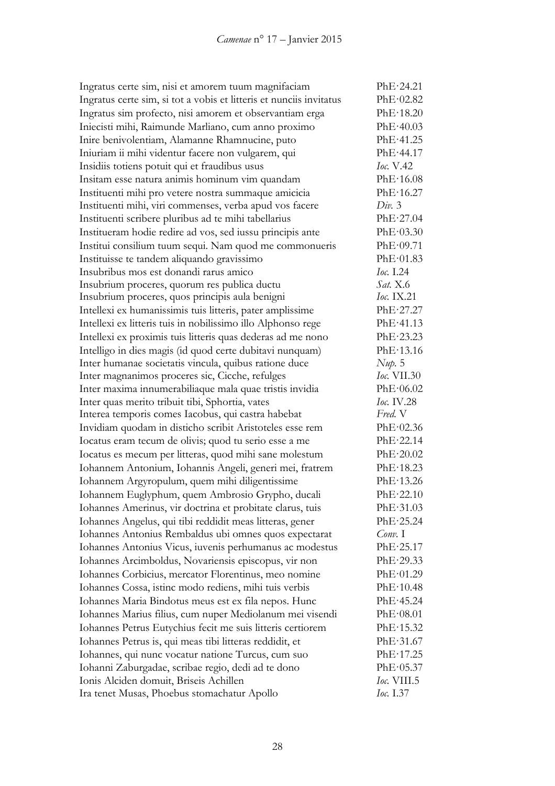Ingratus certe sim, nisi et amorem tuum magnifaciam PhE·24.21 Ingratus certe sim, si tot a vobis et litteris et nunciis invitatus PhE·02.82 Ingratus sim profecto, nisi amorem et observantiam erga PhE·18.20 Iniecisti mihi, Raimunde Marliano, cum anno proximo PhE·40.03 Inire benivolentiam, Alamanne Rhamnucine, puto PhE·41.25 Iniuriam ii mihi videntur facere non vulgarem, qui PhE·44.17 Insidiis totiens potuit qui et fraudibus usus *Ioc.* V.42 Insitam esse natura animis hominum vim quandam PhE·16.08 Instituenti mihi pro vetere nostra summaque amicicia PhE·16.27 Instituenti mihi, viri commenses, verba apud vos facere *Div.* 3 Instituenti scribere pluribus ad te mihi tabellarius PhE·27.04 Institueram hodie redire ad vos, sed iussu principis ante PhE·03.30 Institui consilium tuum sequi. Nam quod me commonueris PhE·09.71 Instituisse te tandem aliquando gravissimo PhE·01.83 Insubribus mos est donandi rarus amico *Ioc.* I.24 Insubrium proceres, quorum res publica ductu *Sat.* X.6 Insubrium proceres, quos principis aula benigni *Ioc.* IX.21 Intellexi ex humanissimis tuis litteris, pater amplissime PhE·27.27 Intellexi ex litteris tuis in nobilissimo illo Alphonso rege PhE·41.13 Intellexi ex proximis tuis litteris quas dederas ad me nono PhE·23.23 Intelligo in dies magis (id quod certe dubitavi nunquam) PhE·13.16 Inter humanae societatis vincula, quibus ratione duce *Nup.* 5 Inter magnanimos proceres sic, Cicche, refulges *Ioc.* VII.30 Inter maxima innumerabiliaque mala quae tristis invidia PhE·06.02 Inter quas merito tribuit tibi, Sphortia, vates *Ioc.* IV.28 Interea temporis comes Iacobus, qui castra habebat *Fred.* V Invidiam quodam in disticho scribit Aristoteles esse rem PhE·02.36 Iocatus eram tecum de olivis; quod tu serio esse a me PhE·22.14 Iocatus es mecum per litteras, quod mihi sane molestum PhE·20.02 Iohannem Antonium, Iohannis Angeli, generi mei, fratrem PhE·18.23 Iohannem Argyropulum, quem mihi diligentissime PhE·13.26 Iohannem Euglyphum, quem Ambrosio Grypho, ducali PhE·22.10 Iohannes Amerinus, vir doctrina et probitate clarus, tuis PhE·31.03 Iohannes Angelus, qui tibi reddidit meas litteras, gener PhE·25.24 Iohannes Antonius Rembaldus ubi omnes quos expectarat *Conv.* I Iohannes Antonius Vicus, iuvenis perhumanus ac modestus PhE·25.17 Iohannes Arcimboldus, Novariensis episcopus, vir non PhE·29.33 Iohannes Corbicius, mercator Florentinus, meo nomine PhE·01.29 Iohannes Cossa, istinc modo rediens, mihi tuis verbis PhE·10.48 Iohannes Maria Bindotus meus est ex fila nepos. Hunc PhE·45.24 Iohannes Marius filius, cum nuper Mediolanum mei visendi PhE·08.01 Iohannes Petrus Eutychius fecit me suis litteris certiorem PhE·15.32 Iohannes Petrus is, qui meas tibi litteras reddidit, et PhE·31.67 Iohannes, qui nunc vocatur natione Turcus, cum suo PhE·17.25 Iohanni Zaburgadae, scribae regio, dedi ad te dono PhE·05.37 Ionis Alciden domuit, Briseis Achillen *Ioc.* VIII.5 Ira tenet Musas, Phoebus stomachatur Apollo *Ioc.* I.37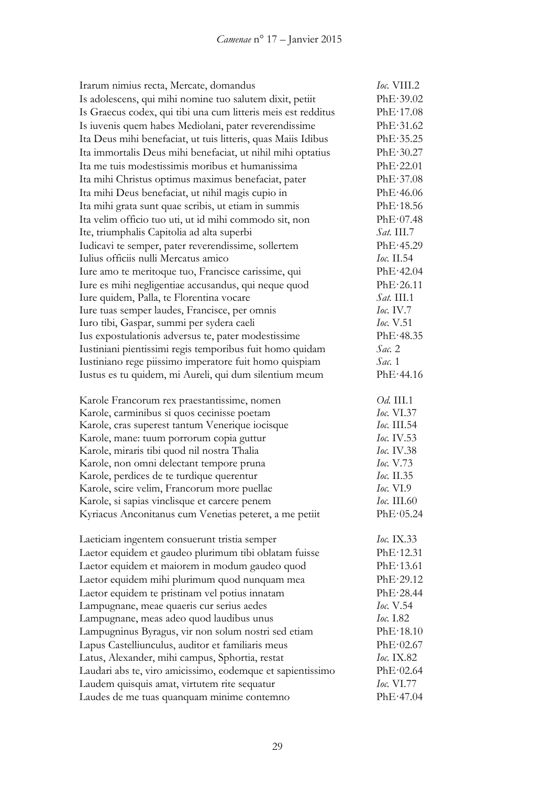| Irarum nimius recta, Mercate, domandus                        | Ioc. VIII.2               |
|---------------------------------------------------------------|---------------------------|
| Is adolescens, qui mihi nomine tuo salutem dixit, petiit      | PhE·39.02                 |
| Is Graecus codex, qui tibi una cum litteris meis est redditus | PhE·17.08                 |
| Is iuvenis quem habes Mediolani, pater reverendissime         | PhE·31.62                 |
| Ita Deus mihi benefaciat, ut tuis litteris, quas Maiis Idibus | PhE.35.25                 |
| Ita immortalis Deus mihi benefaciat, ut nihil mihi optatius   | PhE·30.27                 |
| Ita me tuis modestissimis moribus et humanissima              | PhE·22.01                 |
| Ita mihi Christus optimus maximus benefaciat, pater           | PhE·37.08                 |
| Ita mihi Deus benefaciat, ut nihil magis cupio in             | PhE·46.06                 |
| Ita mihi grata sunt quae scribis, ut etiam in summis          | PhE·18.56                 |
| Ita velim officio tuo uti, ut id mihi commodo sit, non        | PhE·07.48                 |
| Ite, triumphalis Capitolia ad alta superbi                    | $Sat.$ III.7              |
| Iudicavi te semper, pater reverendissime, sollertem           | PhE·45.29                 |
| Iulius officiis nulli Mercatus amico                          | <i>Ioc.</i> II.54         |
| Iure amo te meritoque tuo, Francisce carissime, qui           | PhE·42.04                 |
| Iure es mihi negligentiae accusandus, qui neque quod          | PhE·26.11                 |
| Iure quidem, Palla, te Florentina vocare                      | $Sat.$ III.1              |
| Iure tuas semper laudes, Francisce, per omnis                 | Ioc. IV.7                 |
| Iuro tibi, Gaspar, summi per sydera caeli                     | Ioc. V.51                 |
| Ius expostulationis adversus te, pater modestissime           | PhE.48.35                 |
| Iustiniani pientissimi regis temporibus fuit homo quidam      | Sac. 2                    |
| Iustiniano rege piissimo imperatore fuit homo quispiam        | Sac.1                     |
| Iustus es tu quidem, mi Aureli, qui dum silentium meum        | PhE·44.16                 |
| Karole Francorum rex praestantissime, nomen                   | <i>Od.</i> III.1          |
| Karole, carminibus si quos cecinisse poetam                   | Ioc. VI.37                |
| Karole, cras superest tantum Venerique iocisque               | Ioc. III.54               |
| Karole, mane: tuum porrorum copia guttur                      | Ioc. IV.53                |
| Karole, miraris tibi quod nil nostra Thalia                   | Ioc. IV.38                |
| Karole, non omni delectant tempore pruna                      | <i>Ioc.</i> V.73          |
| Karole, perdices de te turdique querentur                     | Ioc. II.35                |
| Karole, scire velim, Francorum more puellae                   | Ioc. VI.9                 |
| Karole, si sapias vinclisque et carcere penem                 | <i><b>Ioc.</b></i> III.60 |
| Kyriacus Anconitanus cum Venetias peteret, a me petiit        | PhE·05.24                 |
| Laeticiam ingentem consuerunt tristia semper                  | <i>Ioc.</i> IX.33         |
| Laetor equidem et gaudeo plurimum tibi oblatam fuisse         | PhE·12.31                 |
| Laetor equidem et maiorem in modum gaudeo quod                | PhE·13.61                 |
| Laetor equidem mihi plurimum quod nunquam mea                 | PhE·29.12                 |
| Laetor equidem te pristinam vel potius innatam                | PhE·28.44                 |
| Lampugnane, meae quaeris cur serius aedes                     | <i>Ioc.</i> V.54          |
| Lampugnane, meas adeo quod laudibus unus                      | <i>Ioc.</i> I.82          |
| Lampugninus Byragus, vir non solum nostri sed etiam           | PhE·18.10                 |
| Lapus Castelliunculus, auditor et familiaris meus             | PhE·02.67                 |
| Latus, Alexander, mihi campus, Sphortia, restat               | <i>Ioc.</i> IX.82         |
| Laudari abs te, viro amicissimo, eodemque et sapientissimo    | PhE·02.64                 |
| Laudem quisquis amat, virtutem rite sequatur                  | <i>Ioc.</i> VI.77         |
| Laudes de me tuas quanquam minime contemno                    | PhE·47.04                 |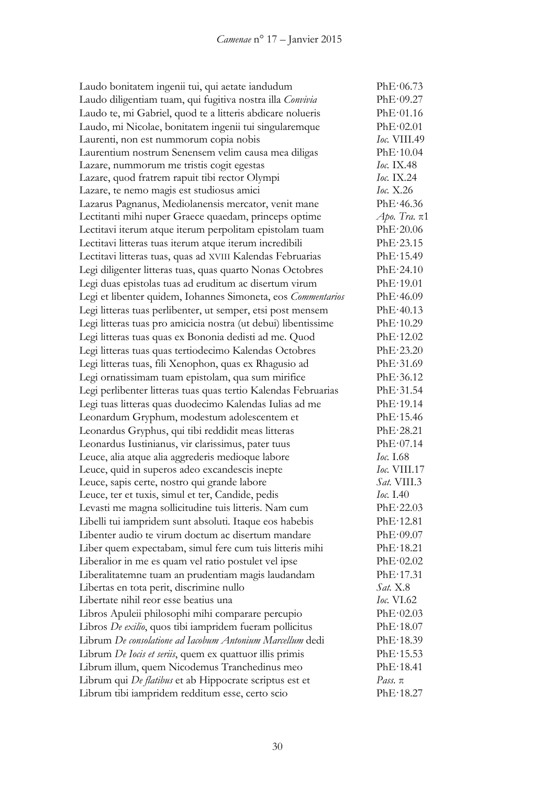| Laudo bonitatem ingenii tui, qui aetate iandudum               | PhE·06.73              |
|----------------------------------------------------------------|------------------------|
| Laudo diligentiam tuam, qui fugitiva nostra illa Convivia      | PhE·09.27              |
| Laudo te, mi Gabriel, quod te a litteris abdicare nolueris     | PhE·01.16              |
| Laudo, mi Nicolae, bonitatem ingenii tui singularemque         | PhE·02.01              |
| Laurenti, non est nummorum copia nobis                         | Ioc. VIII.49           |
| Laurentium nostrum Senensem velim causa mea diligas            | PhE·10.04              |
| Lazare, nummorum me tristis cogit egestas                      | <i>Ioc.</i> IX.48      |
| Lazare, quod fratrem rapuit tibi rector Olympi                 | <i>Ioc.</i> IX.24      |
| Lazare, te nemo magis est studiosus amici                      | Ioc. $X.26$            |
| Lazarus Pagnanus, Mediolanensis mercator, venit mane           | PhE·46.36              |
| Lectitanti mihi nuper Graece quaedam, princeps optime          | $A$ <i>po. Tra.</i> π1 |
| Lectitavi iterum atque iterum perpolitam epistolam tuam        | PhE·20.06              |
| Lectitavi litteras tuas iterum atque iterum incredibili        | PhE·23.15              |
| Lectitavi litteras tuas, quas ad XVIII Kalendas Februarias     | PhE·15.49              |
| Legi diligenter litteras tuas, quas quarto Nonas Octobres      | PhE·24.10              |
| Legi duas epistolas tuas ad eruditum ac disertum virum         | PhE·19.01              |
| Legi et libenter quidem, Iohannes Simoneta, eos Commentarios   | PhE·46.09              |
| Legi litteras tuas perlibenter, ut semper, etsi post mensem    | PhE·40.13              |
| Legi litteras tuas pro amicicia nostra (ut debui) libentissime | PhE·10.29              |
| Legi litteras tuas quas ex Bononia dedisti ad me. Quod         | PhE·12.02              |
| Legi litteras tuas quas tertiodecimo Kalendas Octobres         | PhE·23.20              |
| Legi litteras tuas, fili Xenophon, quas ex Rhagusio ad         | PhE·31.69              |
| Legi ornatissimam tuam epistolam, qua sum mirifice             | PhE·36.12              |
| Legi perlibenter litteras tuas quas tertio Kalendas Februarias | PhE·31.54              |
| Legi tuas litteras quas duodecimo Kalendas Iulias ad me        | PhE·19.14              |
| Leonardum Gryphum, modestum adolescentem et                    | PhE·15.46              |
| Leonardus Gryphus, qui tibi reddidit meas litteras             | PhE·28.21              |
| Leonardus Iustinianus, vir clarissimus, pater tuus             | PhE·07.14              |
| Leuce, alia atque alia aggrederis medioque labore              | Ioc. 1.68              |
| Leuce, quid in superos adeo excandescis inepte                 | Ioc. VIII.17           |
| Leuce, sapis certe, nostro qui grande labore                   | Sat. VIII.3            |
| Leuce, ter et tuxis, simul et ter, Candide, pedis              | Ioc. 1.40              |
| Levasti me magna sollicitudine tuis litteris. Nam cum          | PhE·22.03              |
| Libelli tui iampridem sunt absoluti. Itaque eos habebis        | PhE·12.81              |
| Libenter audio te virum doctum ac disertum mandare             | PhE·09.07              |
| Liber quem expectabam, simul fere cum tuis litteris mihi       | PhE·18.21              |
| Liberalior in me es quam vel ratio postulet vel ipse           | PhE·02.02              |
| Liberalitatemne tuam an prudentiam magis laudandam             | PhE·17.31              |
| Libertas en tota perit, discrimine nullo                       | <i>Sat.</i> X.8        |
| Libertate nihil reor esse beatius una                          | <i>Ioc.</i> VI.62      |
| Libros Apuleii philosophi mihi comparare percupio              | PhE·02.03              |
| Libros De exilio, quos tibi iampridem fueram pollicitus        | PhE·18.07              |
| Librum De consolatione ad Iacobum Antonium Marcellum dedi      | PhE·18.39              |
| Librum De Iocis et seriis, quem ex quattuor illis primis       | PhE·15.53              |
| Librum illum, quem Nicodemus Tranchedinus meo                  | PhE·18.41              |
| Librum qui <i>De flatibus</i> et ab Hippocrate scriptus est et | Pass. $\pi$            |
| Librum tibi iampridem redditum esse, certo scio                | PhE·18.27              |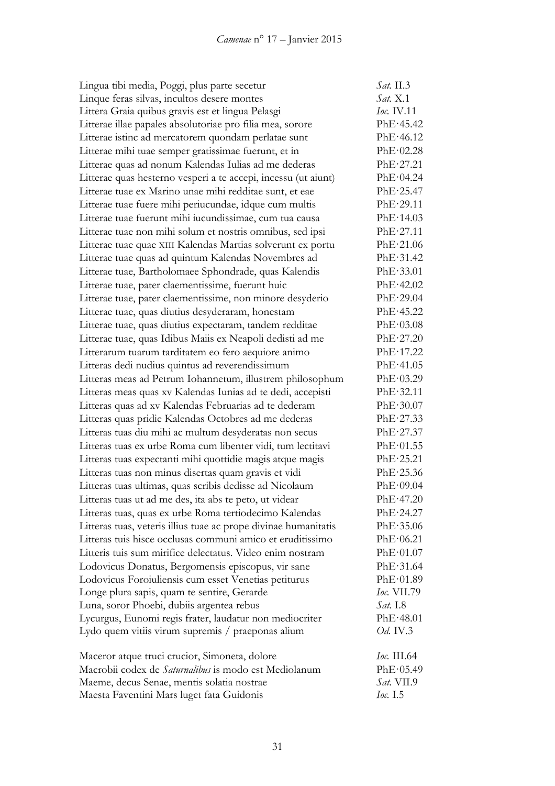| Lingua tibi media, Poggi, plus parte secetur                    | Sat. II.3          |
|-----------------------------------------------------------------|--------------------|
| Linque feras silvas, incultos desere montes                     | <i>Sat.</i> X.1    |
| Littera Graia quibus gravis est et lingua Pelasgi               | Ioc. IV.11         |
| Litterae illae papales absolutoriae pro filia mea, sorore       | PhE·45.42          |
| Litterae istinc ad mercatorem quondam perlatae sunt             | PhE·46.12          |
| Litterae mihi tuae semper gratissimae fuerunt, et in            | PhE·02.28          |
| Litterae quas ad nonum Kalendas Iulias ad me dederas            | PhE·27.21          |
| Litterae quas hesterno vesperi a te accepi, incessu (ut aiunt)  | PhE·04.24          |
| Litterae tuae ex Marino unae mihi redditae sunt, et eae         | $PhE \cdot 25.47$  |
| Litterae tuae fuere mihi periucundae, idque cum multis          | PhE·29.11          |
| Litterae tuae fuerunt mihi iucundissimae, cum tua causa         | PhE·14.03          |
| Litterae tuae non mihi solum et nostris omnibus, sed ipsi       | PhE·27.11          |
| Litterae tuae quae XIII Kalendas Martias solverunt ex portu     | PhE·21.06          |
| Litterae tuae quas ad quintum Kalendas Novembres ad             | PhE·31.42          |
| Litterae tuae, Bartholomaee Sphondrade, quas Kalendis           | PhE·33.01          |
| Litterae tuae, pater claementissime, fuerunt huic               | PhE·42.02          |
| Litterae tuae, pater claementissime, non minore desyderio       | PhE·29.04          |
| Litterae tuae, quas diutius desyderaram, honestam               | PhE·45.22          |
| Litterae tuae, quas diutius expectaram, tandem redditae         | PhE·03.08          |
| Litterae tuae, quas Idibus Maiis ex Neapoli dedisti ad me       | PhE·27.20          |
| Litterarum tuarum tarditatem eo fero aequiore animo             | PhE·17.22          |
| Litteras dedi nudius quintus ad reverendissimum                 | PhE·41.05          |
| Litteras meas ad Petrum Iohannetum, illustrem philosophum       | PhE·03.29          |
| Litteras meas quas xv Kalendas Iunias ad te dedi, accepisti     | PhE·32.11          |
| Litteras quas ad xv Kalendas Februarias ad te dederam           | PhE·30.07          |
| Litteras quas pridie Kalendas Octobres ad me dederas            | PhE·27.33          |
| Litteras tuas diu mihi ac multum desyderatas non secus          | PhE·27.37          |
| Litteras tuas ex urbe Roma cum libenter vidi, tum lectitavi     | PhE·01.55          |
| Litteras tuas expectanti mihi quottidie magis atque magis       | PhE·25.21          |
| Litteras tuas non minus disertas quam gravis et vidi            | PhE·25.36          |
| Litteras tuas ultimas, quas scribis dedisse ad Nicolaum         | PhE·09.04          |
| Litteras tuas ut ad me des, ita abs te peto, ut videar          | PhE·47.20          |
| Litteras tuas, quas ex urbe Roma tertiodecimo Kalendas          | PhE·24.27          |
| Litteras tuas, veteris illius tuae ac prope divinae humanitatis | PhE.35.06          |
| Litteras tuis hisce occlusas communi amico et eruditissimo      | PhE·06.21          |
| Litteris tuis sum mirifice delectatus. Video enim nostram       | PhE·01.07          |
| Lodovicus Donatus, Bergomensis episcopus, vir sane              | PhE·31.64          |
| Lodovicus Foroiuliensis cum esset Venetias petiturus            | PhE·01.89          |
| Longe plura sapis, quam te sentire, Gerarde                     | <i>Ioc.</i> VII.79 |
| Luna, soror Phoebi, dubiis argentea rebus                       | <i>Sat.</i> I.8    |
| Lycurgus, Eunomi regis frater, laudatur non mediocriter         | PhE·48.01          |
| Lydo quem vitiis virum supremis / praeponas alium               | <i>Od.</i> IV.3    |
| Maceror atque truci crucior, Simoneta, dolore                   | <i>Ioc.</i> III.64 |
| Macrobii codex de Saturnalibus is modo est Mediolanum           | PhE·05.49          |
| Maeme, decus Senae, mentis solatia nostrae                      | <i>Sat.</i> VII.9  |
| Maesta Faventini Mars luget fata Guidonis                       | <i>Ioc.</i> I.5    |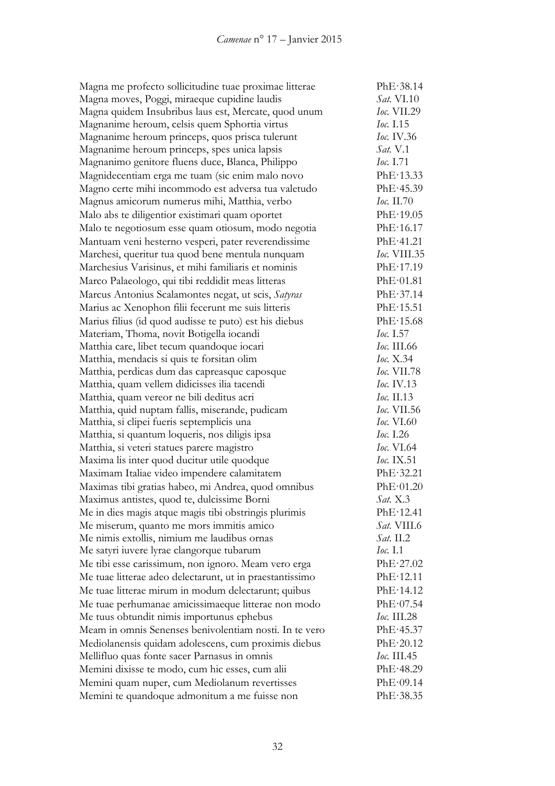| Magna me profecto sollicitudine tuae proximae litterae   | PhE·38.14          |
|----------------------------------------------------------|--------------------|
| Magna moves, Poggi, miraeque cupidine laudis             | <i>Sat.</i> VI.10  |
| Magna quidem Insubribus laus est, Mercate, quod unum     | <i>Ioc.</i> VII.29 |
| Magnanime heroum, celsis quem Sphortia virtus            | <i>Ioc.</i> 1.15   |
| Magnanime heroum princeps, quos prisca tulerunt          | Ioc. IV.36         |
| Magnanime heroum princeps, spes unica lapsis             | <i>Sat.</i> V.1    |
| Magnanimo genitore fluens duce, Blanca, Philippo         | <i>Ioc.</i> 1.71   |
| Magnidecentiam erga me tuam (sic enim malo novo          | PhE·13.33          |
| Magno certe mihi incommodo est adversa tua valetudo      | PhE.45.39          |
| Magnus amicorum numerus mihi, Matthia, verbo             | $Ioc.$ II.70       |
| Malo abs te diligentior existimari quam oportet          | PhE·19.05          |
| Malo te negotiosum esse quam otiosum, modo negotia       | PhE·16.17          |
| Mantuam veni hesterno vesperi, pater reverendissime      | PhE·41.21          |
| Marchesi, queritur tua quod bene mentula nunquam         | Ioc. VIII.35       |
| Marchesius Varisinus, et mihi familiaris et nominis      | PhE·17.19          |
| Marco Palaeologo, qui tibi reddidit meas litteras        | PhE·01.81          |
| Marcus Antonius Scalamontes negat, ut scis, Satyras      | PhE·37.14          |
| Marius ac Xenophon filii fecerunt me suis litteris       | PhE·15.51          |
| Marius filius (id quod audisse te puto) est his diebus   | PhE·15.68          |
| Materiam, Thoma, novit Botigella iocandi                 | Ioc. 1.57          |
| Matthia care, libet tecum quandoque iocari               | <i>Ioc.</i> III.66 |
| Matthia, mendacis si quis te forsitan olim               | <i>Ioc.</i> X.34   |
| Matthia, perdicas dum das capreasque caposque            | <i>Ioc.</i> VII.78 |
| Matthia, quam vellem didicisses ilia tacendi             | <i>Ioc.</i> IV.13  |
| Matthia, quam vereor ne bili deditus acri                | Ioc. II.13         |
| Matthia, quid nuptam fallis, miserande, pudicam          | <i>Ioc.</i> VII.56 |
| Matthia, si clipei fueris septemplicis una               | <b>Ioc.</b> VI.60  |
| Matthia, si quantum loqueris, nos diligis ipsa           | <i>Ioc.</i> I.26   |
| Matthia, si veteri statues parere magistro               | <i>Ioc.</i> VI.64  |
| Maxima lis inter quod ducitur utile quodque              | <i>Ioc.</i> IX.51  |
| Maximam Italiae video impendere calamitatem              | PhE·32.21          |
| Maximas tibi gratias habeo, mi Andrea, quod omnibus      | PhE·01.20          |
| Maximus antistes, quod te, dulcissime Borni              | Sat. X.3           |
| Me in dies magis atque magis tibi obstringis plurimis    | PhE·12.41          |
| Me miserum, quanto me mors immitis amico                 | <i>Sat.</i> VIII.6 |
| Me nimis extollis, nimium me laudibus ornas              | Sat. II.2          |
| Me satyri iuvere lyrae clangorque tubarum                | <i>Ioc.</i> I.1    |
| Me tibi esse carissimum, non ignoro. Meam vero erga      | PhE·27.02          |
| Me tuae litterae adeo delectarunt, ut in praestantissimo | PhE·12.11          |
| Me tuae litterae mirum in modum delectarunt; quibus      | PhE·14.12          |
| Me tuae perhumanae amicissimaeque litterae non modo      | PhE·07.54          |
| Me tuus obtundit nimis importunus ephebus                | <i>Ioc.</i> III.28 |
| Meam in omnis Senenses benivolentiam nosti. In te vero   | PhE·45.37          |
| Mediolanensis quidam adolescens, cum proximis diebus     | PhE·20.12          |
| Mellifluo quas fonte sacer Parnasus in omnis             | <i>Ioc.</i> III.45 |
| Memini dixisse te modo, cum hic esses, cum alii          | PhE·48.29          |
| Memini quam nuper, cum Mediolanum revertisses            | PhE·09.14          |
| Memini te quandoque admonitum a me fuisse non            | PhE.38.35          |
|                                                          |                    |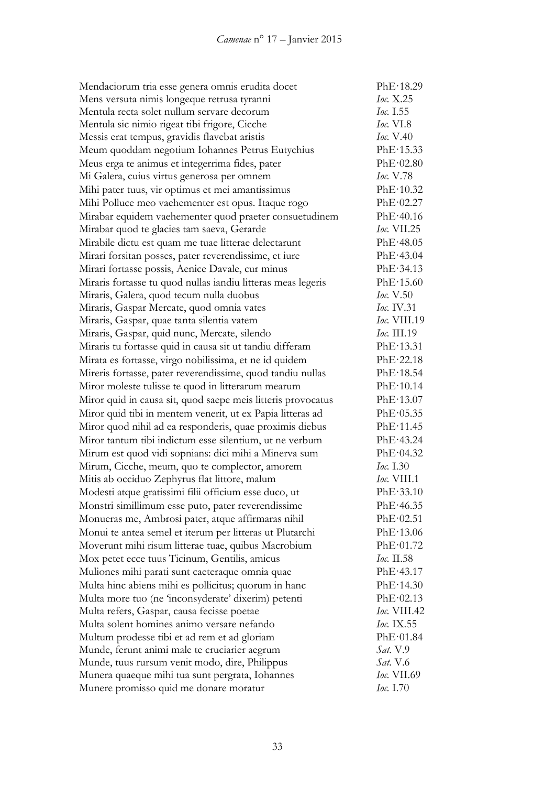| Mendaciorum tria esse genera omnis erudita docet             | PhE·18.29           |
|--------------------------------------------------------------|---------------------|
| Mens versuta nimis longeque retrusa tyranni                  | Ioc. X.25           |
| Mentula recta solet nullum servare decorum                   | <i>Ioc.</i> 1.55    |
| Mentula sic nimio rigeat tibi frigore, Cicche                | <i>Ioc.</i> VI.8    |
| Messis erat tempus, gravidis flavebat aristis                | <i>Ioc.</i> V.40    |
| Meum quoddam negotium Iohannes Petrus Eutychius              | PhE·15.33           |
| Meus erga te animus et integerrima fides, pater              | PhE·02.80           |
| Mi Galera, cuius virtus generosa per omnem                   | <i>Ioc.</i> V.78    |
| Mihi pater tuus, vir optimus et mei amantissimus             | PhE·10.32           |
| Mihi Polluce meo vaehementer est opus. Itaque rogo           | PhE·02.27           |
| Mirabar equidem vaehementer quod praeter consuetudinem       | PhE·40.16           |
| Mirabar quod te glacies tam saeva, Gerarde                   | loc. VII.25         |
| Mirabile dictu est quam me tuae litterae delectarunt         | PhE·48.05           |
| Mirari forsitan posses, pater reverendissime, et iure        | PhE·43.04           |
| Mirari fortasse possis, Aenice Davale, cur minus             | PhE·34.13           |
| Miraris fortasse tu quod nullas iandiu litteras meas legeris | PhE·15.60           |
| Miraris, Galera, quod tecum nulla duobus                     | Ioc. V.50           |
| Miraris, Gaspar Mercate, quod omnia vates                    | Ioc. IV.31          |
| Miraris, Gaspar, quae tanta silentia vatem                   | <i>Ioc.</i> VIII.19 |
| Miraris, Gaspar, quid nunc, Mercate, silendo                 | <i>Ioc.</i> III.19  |
| Miraris tu fortasse quid in causa sit ut tandiu differam     | PhE·13.31           |
| Mirata es fortasse, virgo nobilissima, et ne id quidem       | PhE·22.18           |
| Mireris fortasse, pater reverendissime, quod tandiu nullas   | PhE·18.54           |
| Miror moleste tulisse te quod in litterarum mearum           | PhE·10.14           |
| Miror quid in causa sit, quod saepe meis litteris provocatus | PhE·13.07           |
| Miror quid tibi in mentem venerit, ut ex Papia litteras ad   | PhE·05.35           |
| Miror quod nihil ad ea responderis, quae proximis diebus     | PhE·11.45           |
| Miror tantum tibi indictum esse silentium, ut ne verbum      | PhE·43.24           |
| Mirum est quod vidi sopnians: dici mihi a Minerva sum        | PhE·04.32           |
| Mirum, Cicche, meum, quo te complector, amorem               | Ioc. 1.30           |
| Mitis ab occiduo Zephyrus flat littore, malum                | $Ioc$ , VIII.1      |
| Modesti atque gratissimi filii officium esse duco, ut        | PhE·33.10           |
| Monstri simillimum esse puto, pater reverendissime           | PhE·46.35           |
| Monueras me, Ambrosi pater, atque affirmaras nihil           | PhE·02.51           |
| Monui te antea semel et iterum per litteras ut Plutarchi     | PhE·13.06           |
| Moverunt mihi risum litterae tuae, quibus Macrobium          | PhE·01.72           |
| Mox petet ecce tuus Ticinum, Gentilis, amicus                | <i>Ioc.</i> II.58   |
| Muliones mihi parati sunt caeteraque omnia quae              | PhE·43.17           |
| Multa hinc abiens mihi es pollicitus; quorum in hanc         | PhE·14.30           |
| Multa more tuo (ne 'inconsyderate' dixerim) petenti          | PhE·02.13           |
| Multa refers, Gaspar, causa fecisse poetae                   | Ioc. VIII.42        |
| Multa solent homines animo versare nefando                   | Ioc. IX.55          |
| Multum prodesse tibi et ad rem et ad gloriam                 | PhE·01.84           |
| Munde, ferunt animi male te cruciarier aegrum                | <i>Sat.</i> V.9     |
| Munde, tuus rursum venit modo, dire, Philippus               | <i>Sat.</i> V.6     |
| Munera quaeque mihi tua sunt pergrata, Iohannes              | <i>Ioc.</i> VII.69  |
| Munere promisso quid me donare moratur                       | <i>Ioc.</i> I.70    |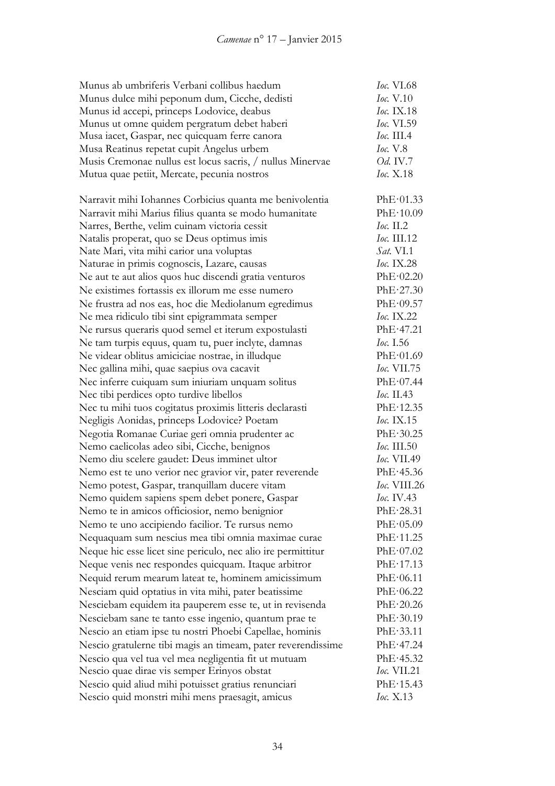| Munus ab umbriferis Verbani collibus haedum                  | Ioc. VI.68               |
|--------------------------------------------------------------|--------------------------|
| Munus dulce mihi peponum dum, Cicche, dedisti                | <i>Ioc.</i> V.10         |
| Munus id accepi, princeps Lodovice, deabus                   | Ioc. IX.18               |
| Munus ut omne quidem pergratum debet haberi                  | Ioc. VI.59               |
| Musa iacet, Gaspar, nec quicquam ferre canora                | $loc.$ III.4             |
| Musa Reatinus repetat cupit Angelus urbem                    | loc. V.8                 |
| Musis Cremonae nullus est locus sacris, / nullus Minervae    | <i>Od.</i> IV.7          |
| Mutua quae petiit, Mercate, pecunia nostros                  | Ioc. X.18                |
| Narravit mihi Iohannes Corbicius quanta me benivolentia      | PhE·01.33                |
| Narravit mihi Marius filius quanta se modo humanitate        | PhE·10.09                |
| Narres, Berthe, velim cuinam victoria cessit                 | $loc.$ II.2              |
| Natalis properat, quo se Deus optimus imis                   | Ioc. III.12              |
| Nate Mari, vita mihi carior una voluptas                     | <i>Sat.</i> VI.1         |
| Naturae in primis cognoscis, Lazare, causas                  | <i><b>Ioc.</b></i> IX.28 |
| Ne aut te aut alios quos huc discendi gratia venturos        | PhE·02.20                |
| Ne existimes fortassis ex illorum me esse numero             | PhE·27.30                |
| Ne frustra ad nos eas, hoc die Mediolanum egredimus          | PhE·09.57                |
| Ne mea ridiculo tibi sint epigrammata semper                 | Ioc. IX.22               |
| Ne rursus queraris quod semel et iterum expostulasti         | PhE·47.21                |
| Ne tam turpis equus, quam tu, puer inclyte, damnas           | Ioc. 1.56                |
| Ne videar oblitus amiciciae nostrae, in illudque             | PhE·01.69                |
| Nec gallina mihi, quae saepius ova cacavit                   | <i>Ioc.</i> VII.75       |
| Nec inferre cuiquam sum iniuriam unquam solitus              | PhE·07.44                |
| Nec tibi perdices opto turdive libellos                      | Ioc. II.43               |
| Nec tu mihi tuos cogitatus proximis litteris declarasti      | PhE·12.35                |
| Negligis Aonidas, princeps Lodovice? Poetam                  | <i>Ioc.</i> IX.15        |
| Negotia Romanae Curiae geri omnia prudenter ac               | PhE·30.25                |
| Nemo caelicolas adeo sibi, Cicche, benignos                  | <i>Ioc.</i> III.50       |
| Nemo diu scelere gaudet: Deus imminet ultor                  | <i>Ioc.</i> VII.49       |
| Nemo est te uno verior nec gravior vir, pater reverende      | PhE·45.36                |
| Nemo potest, Gaspar, tranquillam ducere vitam                | Ioc. VIII.26             |
| Nemo quidem sapiens spem debet ponere, Gaspar                | <i>Ioc.</i> IV.43        |
| Nemo te in amicos officiosior, nemo benignior                | PhE·28.31                |
| Nemo te uno accipiendo facilior. Te rursus nemo              | PhE·05.09                |
| Nequaquam sum nescius mea tibi omnia maximae curae           | PhE·11.25                |
| Neque hic esse licet sine periculo, nec alio ire permittitur | PhE·07.02                |
| Neque venis nec respondes quicquam. Itaque arbitror          | PhE·17.13                |
| Nequid rerum mearum lateat te, hominem amicissimum           | PhE·06.11                |
| Nesciam quid optatius in vita mihi, pater beatissime         | PhE·06.22                |
| Nesciebam equidem ita pauperem esse te, ut in revisenda      | PhE·20.26                |
| Nesciebam sane te tanto esse ingenio, quantum prae te        | PhE·30.19                |
| Nescio an etiam ipse tu nostri Phoebi Capellae, hominis      | PhE·33.11                |
| Nescio gratulerne tibi magis an timeam, pater reverendissime | PhE·47.24                |
| Nescio qua vel tua vel mea negligentia fit ut mutuam         | PhE·45.32                |
| Nescio quae dirae vis semper Erinyos obstat                  | <i>Ioc.</i> VII.21       |
| Nescio quid aliud mihi potuisset gratius renunciari          | PhE·15.43                |
| Nescio quid monstri mihi mens praesagit, amicus              | Ioc. X.13                |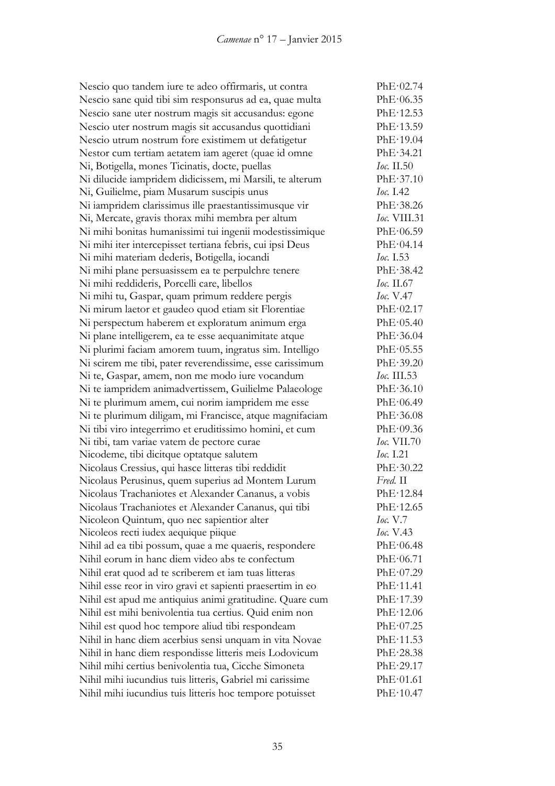Nescio quo tandem iure te adeo offirmaris, ut contra PhE·02.74 Nescio sane quid tibi sim responsurus ad ea, quae multa PhE·06.35 Nescio sane uter nostrum magis sit accusandus: egone PhE·12.53 Nescio uter nostrum magis sit accusandus quottidiani PhE·13.59 Nescio utrum nostrum fore existimem ut defatigetur PhE·19.04 Nestor cum tertiam aetatem iam ageret (quae id omne PhE·34.21 Ni, Botigella, mones Ticinatis, docte, puellas *Ioc.* II.50 Ni dilucide iampridem didicissem, mi Marsili, te alterum PhE·37.10 Ni, Guilielme, piam Musarum suscipis unus *Ioc.* I.42 Ni iampridem clarissimus ille praestantissimusque vir PhE·38.26 Ni, Mercate, gravis thorax mihi membra per altum *Ioc.* VIII.31 Ni mihi bonitas humanissimi tui ingenii modestissimique PhE·06.59 Ni mihi iter intercepisset tertiana febris, cui ipsi Deus PhE·04.14 Ni mihi materiam dederis, Botigella, iocandi *Ioc.* I.53 Ni mihi plane persuasissem ea te perpulchre tenere PhE·38.42 Ni mihi reddideris, Porcelli care, libellos *Ioc.* II.67 Ni mihi tu, Gaspar, quam primum reddere pergis *Ioc.* V.47 Ni mirum laetor et gaudeo quod etiam sit Florentiae PhE·02.17 Ni perspectum haberem et exploratum animum erga PhE·05.40 Ni plane intelligerem, ea te esse aequanimitate atque PhE·36.04 Ni plurimi faciam amorem tuum, ingratus sim. Intelligo PhE·05.55 Ni scirem me tibi, pater reverendissime, esse carissimum PhE·39.20 Ni te, Gaspar, amem, non me modo iure vocandum *Ioc.* III.53 Ni te iampridem animadvertissem, Guilielme Palaeologe PhE·36.10 Ni te plurimum amem, cui norim iampridem me esse PhE·06.49 Ni te plurimum diligam, mi Francisce, atque magnifaciam PhE·36.08 Ni tibi viro integerrimo et eruditissimo homini, et cum PhE·09.36 Ni tibi, tam variae vatem de pectore curae *Ioc.* VII.70 Nicodeme, tibi dicitque optatque salutem *Ioc.* I.21 Nicolaus Cressius, qui hasce litteras tibi reddidit PhE·30.22 Nicolaus Perusinus, quem superius ad Montem Lurum *Fred.* II Nicolaus Trachaniotes et Alexander Cananus, a vobis PhE·12.84 Nicolaus Trachaniotes et Alexander Cananus, qui tibi PhE·12.65 Nicoleon Quintum, quo nec sapientior alter *Ioc.* V.7 Nicoleos recti iudex aequique piique *Ioc.* V.43 Nihil ad ea tibi possum, quae a me quaeris, respondere PhE·06.48 Nihil eorum in hanc diem video abs te confectum PhE·06.71 Nihil erat quod ad te scriberem et iam tuas litteras PhE·07.29 Nihil esse reor in viro gravi et sapienti praesertim in eo PhE·11.41 Nihil est apud me antiquius animi gratitudine. Quare cum PhE·17.39 Nihil est mihi benivolentia tua certius. Quid enim non PhE·12.06 Nihil est quod hoc tempore aliud tibi respondeam PhE·07.25 Nihil in hanc diem acerbius sensi unquam in vita Novae PhE·11.53 Nihil in hanc diem respondisse litteris meis Lodovicum PhE·28.38 Nihil mihi certius benivolentia tua, Cicche Simoneta PhE·29.17 Nihil mihi iucundius tuis litteris, Gabriel mi carissime PhE·01.61 Nihil mihi iucundius tuis litteris hoc tempore potuisset PhE·10.47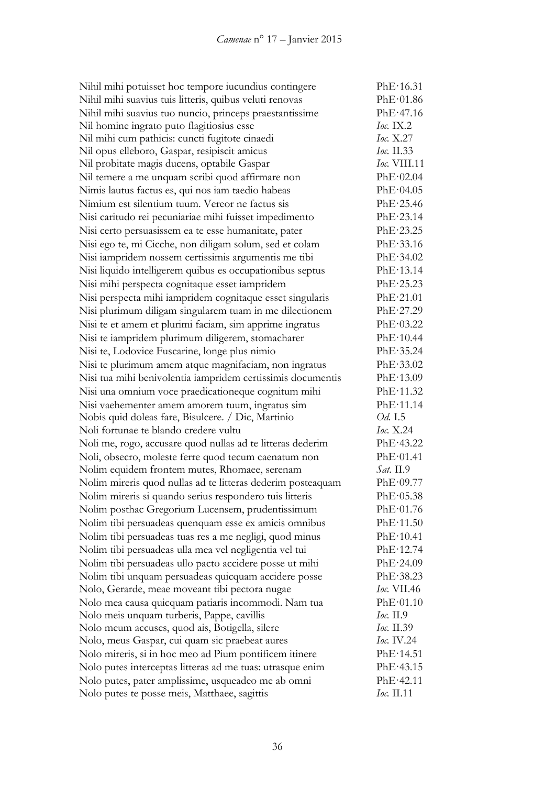| Nihil mihi potuisset hoc tempore iucundius contingere       | PhE·16.31           |
|-------------------------------------------------------------|---------------------|
| Nihil mihi suavius tuis litteris, quibus veluti renovas     | PhE·01.86           |
| Nihil mihi suavius tuo nuncio, princeps praestantissime     | PhE·47.16           |
| Nil homine ingrato puto flagitiosius esse                   | $loc.$ IX.2         |
| Nil mihi cum pathicis: cuncti fugitote cinaedi              | Ioc. $X.27$         |
| Nil opus elleboro, Gaspar, resipiscit amicus                | <i>Ioc.</i> II.33   |
| Nil probitate magis ducens, optabile Gaspar                 | <i>Ioc.</i> VIII.11 |
| Nil temere a me unquam scribi quod affirmare non            | PhE·02.04           |
| Nimis lautus factus es, qui nos iam taedio habeas           | PhE·04.05           |
| Nimium est silentium tuum. Vereor ne factus sis             | PhE·25.46           |
| Nisi caritudo rei pecuniariae mihi fuisset impedimento      | PhE·23.14           |
| Nisi certo persuasissem ea te esse humanitate, pater        | PhE·23.25           |
| Nisi ego te, mi Cicche, non diligam solum, sed et colam     | PhE-33.16           |
| Nisi iampridem nossem certissimis argumentis me tibi        | PhE·34.02           |
| Nisi liquido intelligerem quibus es occupationibus septus   | PhE·13.14           |
| Nisi mihi perspecta cognitaque esset iampridem              | PhE·25.23           |
| Nisi perspecta mihi iampridem cognitaque esset singularis   | PhE·21.01           |
| Nisi plurimum diligam singularem tuam in me dilectionem     | PhE·27.29           |
| Nisi te et amem et plurimi faciam, sim apprime ingratus     | PhE·03.22           |
| Nisi te iampridem plurimum diligerem, stomacharer           | PhE·10.44           |
| Nisi te, Lodovice Fuscarine, longe plus nimio               | PhE.35.24           |
| Nisi te plurimum amem atque magnifaciam, non ingratus       | PhE·33.02           |
| Nisi tua mihi benivolentia iampridem certissimis documentis | PhE·13.09           |
| Nisi una omnium voce praedicationeque cognitum mihi         | PhE·11.32           |
| Nisi vaehementer amem amorem tuum, ingratus sim             | PhE·11.14           |
| Nobis quid doleas fare, Bisulcere. / Dic, Martinio          | Od. I.5             |
| Noli fortunae te blando credere vultu                       | <i>Ioc.</i> X.24    |
| Noli me, rogo, accusare quod nullas ad te litteras dederim  | PhE·43.22           |
| Noli, obsecro, moleste ferre quod tecum caenatum non        | PhE·01.41           |
| Nolim equidem frontem mutes, Rhomaee, serenam               | <i>Sat.</i> II.9    |
| Nolim mireris quod nullas ad te litteras dederim posteaquam | PhE·09.77           |
| Nolim mireris si quando serius respondero tuis litteris     | PhE·05.38           |
| Nolim posthac Gregorium Lucensem, prudentissimum            | PhE·01.76           |
| Nolim tibi persuadeas quenquam esse ex amicis omnibus       | PhE·11.50           |
| Nolim tibi persuadeas tuas res a me negligi, quod minus     | PhE·10.41           |
| Nolim tibi persuadeas ulla mea vel negligentia vel tui      | PhE·12.74           |
| Nolim tibi persuadeas ullo pacto accidere posse ut mihi     | PhE·24.09           |
| Nolim tibi unquam persuadeas quicquam accidere posse        | PhE·38.23           |
| Nolo, Gerarde, meae moveant tibi pectora nugae              | <i>Ioc.</i> VII.46  |
| Nolo mea causa quicquam patiaris incommodi. Nam tua         | PhE·01.10           |
| Nolo meis unquam turberis, Pappe, cavillis                  | <i>Ioc.</i> II.9    |
| Nolo meum accuses, quod ais, Botigella, silere              | <i>Ioc.</i> II.39   |
| Nolo, meus Gaspar, cui quam sic praebeat aures              | <i>Ioc.</i> IV.24   |
| Nolo mireris, si in hoc meo ad Pium pontificem itinere      | PhE·14.51           |
| Nolo putes interceptas litteras ad me tuas: utrasque enim   | PhE·43.15           |
| Nolo putes, pater amplissime, usqueadeo me ab omni          | PhE·42.11           |
| Nolo putes te posse meis, Matthaee, sagittis                | <i>Ioc.</i> II.11   |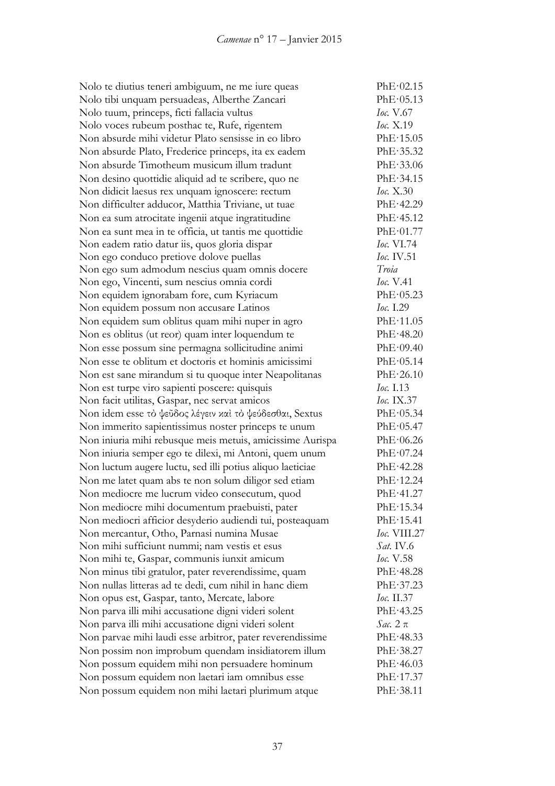Nolo te diutius teneri ambiguum, ne me iure queas PhE·02.15 Nolo tibi unquam persuadeas, Alberthe Zancari PhE·05.13 Nolo tuum, princeps, ficti fallacia vultus *Ioc.* V.67 Nolo voces rubeum posthac te, Rufe, rigentem *Ioc.* X.19 Non absurde mihi videtur Plato sensisse in eo libro PhE·15.05 Non absurde Plato, Frederice princeps, ita ex eadem PhE·35.32 Non absurde Timotheum musicum illum tradunt PhE·33.06 Non desino quottidie aliquid ad te scribere, quo ne PhE·34.15 Non didicit laesus rex unquam ignoscere: rectum *Ioc.* X.30 Non difficulter adducor, Matthia Triviane, ut tuae PhE·42.29 Non ea sum atrocitate ingenii atque ingratitudine PhE·45.12 Non ea sunt mea in te officia, ut tantis me quottidie PhE·01.77 Non eadem ratio datur iis, quos gloria dispar *Ioc.* VI.74 Non ego conduco pretiove dolove puellas *Ioc.* IV.51 Non ego sum admodum nescius quam omnis docere *Troia* Non ego, Vincenti, sum nescius omnia cordi *Ioc.* V.41 Non equidem ignorabam fore, cum Kyriacum PhE·05.23 Non equidem possum non accusare Latinos *Ioc.* I.29 Non equidem sum oblitus quam mihi nuper in agro PhE·11.05 Non es oblitus (ut reor) quam inter loquendum te PhE·48.20 Non esse possum sine permagna sollicitudine animi PhE·09.40 Non esse te oblitum et doctoris et hominis amicissimi PhE·05.14 Non est sane mirandum si tu quoque inter Neapolitanas PhE·26.10 Non est turpe viro sapienti poscere: quisquis *Ioc.* I.13 Non facit utilitas, Gaspar, nec servat amicos *Ioc.* IX.37 Non idem esse τὸ ψεῦδος λέγειν καὶ τὸ ψεύδεσθαι, Sextus PhE·05.34 Non immerito sapientissimus noster princeps te unum PhE·05.47 Non iniuria mihi rebusque meis metuis, amicissime Aurispa PhE·06.26 Non iniuria semper ego te dilexi, mi Antoni, quem unum PhE·07.24 Non luctum augere luctu, sed illi potius aliquo laeticiae PhE·42.28 Non me latet quam abs te non solum diligor sed etiam PhE·12.24 Non mediocre me lucrum video consecutum, quod PhE·41.27 Non mediocre mihi documentum praebuisti, pater PhE·15.34 Non mediocri afficior desyderio audiendi tui, posteaquam PhE·15.41 Non mercantur, Otho, Parnasi numina Musae *Ioc.* VIII.27 Non mihi sufficiunt nummi; nam vestis et esus *Sat.* IV.6 Non mihi te, Gaspar, communis iunxit amicum *Ioc.* V.58 Non minus tibi gratulor, pater reverendissime, quam PhE·48.28 Non nullas litteras ad te dedi, cum nihil in hanc diem PhE·37.23 Non opus est, Gaspar, tanto, Mercate, labore *Ioc.* II.37 Non parva illi mihi accusatione digni videri solent PhE·43.25 Non parva illi mihi accusatione digni videri solent *Sac.* 2 π Non parvae mihi laudi esse arbitror, pater reverendissime PhE·48.33 Non possim non improbum quendam insidiatorem illum PhE·38.27 Non possum equidem mihi non persuadere hominum PhE·46.03 Non possum equidem non laetari iam omnibus esse PhE·17.37 Non possum equidem non mihi laetari plurimum atque PhE·38.11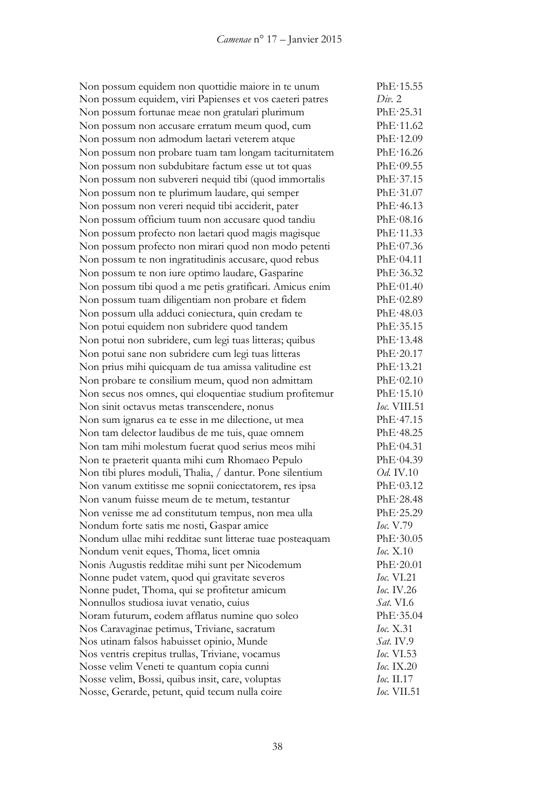Non possum equidem non quottidie maiore in te unum PhE·15.55 Non possum equidem, viri Papienses et vos caeteri patres *Div.* 2 Non possum fortunae meae non gratulari plurimum PhE·25.31 Non possum non accusare erratum meum quod, cum PhE·11.62 Non possum non admodum laetari veterem atque PhE·12.09 Non possum non probare tuam tam longam taciturnitatem PhE·16.26 Non possum non subdubitare factum esse ut tot quas PhE·09.55 Non possum non subvereri nequid tibi (quod immortalis PhE·37.15 Non possum non te plurimum laudare, qui semper PhE·31.07 Non possum non vereri nequid tibi acciderit, pater PhE·46.13 Non possum officium tuum non accusare quod tandiu PhE·08.16 Non possum profecto non laetari quod magis magisque PhE·11.33 Non possum profecto non mirari quod non modo petenti PhE·07.36 Non possum te non ingratitudinis accusare, quod rebus PhE·04.11 Non possum te non iure optimo laudare, Gasparine PhE·36.32 Non possum tibi quod a me petis gratificari. Amicus enim PhE·01.40 Non possum tuam diligentiam non probare et fidem PhE·02.89 Non possum ulla adduci coniectura, quin credam te PhE·48.03 Non potui equidem non subridere quod tandem PhE·35.15 Non potui non subridere, cum legi tuas litteras; quibus PhE·13.48 Non potui sane non subridere cum legi tuas litteras PhE·20.17 Non prius mihi quicquam de tua amissa valitudine est PhE·13.21 Non probare te consilium meum, quod non admittam PhE·02.10 Non secus nos omnes, qui eloquentiae studium profitemur PhE·15.10 Non sinit octavus metas transcendere, nonus *Ioc.* VIII.51 Non sum ignarus ea te esse in me dilectione, ut mea PhE·47.15 Non tam delector laudibus de me tuis, quae omnem PhE·48.25 Non tam mihi molestum fuerat quod serius meos mihi PhE·04.31 Non te praeterit quanta mihi cum Rhomaeo Pepulo PhE·04.39 Non tibi plures moduli, Thalia, / dantur. Pone silentium *Od.* IV.10 Non vanum extitisse me sopnii coniectatorem, res ipsa PhE·03.12 Non vanum fuisse meum de te metum, testantur PhE·28.48 Non venisse me ad constitutum tempus, non mea ulla PhE·25.29 Nondum forte satis me nosti, Gaspar amice *Ioc.* V.79 Nondum ullae mihi redditae sunt litterae tuae posteaquam PhE·30.05 Nondum venit eques, Thoma, licet omnia *Ioc.* X.10 Nonis Augustis redditae mihi sunt per Nicodemum PhE·20.01 Nonne pudet vatem, quod qui gravitate severos *Ioc.* VI.21 Nonne pudet, Thoma, qui se profitetur amicum *Ioc.* IV.26 Nonnullos studiosa iuvat venatio, cuius *Sat.* VI.6 Noram futurum, eodem afflatus numine quo soleo PhE·35.04 Nos Caravaginae petimus, Triviane, sacratum *Ioc.* X.31 Nos utinam falsos habuisset opinio, Munde *Sat.* IV.9 Nos ventris crepitus trullas, Triviane, vocamus *Ioc.* VI.53 Nosse velim Veneti te quantum copia cunni *Ioc.* IX.20 Nosse velim, Bossi, quibus insit, care, voluptas *Ioc.* II.17 Nosse, Gerarde, petunt, quid tecum nulla coire *Ioc.* VII.51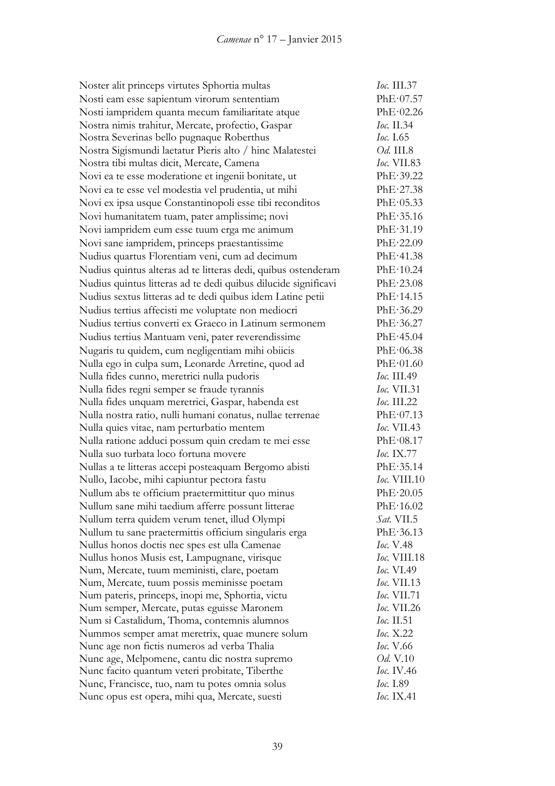| Noster alit princeps virtutes Sphortia multas                  | Ioc. III.37        |
|----------------------------------------------------------------|--------------------|
| Nosti eam esse sapientum virorum sententiam                    | PhE·07.57          |
| Nosti iampridem quanta mecum familiaritate atque               | PhE·02.26          |
| Nostra nimis trahitur, Mercate, profectio, Gaspar              | Ioc. II.34         |
| Nostra Severinas bello pugnaque Roberthus                      | <i>Ioc.</i> 1.65   |
| Nostra Sigismundi laetatur Pieris alto / hinc Malatestei       | <i>Od.</i> III.8   |
| Nostra tibi multas dicit, Mercate, Camena                      | <i>Ioc.</i> VII.83 |
| Novi ea te esse moderatione et ingenii bonitate, ut            | PhE·39.22          |
| Novi ea te esse vel modestia vel prudentia, ut mihi            | PhE·27.38          |
| Novi ex ipsa usque Constantinopoli esse tibi reconditos        | PhE·05.33          |
| Novi humanitatem tuam, pater amplissime; novi                  | PhE·35.16          |
| Novi iampridem eum esse tuum erga me animum                    | PhE·31.19          |
| Novi sane iampridem, princeps praestantissime                  | PhE·22.09          |
|                                                                | PhE·41.38          |
| Nudius quartus Florentiam veni, cum ad decimum                 |                    |
| Nudius quintus alteras ad te litteras dedi, quibus ostenderam  | PhE·10.24          |
| Nudius quintus litteras ad te dedi quibus dilucide significavi | PhE·23.08          |
| Nudius sextus litteras ad te dedi quibus idem Latine petii     | PhE·14.15          |
| Nudius tertius affecisti me voluptate non mediocri             | PhE·36.29          |
| Nudius tertius converti ex Graeco in Latinum sermonem          | PhE·36.27          |
| Nudius tertius Mantuam veni, pater reverendissime              | PhE·45.04          |
| Nugaris tu quidem, cum negligentiam mihi obiicis               | PhE·06.38          |
| Nulla ego in culpa sum, Leonarde Arretine, quod ad             | PhE·01.60          |
| Nulla fides cunno, meretrici nulla pudoris                     | <i>Ioc.</i> III.49 |
| Nulla fides regni semper se fraude tyrannis                    | <i>Ioc.</i> VII.31 |
| Nulla fides unquam meretrici, Gaspar, habenda est              | $loc.$ III.22      |
| Nulla nostra ratio, nulli humani conatus, nullae terrenae      | PhE·07.13          |
| Nulla quies vitae, nam perturbatio mentem                      | <i>Ioc.</i> VII.43 |
| Nulla ratione adduci possum quin credam te mei esse            | PhE·08.17          |
| Nulla suo turbata loco fortuna movere                          | <i>Ioc.</i> IX.77  |
| Nullas a te litteras accepi posteaquam Bergomo abisti          | PhE·35.14          |
| Nullo, Iacobe, mihi capiuntur pectora fastu                    | Ioc. VIII.10       |
| Nullum abs te officium praetermittitur quo minus               | PhE·20.05          |
| Nullum sane mihi taedium afferre possunt litterae              | PhE·16.02          |
| Nullum terra quidem verum tenet, illud Olympi                  | <i>Sat.</i> VII.5  |
| Nullum tu sane praetermittis officium singularis erga          | PhE·36.13          |
| Nullus honos doctis nec spes est ulla Camenae                  | <i>Ioc.</i> V.48   |
| Nullus honos Musis est, Lampugnane, virisque                   | Ioc. VIII.18       |
| Num, Mercate, tuum meministi, clare, poetam                    | <i>Ioc.</i> VI.49  |
| Num, Mercate, tuum possis meminisse poetam                     | Ioc. VII.13        |
| Num pateris, princeps, inopi me, Sphortia, victu               | <i>Ioc.</i> VII.71 |
| Num semper, Mercate, putas eguisse Maronem                     | Ioc. VII.26        |
| Num si Castalidum, Thoma, contemnis alumnos                    | <i>Ioc.</i> II.51  |
| Nummos semper amat meretrix, quae munere solum                 | Ioc. X.22          |
| Nunc age non fictis numeros ad verba Thalia                    | <i>Ioc.</i> V.66   |
| Nunc age, Melpomene, cantu dic nostra supremo                  | <i>Od.</i> V.10    |
| Nunc facito quantum veteri probitate, Tiberthe                 | <i>Ioc.</i> IV.46  |
| Nunc, Francisce, tuo, nam tu potes omnia solus                 | <i>Ioc.</i> I.89   |
| Nunc opus est opera, mihi qua, Mercate, suesti                 | Ioc. IX.41         |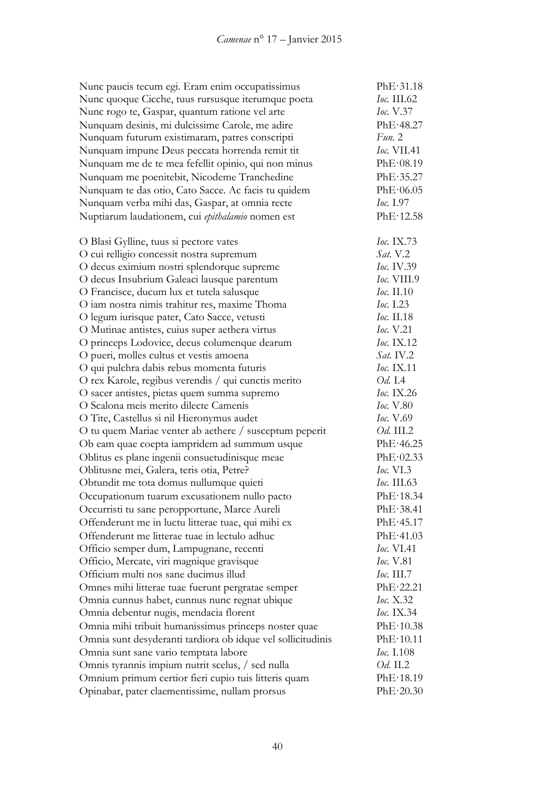| Nunc paucis tecum egi. Eram enim occupatissimus             | PhE·31.18                |
|-------------------------------------------------------------|--------------------------|
| Nunc quoque Cicche, tuus rursusque iterumque poeta          | Ioc. III.62              |
| Nunc rogo te, Gaspar, quantum ratione vel arte              | <i>Ioc.</i> $V.37$       |
| Nunquam desinis, mi dulcissime Carole, me adire             | PhE·48.27                |
| Nunquam futurum existimaram, patres conscripti              | Fun. 2                   |
| Nunquam impune Deus peccata horrenda remit tit              | <i>Ioc.</i> VII.41       |
| Nunquam me de te mea fefellit opinio, qui non minus         | PhE·08.19                |
| Nunquam me poenitebit, Nicodeme Tranchedine                 | PhE.35.27                |
| Nunquam te das otio, Cato Sacce. Ac facis tu quidem         | PhE·06.05                |
| Nunquam verba mihi das, Gaspar, at omnia recte              | <i>Ioc.</i> 1.97         |
| Nuptiarum laudationem, cui epithalamio nomen est            | PhE·12.58                |
|                                                             |                          |
| O Blasi Gylline, tuus si pectore vates                      | Ioc. IX.73               |
| O cui relligio concessit nostra supremum                    | Sat. V.2                 |
| O decus eximium nostri splendorque supreme                  | Ioc. IV.39               |
| O decus Insubrium Galeaci lausque parentum                  | Ioc. VIII.9              |
| O Francisce, ducum lux et tutela salusque                   | Ioc. II.10               |
| O iam nostra nimis trahitur res, maxime Thoma               | Ioc. 1.23                |
| O legum iurisque pater, Cato Sacce, vetusti                 | Ioc. II.18               |
| O Mutinae antistes, cuius super aethera virtus              | <i>Ioc.</i> V.21         |
| O princeps Lodovice, decus columenque dearum                | Ioc. IX.12               |
| O pueri, molles cultus et vestis amoena                     | $Sat.$ IV.2              |
| O qui pulchra dabis rebus momenta futuris                   | Ioc. IX.11               |
| O rex Karole, regibus verendis / qui cunctis merito         | <i>Od.</i> I.4           |
| O sacer antistes, pietas quem summa supremo                 | Ioc. IX.26               |
| O Scalona meis merito dilecte Camenis                       | <i>Ioc.</i> V.80         |
| O Tite, Castellus si nil Hieronymus audet                   | <i>Ioc.</i> V.69         |
| O tu quem Mariae venter ab aethere / susceptum peperit      | <i>Od.</i> III.2         |
| Ob eam quae coepta iampridem ad summum usque                | PhE·46.25                |
| Oblitus es plane ingenii consuetudinisque meae              | PhE·02.33                |
| Oblitusne mei, Galera, teris otia, Petre?                   | <i>Ioc.</i> VI.3         |
| Obtundit me tota domus nullumque quieti                     | <i>Ioc.</i> III.63       |
| Occupationum tuarum excusationem nullo pacto                | PhE·18.34                |
| Occurristi tu sane peropportune, Marce Aureli               | PhE·38.41                |
| Offenderunt me in luctu litterae tuae, qui mihi ex          | PhE·45.17                |
| Offenderunt me litterae tuae in lectulo adhuc               | PhE·41.03                |
| Officio semper dum, Lampugnane, recenti                     | Ioc. VI.41               |
| Officio, Mercate, viri magnique gravisque                   | Ioc. V.81                |
| Officium multi nos sane ducimus illud                       | <i><b>Ioc. III.7</b></i> |
| Omnes mihi litterae tuae fuerunt pergratae semper           | PhE·22.21                |
|                                                             | <i>Ioc.</i> X.32         |
| Omnia cunnus habet, cunnus nunc regnat ubique               | Ioc. IX.34               |
| Omnia debentur nugis, mendacia florent                      | PhE·10.38                |
| Omnia mihi tribuit humanissimus princeps noster quae        |                          |
| Omnia sunt desyderanti tardiora ob idque vel sollicitudinis | PhE·10.11                |
| Omnia sunt sane vario temptata labore                       | <i>Ioc.</i> I.108        |
| Omnis tyrannis impium nutrit scelus, / sed nulla            | Od. II.2                 |
| Omnium primum certior fieri cupio tuis litteris quam        | PhE·18.19                |
| Opinabar, pater claementissime, nullam prorsus              | PhE·20.30                |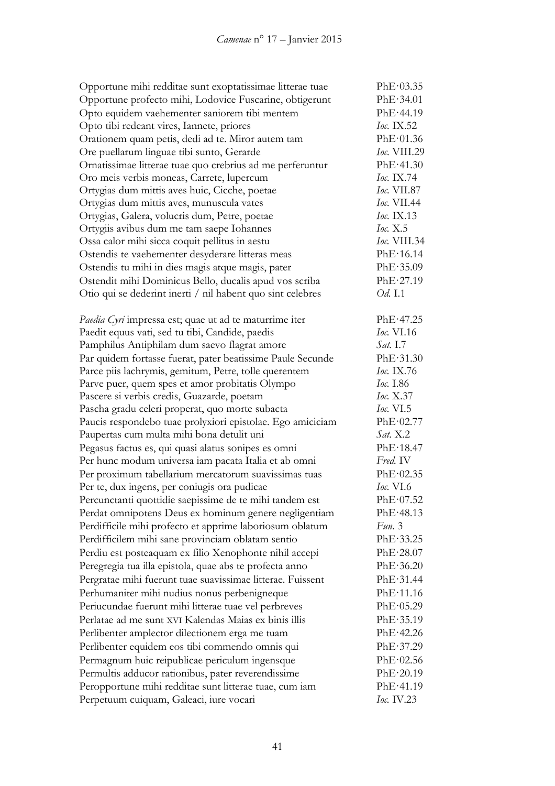| Opportune mihi redditae sunt exoptatissimae litterae tuae  | PhE·03.35           |
|------------------------------------------------------------|---------------------|
| Opportune profecto mihi, Lodovice Fuscarine, obtigerunt    | PhE·34.01           |
| Opto equidem vaehementer saniorem tibi mentem              | PhE·44.19           |
| Opto tibi redeant vires, Iannete, priores                  | Ioc. $IX.52$        |
| Orationem quam petis, dedi ad te. Miror autem tam          | PhE·01.36           |
| Ore puellarum linguae tibi sunto, Gerarde                  | Ioc. VIII.29        |
| Ornatissimae litterae tuae quo crebrius ad me perferuntur  | PhE·41.30           |
| Oro meis verbis moneas, Carrete, lupercum                  | Ioc. IX.74          |
| Ortygias dum mittis aves huic, Cicche, poetae              | <b>Ioc.</b> VII.87  |
| Ortygias dum mittis aves, munuscula vates                  | <i>Ioc.</i> VII.44  |
| Ortygias, Galera, volucris dum, Petre, poetae              | <i>Ioc.</i> IX.13   |
| Ortygiis avibus dum me tam saepe Iohannes                  | loc. X.5            |
| Ossa calor mihi sicca coquit pellitus in aestu             | <i>Ioc.</i> VIII.34 |
| Ostendis te vaehementer desyderare litteras meas           | PhE·16.14           |
| Ostendis tu mihi in dies magis atque magis, pater          | PhE·35.09           |
| Ostendit mihi Dominicus Bello, ducalis apud vos scriba     | PhE·27.19           |
| Otio qui se dederint inerti / nil habent quo sint celebres | Od. I.1             |
|                                                            |                     |
| Paedia Cyri impressa est; quae ut ad te maturrime iter     | PhE·47.25           |
| Paedit equus vati, sed tu tibi, Candide, paedis            | <i>Ioc.</i> VI.16   |
| Pamphilus Antiphilam dum saevo flagrat amore               | <i>Sat.</i> I.7     |
| Par quidem fortasse fuerat, pater beatissime Paule Secunde | PhE·31.30           |
| Parce piis lachrymis, gemitum, Petre, tolle querentem      | <i>Ioc.</i> IX.76   |
| Parve puer, quem spes et amor probitatis Olympo            | <i>Ioc.</i> I.86    |
| Pascere si verbis credis, Guazarde, poetam                 | <i>Ioc.</i> X.37    |
| Pascha gradu celeri properat, quo morte subacta            | <i>Ioc.</i> $VI.5$  |
| Paucis respondebo tuae prolyxiori epistolae. Ego amiciciam | PhE·02.77           |
| Paupertas cum multa mihi bona detulit uni                  | Sat. X.2            |
| Pegasus factus es, qui quasi alatus sonipes es omni        | PhE·18.47           |
| Per hunc modum universa iam pacata Italia et ab omni       | Fred. IV            |
| Per proximum tabellarium mercatorum suavissimas tuas       | PhE·02.35           |
| Per te, dux ingens, per coniugis ora pudicae               | <b>Ioc.</b> VI.6    |
| Percunctanti quottidie saepissime de te mihi tandem est    | PhE·07.52           |
| Perdat omnipotens Deus ex hominum genere negligentiam      | PhE·48.13           |
| Perdifficile mihi profecto et apprime laboriosum oblatum   | Fun. 3              |
| Perdifficilem mihi sane provinciam oblatam sentio          | PhE.33.25           |
| Perdiu est posteaquam ex filio Xenophonte nihil accepi     | PhE·28.07           |
| Peregregia tua illa epistola, quae abs te profecta anno    | PhE·36.20           |
| Pergratae mihi fuerunt tuae suavissimae litterae. Fuissent | PhE·31.44           |
| Perhumaniter mihi nudius nonus perbenigneque               | PhE·11.16           |
| Periucundae fuerunt mihi litterae tuae vel perbreves       | PhE·05.29           |
| Perlatae ad me sunt XVI Kalendas Maias ex binis illis      | PhE·35.19           |
|                                                            |                     |
| Perlibenter amplector dilectionem erga me tuam             | PhE·42.26           |
| Perlibenter equidem eos tibi commendo omnis qui            | PhE·37.29           |
| Permagnum huic reipublicae periculum ingensque             | PhE·02.56           |
| Permultis adducor rationibus, pater reverendissime         | PhE·20.19           |
| Peropportune mihi redditae sunt litterae tuae, cum iam     | PhE·41.19           |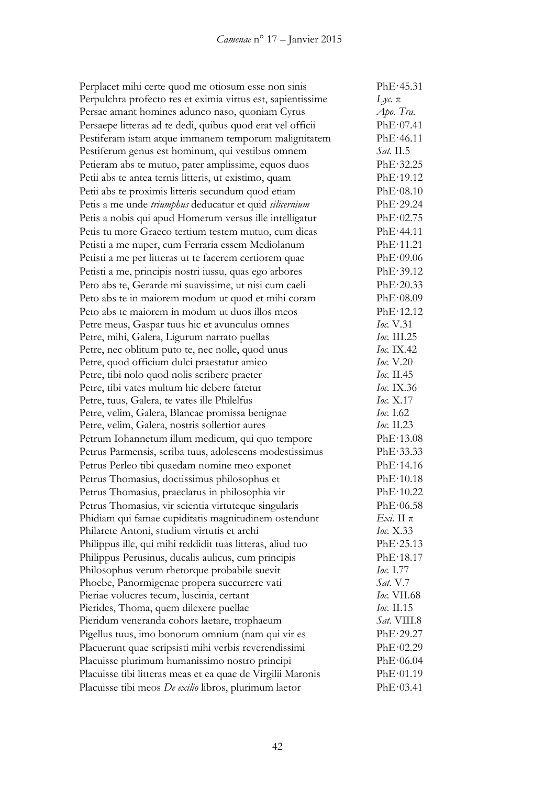| Perplacet mihi certe quod me otiosum esse non sinis         | PhE·45.31          |
|-------------------------------------------------------------|--------------------|
| Perpulchra profecto res et eximia virtus est, sapientissime | $Lyc$ .π           |
| Persae amant homines adunco naso, quoniam Cyrus             | Apo. Tra.          |
| Persaepe litteras ad te dedi, quibus quod erat vel officii  | PhE·07.41          |
| Pestiferam istam atque immanem temporum malignitatem        | PhE·46.11          |
| Pestiferum genus est hominum, qui vestibus omnem            | Sat. II.5          |
| Petieram abs te mutuo, pater amplissime, equos duos         | PhE.32.25          |
| Petii abs te antea ternis litteris, ut existimo, quam       | PhE-19.12          |
| Petii abs te proximis litteris secundum quod etiam          | PhE·08.10          |
| Petis a me unde triumphus deducatur et quid silicernium     | PhE·29.24          |
| Petis a nobis qui apud Homerum versus ille intelligatur     | PhE·02.75          |
| Petis tu more Graeco tertium testem mutuo, cum dicas        | PhE·44.11          |
| Petisti a me nuper, cum Ferraria essem Mediolanum           | PhE·11.21          |
| Petisti a me per litteras ut te facerem certiorem quae      | PhE·09.06          |
| Petisti a me, principis nostri iussu, quas ego arbores      | PhE·39.12          |
| Peto abs te, Gerarde mi suavissime, ut nisi cum caeli       | PhE·20.33          |
| Peto abs te in maiorem modum ut quod et mihi coram          | PhE·08.09          |
| Peto abs te majorem in modum ut duos illos meos             | PhE·12.12          |
| Petre meus, Gaspar tuus hic et avunculus omnes              | <i>Ioc.</i> V.31   |
| Petre, mihi, Galera, Ligurum narrato puellas                | <i>Ioc.</i> III.25 |
| Petre, nec oblitum puto te, nec nolle, quod unus            | <i>Ioc.</i> IX.42  |
| Petre, quod officium dulci praestatur amico                 | <i>Ioc.</i> V.20   |
| Petre, tibi nolo quod nolis scribere praeter                | <i>Ioc.</i> II.45  |
| Petre, tibi vates multum hic debere fatetur                 | <i>Ioc.</i> IX.36  |
| Petre, tuus, Galera, te vates ille Philelfus                | <i>Ioc.</i> X.17   |
| Petre, velim, Galera, Blancae promissa benignae             | <i>Ioc.</i> I.62   |
| Petre, velim, Galera, nostris sollertior aures              | Ioc. $II.23$       |
| Petrum Iohannetum illum medicum, qui quo tempore            | PhE·13.08          |
| Petrus Parmensis, scriba tuus, adolescens modestissimus     | PhE-33.33          |
| Petrus Perleo tibi quaedam nomine meo exponet               | PhE·14.16          |
| Petrus Thomasius, doctissimus philosophus et                | PhE·10.18          |
| Petrus Thomasius, praeclarus in philosophia vir             | PhE·10.22          |
| Petrus Thomasius, vir scientia virtuteque singularis        | PhE·06.58          |
| Phidiam qui famae cupiditatis magnitudinem ostendunt        | Exi. Η π           |
| Philarete Antoni, studium virtutis et archi                 | <i>Ioc.</i> X.33   |
| Philippus ille, qui mihi reddidit tuas litteras, aliud tuo  | PhE·25.13          |
| Philippus Perusinus, ducalis aulicus, cum principis         | PhE·18.17          |
| Philosophus verum rhetorque probabile suevit                | Ioc. 1.77          |
| Phoebe, Panormigenae propera succurrere vati                | Sat. V.7           |
| Pieriae volucres tecum, luscinia, certant                   | <b>Ioc.</b> VII.68 |
| Pierides, Thoma, quem dilexere puellae                      | Ioc. II.15         |
| Pieridum veneranda cohors laetare, trophaeum                | Sat. VIII.8        |
| Pigellus tuus, imo bonorum omnium (nam qui vir es           | PhE·29.27          |
| Placuerunt quae scripsisti mihi verbis reverendissimi       | PhE·02.29          |
| Placuisse plurimum humanissimo nostro principi              | PhE·06.04          |
| Placuisse tibi litteras meas et ea quae de Virgilii Maronis | PhE·01.19          |
| Placuisse tibi meos De exilio libros, plurimum laetor       | PhE·03.41          |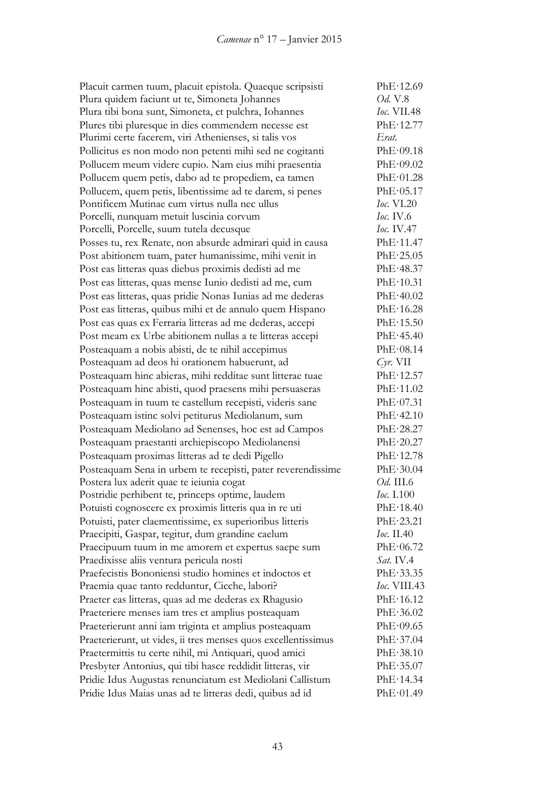Placuit carmen tuum, placuit epistola. Quaeque scripsisti PhE·12.69 Plura quidem faciunt ut te, Simoneta Johannes *Od.* V.8 Plura tibi bona sunt, Simoneta, et pulchra, Iohannes *Ioc.* VII.48 Plures tibi pluresque in dies commendem necesse est PhE·12.77 Plurimi certe facerem, viri Athenienses, si talis vos *Erat.* Pollicitus es non modo non petenti mihi sed ne cogitanti PhE·09.18 Pollucem meum videre cupio. Nam eius mihi praesentia PhE·09.02 Pollucem quem petis, dabo ad te propediem, ea tamen PhE·01.28 Pollucem, quem petis, libentissime ad te darem, si penes PhE·05.17 Pontificem Mutinae cum virtus nulla nec ullus *Ioc.* VI.20 Porcelli, nunquam metuit luscinia corvum *Ioc.* IV.6 Porcelli, Porcelle, suum tutela decusque *Ioc.* IV.47 Posses tu, rex Renate, non absurde admirari quid in causa PhE·11.47 Post abitionem tuam, pater humanissime, mihi venit in PhE·25.05 Post eas litteras quas diebus proximis dedisti ad me PhE·48.37 Post eas litteras, quas mense Iunio dedisti ad me, cum PhE·10.31 Post eas litteras, quas pridie Nonas Iunias ad me dederas PhE·40.02 Post eas litteras, quibus mihi et de annulo quem Hispano PhE·16.28 Post eas quas ex Ferraria litteras ad me dederas, accepi PhE·15.50 Post meam ex Urbe abitionem nullas a te litteras accepi PhE·45.40 Posteaquam a nobis abisti, de te nihil accepimus PhE·08.14 Posteaquam ad deos hi orationem habuerunt, ad *Cyr.* VII Posteaquam hinc abieras, mihi redditae sunt litterae tuae PhE·12.57 Posteaquam hinc abisti, quod praesens mihi persuaseras PhE·11.02 Posteaquam in tuum te castellum recepisti, videris sane PhE·07.31 Posteaquam istinc solvi petiturus Mediolanum, sum PhE·42.10 Posteaquam Mediolano ad Senenses, hoc est ad Campos PhE·28.27 Posteaquam praestanti archiepiscopo Mediolanensi PhE·20.27 Posteaquam proximas litteras ad te dedi Pigello PhE·12.78 Posteaquam Sena in urbem te recepisti, pater reverendissime PhE·30.04 Postera lux aderit quae te ieiunia cogat *Od.* III.6 Postridie perhibent te, princeps optime, laudem *Ioc.* I.100 Potuisti cognoscere ex proximis litteris qua in re uti PhE·18.40 Potuisti, pater claementissime, ex superioribus litteris PhE·23.21 Praecipiti, Gaspar, tegitur, dum grandine caelum *Ioc.* II.40 Praecipuum tuum in me amorem et expertus saepe sum PhE·06.72 Praedixisse aliis ventura pericula nosti *Sat.* IV.4 Praefecistis Bononiensi studio homines et indoctos et PhE·33.35 Praemia quae tanto redduntur, Cicche, labori? *Ioc.* VIII.43 Praeter eas litteras, quas ad me dederas ex Rhagusio PhE·16.12 Praeteriere menses iam tres et amplius posteaquam PhE·36.02 Praeterierunt anni iam triginta et amplius posteaquam PhE·09.65 Praeterierunt, ut vides, ii tres menses quos excellentissimus PhE·37.04 Praetermittis tu certe nihil, mi Antiquari, quod amici PhE·38.10 Presbyter Antonius, qui tibi hasce reddidit litteras, vir PhE·35.07 Pridie Idus Augustas renunciatum est Mediolani Callistum PhE·14.34 Pridie Idus Maias unas ad te litteras dedi, quibus ad id PhE·01.49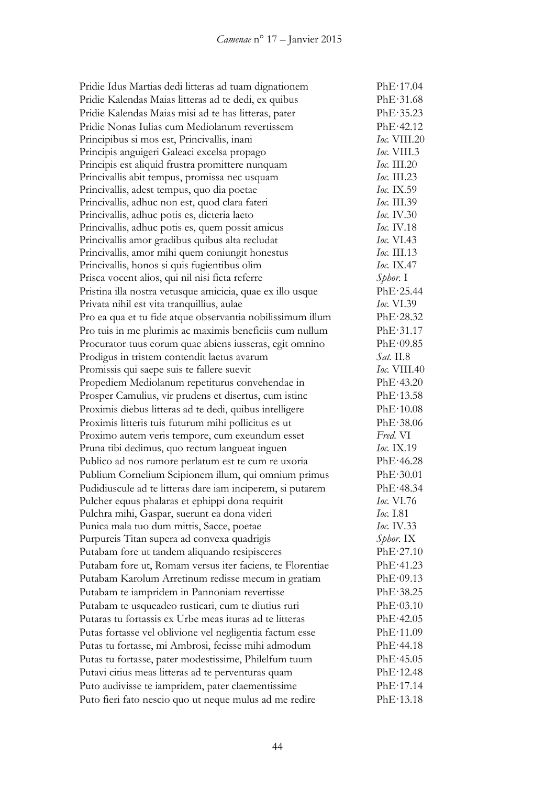| Pridie Idus Martias dedi litteras ad tuam dignationem      | PhE·17.04           |
|------------------------------------------------------------|---------------------|
| Pridie Kalendas Maias litteras ad te dedi, ex quibus       | PhE·31.68           |
| Pridie Kalendas Maias misi ad te has litteras, pater       | PhE.35.23           |
| Pridie Nonas Iulias cum Mediolanum revertissem             | PhE·42.12           |
| Principibus si mos est, Princivallis, inani                | Ioc. VIII.20        |
| Principis anguigeri Galeaci excelsa propago                | $loc.$ VIII.3       |
| Principis est aliquid frustra promittere nunquam           | Ioc. III.20         |
| Princivallis abit tempus, promissa nec usquam              | Ioc. III.23         |
| Princivallis, adest tempus, quo dia poetae                 | <i>Ioc.</i> IX.59   |
| Princivallis, adhuc non est, quod clara fateri             | <i>Ioc.</i> III.39  |
| Princivallis, adhuc potis es, dicteria laeto               | <i>Ioc.</i> IV.30   |
| Princivallis, adhuc potis es, quem possit amicus           | Ioc. IV.18          |
| Princivallis amor gradibus quibus alta recludat            | <i>Ioc.</i> VI.43   |
| Princivallis, amor mihi quem coniungit honestus            | <i>Ioc.</i> III.13  |
| Princivallis, honos si quis fugientibus olim               | Ioc. IX.47          |
| Prisca vocent alios, qui nil nisi ficta referre            | $Sphor.$ I          |
| Pristina illa nostra vetusque amicicia, quae ex illo usque | PhE·25.44           |
| Privata nihil est vita tranquillius, aulae                 | <i>Ioc.</i> VI.39   |
| Pro ea qua et tu fide atque observantia nobilissimum illum | PhE·28.32           |
| Pro tuis in me plurimis ac maximis beneficiis cum nullum   | PhE·31.17           |
| Procurator tuus eorum quae abiens iusseras, egit omnino    | PhE·09.85           |
| Prodigus in tristem contendit laetus avarum                | <i>Sat.</i> II.8    |
| Promissis qui saepe suis te fallere suevit                 | <i>Ioc.</i> VIII.40 |
| Propediem Mediolanum repetiturus convehendae in            | PhE·43.20           |
| Prosper Camulius, vir prudens et disertus, cum istinc      | PhE·13.58           |
| Proximis diebus litteras ad te dedi, quibus intelligere    | PhE·10.08           |
| Proximis litteris tuis futurum mihi pollicitus es ut       | PhE·38.06           |
| Proximo autem veris tempore, cum exeundum esset            | Fred. VI            |
| Pruna tibi dedimus, quo rectum langueat inguen             | $loc.$ IX.19        |
| Publico ad nos rumore perlatum est te cum re uxoria        | PhE·46.28           |
| Publium Cornelium Scipionem illum, qui omnium primus       | PhE·30.01           |
| Pudidiuscule ad te litteras dare iam inciperem, si putarem | PhE·48.34           |
| Pulcher equus phalaras et ephippi dona requirit            | <i>Ioc.</i> VI.76   |
| Pulchra mihi, Gaspar, suerunt ea dona videri               | <i>Ioc.</i> I.81    |
| Punica mala tuo dum mittis, Sacce, poetae                  | <i>Ioc.</i> IV.33   |
| Purpureis Titan supera ad convexa quadrigis                | Sphor. IX           |
| Putabam fore ut tandem aliquando resipisceres              | PhE·27.10           |
| Putabam fore ut, Romam versus iter faciens, te Florentiae  | PhE·41.23           |
| Putabam Karolum Arretinum redisse mecum in gratiam         | PhE·09.13           |
| Putabam te iampridem in Pannoniam revertisse               | PhE·38.25           |
| Putabam te usqueadeo rusticari, cum te diutius ruri        | PhE·03.10           |
| Putaras tu fortassis ex Urbe meas ituras ad te litteras    | PhE·42.05           |
| Putas fortasse vel oblivione vel negligentia factum esse   | PhE·11.09           |
| Putas tu fortasse, mi Ambrosi, fecisse mihi admodum        | PhE·44.18           |
| Putas tu fortasse, pater modestissime, Philelfum tuum      | PhE·45.05           |
| Putavi citius meas litteras ad te perventuras quam         | PhE·12.48           |
| Puto audivisse te iampridem, pater claementissime          | PhE·17.14           |
| Puto fieri fato nescio quo ut neque mulus ad me redire     | PhE·13.18           |
|                                                            |                     |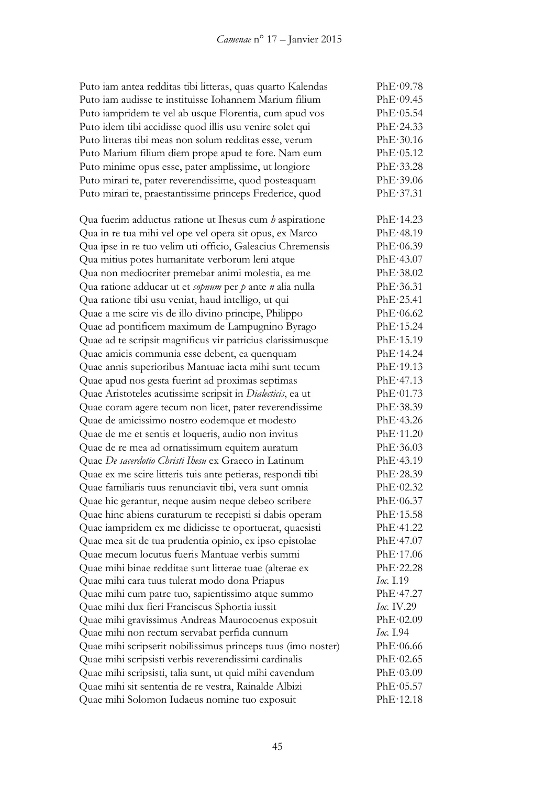| Puto iam antea redditas tibi litteras, quas quarto Kalendas  | PhE·09.78         |
|--------------------------------------------------------------|-------------------|
| Puto iam audisse te instituisse Iohannem Marium filium       | PhE·09.45         |
| Puto iampridem te vel ab usque Florentia, cum apud vos       | PhE·05.54         |
| Puto idem tibi accidisse quod illis usu venire solet qui     | PhE·24.33         |
| Puto litteras tibi meas non solum redditas esse, verum       | PhE·30.16         |
| Puto Marium filium diem prope apud te fore. Nam eum          | PhE·05.12         |
| Puto minime opus esse, pater amplissime, ut longiore         | PhE·33.28         |
| Puto mirari te, pater reverendissime, quod posteaquam        | PhE.39.06         |
| Puto mirari te, praestantissime princeps Frederice, quod     | PhE·37.31         |
| Qua fuerim adductus ratione ut Ihesus cum $b$ aspiratione    | PhE·14.23         |
| Qua in re tua mihi vel ope vel opera sit opus, ex Marco      | PhE·48.19         |
| Qua ipse in re tuo velim uti officio, Galeacius Chremensis   | PhE·06.39         |
| Qua mitius potes humanitate verborum leni atque              | PhE·43.07         |
| Qua non mediocriter premebar animi molestia, ea me           | PhE·38.02         |
| Qua ratione adducar ut et sopnum per p ante n alia nulla     | PhE·36.31         |
| Qua ratione tibi usu veniat, haud intelligo, ut qui          | PhE·25.41         |
| Quae a me scire vis de illo divino principe, Philippo        | PhE·06.62         |
| Quae ad pontificem maximum de Lampugnino Byrago              | PhE·15.24         |
| Quae ad te scripsit magnificus vir patricius clarissimusque  | PhE·15.19         |
| Quae amicis communia esse debent, ea quenquam                | PhE·14.24         |
| Quae annis superioribus Mantuae iacta mihi sunt tecum        | PhE·19.13         |
| Quae apud nos gesta fuerint ad proximas septimas             | PhE·47.13         |
| Quae Aristoteles acutissime scripsit in Dialecticis, ea ut   | PhE·01.73         |
| Quae coram agere tecum non licet, pater reverendissime       | PhE.38.39         |
| Quae de amicissimo nostro eodemque et modesto                | PhE.43.26         |
| Quae de me et sentis et loqueris, audio non invitus          | PhE·11.20         |
| Quae de re mea ad ornatissimum equitem auratum               | PhE·36.03         |
| Quae De sacerdotio Christi Ihesu ex Graeco in Latinum        | PhE·43.19         |
| Quae ex me scire litteris tuis ante petieras, respondi tibi  | PhE·28.39         |
| Quae familiaris tuus renunciavit tibi, vera sunt omnia       | PhE·02.32         |
| Quae hic gerantur, neque ausim neque debeo scribere          | PhE·06.37         |
| Quae hinc abiens curaturum te recepisti si dabis operam      | PhE·15.58         |
| Quae iampridem ex me didicisse te oportuerat, quaesisti      | PhE·41.22         |
| Quae mea sit de tua prudentia opinio, ex ipso epistolae      | PhE·47.07         |
| Quae mecum locutus fueris Mantuae verbis summi               | PhE·17.06         |
| Quae mihi binae redditae sunt litterae tuae (alterae ex      | PhE·22.28         |
| Quae mihi cara tuus tulerat modo dona Priapus                | Ioc. I.19         |
| Quae mihi cum patre tuo, sapientissimo atque summo           | PhE·47.27         |
| Quae mihi dux fieri Franciscus Sphortia iussit               | <i>Ioc.</i> IV.29 |
| Quae mihi gravissimus Andreas Maurocoenus exposuit           | PhE·02.09         |
| Quae mihi non rectum servabat perfida cunnum                 | Ioc. 1.94         |
| Quae mihi scripserit nobilissimus princeps tuus (imo noster) | PhE·06.66         |
| Quae mihi scripsisti verbis reverendissimi cardinalis        | PhE·02.65         |
| Quae mihi scripsisti, talia sunt, ut quid mihi cavendum      | PhE·03.09         |
| Quae mihi sit sententia de re vestra, Rainalde Albizi        | PhE·05.57         |
| Quae mihi Solomon Iudaeus nomine tuo exposuit                | PhE·12.18         |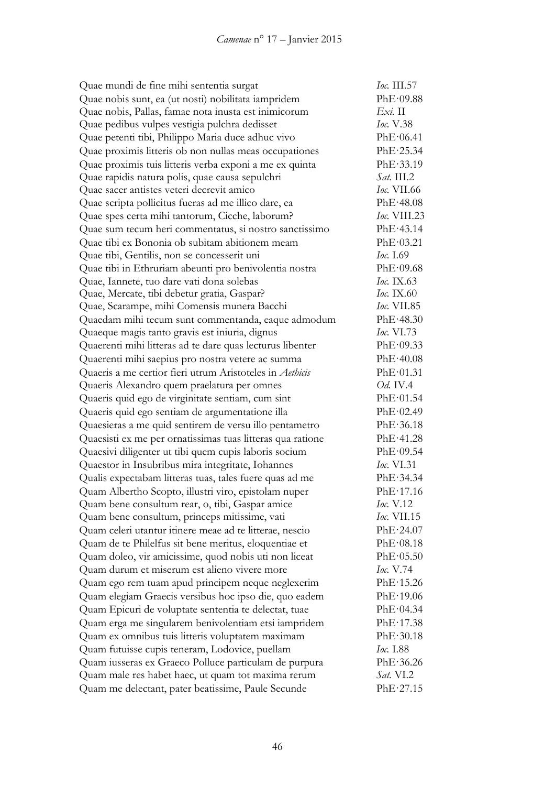| Quae mundi de fine mihi sententia surgat                   | <i>Ioc.</i> III.57 |
|------------------------------------------------------------|--------------------|
| Quae nobis sunt, ea (ut nosti) nobilitata iampridem        | PhE·09.88          |
| Quae nobis, Pallas, famae nota inusta est inimicorum       | $Exi$ . II         |
| Quae pedibus vulpes vestigia pulchra dedisset              | <i>Ioc.</i> V.38   |
| Quae petenti tibi, Philippo Maria duce adhuc vivo          | PhE·06.41          |
| Quae proximis litteris ob non nullas meas occupationes     | PhE·25.34          |
| Quae proximis tuis litteris verba exponi a me ex quinta    | PhE.33.19          |
| Quae rapidis natura polis, quae causa sepulchri            | $Sat.$ III.2       |
| Quae sacer antistes veteri decrevit amico                  | <i>Ioc.</i> VII.66 |
| Quae scripta pollicitus fueras ad me illico dare, ea       | PhE·48.08          |
| Quae spes certa mihi tantorum, Cicche, laborum?            | Ioc. VIII.23       |
| Quae sum tecum heri commentatus, si nostro sanctissimo     | PhE·43.14          |
| Quae tibi ex Bononia ob subitam abitionem meam             | PhE·03.21          |
| Quae tibi, Gentilis, non se concesserit uni                | Ioc. 1.69          |
| Quae tibi in Ethruriam abeunti pro benivolentia nostra     | PhE·09.68          |
| Quae, Iannete, tuo dare vati dona solebas                  | Ioc. IX.63         |
| Quae, Mercate, tibi debetur gratia, Gaspar?                | <i>Ioc.</i> IX.60  |
| Quae, Scarampe, mihi Comensis munera Bacchi                | <i>Ioc.</i> VII.85 |
| Quaedam mihi tecum sunt commentanda, eaque admodum         | PhE·48.30          |
| Quaeque magis tanto gravis est iniuria, dignus             | Ioc. $VI.73$       |
| Quaerenti mihi litteras ad te dare quas lecturus libenter  | PhE·09.33          |
| Quaerenti mihi saepius pro nostra vetere ac summa          | PhE·40.08          |
| Quaeris a me certior fieri utrum Aristoteles in Aethicis   | PhE·01.31          |
| Quaeris Alexandro quem praelatura per omnes                | <i>Od.</i> IV.4    |
| Quaeris quid ego de virginitate sentiam, cum sint          | PhE·01.54          |
| Quaeris quid ego sentiam de argumentatione illa            | PhE·02.49          |
| Quaesieras a me quid sentirem de versu illo pentametro     | PhE·36.18          |
| Quaesisti ex me per ornatissimas tuas litteras qua ratione | PhE·41.28          |
| Quaesivi diligenter ut tibi quem cupis laboris socium      | PhE·09.54          |
| Quaestor in Insubribus mira integritate, Iohannes          | <i>Ioc.</i> VI.31  |
| Qualis expectabam litteras tuas, tales fuere quas ad me    | PhE·34.34          |
| Quam Albertho Scopto, illustri viro, epistolam nuper       | PhE·17.16          |
| Quam bene consultum rear, o, tibi, Gaspar amice            | Ioc. V.12          |
| Quam bene consultum, princeps mitissime, vati              | <i>Ioc.</i> VII.15 |
| Quam celeri utantur itinere meae ad te litterae, nescio    | PhE·24.07          |
| Quam de te Philelfus sit bene meritus, eloquentiae et      | PhE·08.18          |
| Quam doleo, vir amicissime, quod nobis uti non liceat      | PhE·05.50          |
| Quam durum et miserum est alieno vivere more               | <i>Ioc.</i> V.74   |
| Quam ego rem tuam apud principem neque neglexerim          | PhE·15.26          |
| Quam elegiam Graecis versibus hoc ipso die, quo eadem      | PhE·19.06          |
| Quam Epicuri de voluptate sententia te delectat, tuae      | PhE·04.34          |
| Quam erga me singularem benivolentiam etsi iampridem       | PhE·17.38          |
| Quam ex omnibus tuis litteris voluptatem maximam           | PhE·30.18          |
| Quam futuisse cupis teneram, Lodovice, puellam             | <i>Ioc.</i> I.88   |
| Quam iusseras ex Graeco Polluce particulam de purpura      | PhE·36.26          |
| Quam male res habet haec, ut quam tot maxima rerum         | Sat. VI.2          |
| Quam me delectant, pater beatissime, Paule Secunde         | PhE·27.15          |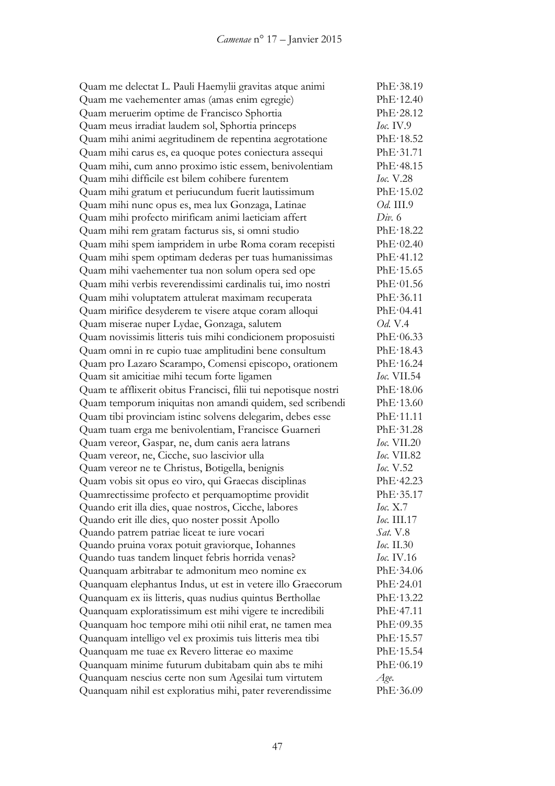Quam me delectat L. Pauli Haemylii gravitas atque animi PhE·38.19 Quam me vaehementer amas (amas enim egregie) PhE·12.40 Quam meruerim optime de Francisco Sphortia PhE·28.12 Quam meus irradiat laudem sol, Sphortia princeps *Ioc.* IV.9 Quam mihi animi aegritudinem de repentina aegrotatione PhE·18.52 Quam mihi carus es, ea quoque potes coniectura assequi PhE·31.71 Quam mihi, cum anno proximo istic essem, benivolentiam PhE·48.15 Quam mihi difficile est bilem cohibere furentem *Ioc.* V.28 Quam mihi gratum et periucundum fuerit lautissimum PhE·15.02 Quam mihi nunc opus es, mea lux Gonzaga, Latinae *Od.* III.9 Quam mihi profecto mirificam animi laeticiam affert *Div.* 6 Quam mihi rem gratam facturus sis, si omni studio PhE·18.22 Quam mihi spem iampridem in urbe Roma coram recepisti PhE·02.40 Quam mihi spem optimam dederas per tuas humanissimas PhE·41.12 Quam mihi vaehementer tua non solum opera sed ope PhE·15.65 Quam mihi verbis reverendissimi cardinalis tui, imo nostri PhE·01.56 Quam mihi voluptatem attulerat maximam recuperata PhE·36.11 Quam mirifice desyderem te visere atque coram alloqui PhE·04.41 Quam miserae nuper Lydae, Gonzaga, salutem *Od.* V.4 Quam novissimis litteris tuis mihi condicionem proposuisti PhE·06.33 Quam omni in re cupio tuae amplitudini bene consultum PhE·18.43 Quam pro Lazaro Scarampo, Comensi episcopo, orationem PhE·16.24 Quam sit amicitiae mihi tecum forte ligamen *Ioc.* VII.54 Quam te afflixerit obitus Francisci, filii tui nepotisque nostri PhE·18.06 Quam temporum iniquitas non amandi quidem, sed scribendi PhE·13.60 Quam tibi provinciam istinc solvens delegarim, debes esse PhE·11.11 Quam tuam erga me benivolentiam, Francisce Guarneri PhE·31.28 Quam vereor, Gaspar, ne, dum canis aera latrans *Ioc.* VII.20 Quam vereor, ne, Cicche, suo lascivior ulla *Ioc.* VII.82 Quam vereor ne te Christus, Botigella, benignis *Ioc.* V.52 Quam vobis sit opus eo viro, qui Graecas disciplinas PhE·42.23 Quamrectissime profecto et perquamoptime providit PhE·35.17 Quando erit illa dies, quae nostros, Cicche, labores *Ioc.* X.7 Quando erit ille dies, quo noster possit Apollo *Ioc.* III.17 Quando patrem patriae liceat te iure vocari *Sat.* V.8 Quando pruina vorax potuit graviorque, Iohannes *Ioc.* II.30 Quando tuas tandem linquet febris horrida venas? *Ioc.* IV.16 Quanquam arbitrabar te admonitum meo nomine ex PhE·34.06 Quanquam elephantus Indus, ut est in vetere illo Graecorum PhE·24.01 Quanquam ex iis litteris, quas nudius quintus Berthollae PhE·13.22 Quanquam exploratissimum est mihi vigere te incredibili PhE·47.11 Quanquam hoc tempore mihi otii nihil erat, ne tamen mea PhE·09.35 Quanquam intelligo vel ex proximis tuis litteris mea tibi PhE·15.57 Quanquam me tuae ex Revero litterae eo maxime PhE·15.54 Quanquam minime futurum dubitabam quin abs te mihi PhE·06.19 Quanquam nescius certe non sum Agesilai tum virtutem *Age.* Quanquam nihil est exploratius mihi, pater reverendissime PhE·36.09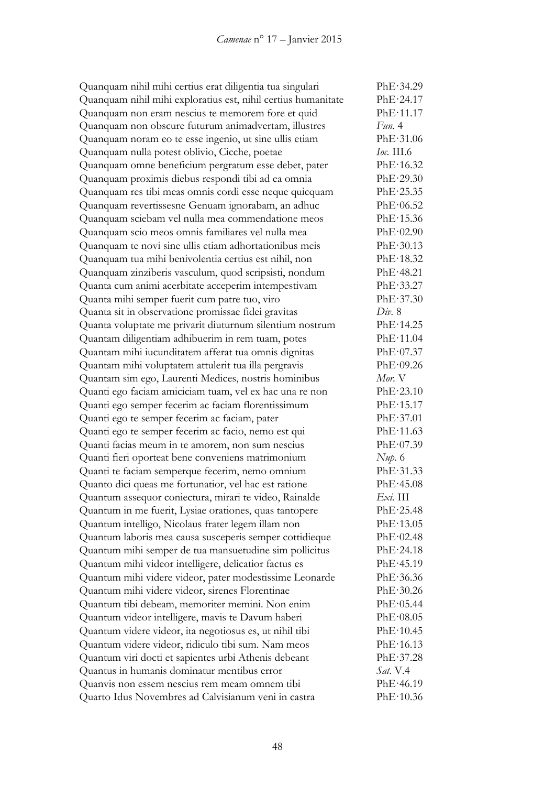Quanquam nihil mihi certius erat diligentia tua singulari PhE·34.29 Quanquam nihil mihi exploratius est, nihil certius humanitate PhE·24.17 Quanquam non eram nescius te memorem fore et quid PhE·11.17 Quanquam non obscure futurum animadvertam, illustres *Fun.* 4 Quanquam noram eo te esse ingenio, ut sine ullis etiam PhE·31.06 Quanquam nulla potest oblivio, Cicche, poetae *Ioc.* III.6 Quanquam omne beneficium pergratum esse debet, pater PhE·16.32 Quanquam proximis diebus respondi tibi ad ea omnia PhE·29.30 Quanquam res tibi meas omnis cordi esse neque quicquam PhE·25.35 Quanquam revertissesne Genuam ignorabam, an adhuc PhE·06.52 Quanquam sciebam vel nulla mea commendatione meos PhE·15.36 Quanquam scio meos omnis familiares vel nulla mea PhE·02.90 Quanquam te novi sine ullis etiam adhortationibus meis PhE·30.13 Quanquam tua mihi benivolentia certius est nihil, non PhE·18.32 Quanquam zinziberis vasculum, quod scripsisti, nondum PhE·48.21 Quanta cum animi acerbitate acceperim intempestivam PhE·33.27 Quanta mihi semper fuerit cum patre tuo, viro PhE·37.30 Quanta sit in observatione promissae fidei gravitas *Div.* 8 Quanta voluptate me privarit diuturnum silentium nostrum PhE·14.25 Quantam diligentiam adhibuerim in rem tuam, potes PhE·11.04 Quantam mihi iucunditatem afferat tua omnis dignitas PhE·07.37 Quantam mihi voluptatem attulerit tua illa pergravis PhE·09.26 Quantam sim ego, Laurenti Medices, nostris hominibus *Mor.* V Quanti ego faciam amiciciam tuam, vel ex hac una re non PhE·23.10 Quanti ego semper fecerim ac faciam florentissimum PhE·15.17 Quanti ego te semper fecerim ac faciam, pater PhE·37.01 Quanti ego te semper fecerim ac facio, nemo est qui PhE·11.63 Quanti facias meum in te amorem, non sum nescius PhE·07.39 Quanti fieri oporteat bene conveniens matrimonium *Nup.* 6 Quanti te faciam semperque fecerim, nemo omnium PhE·31.33 Quanto dici queas me fortunatior, vel hac est ratione PhE·45.08 Quantum assequor coniectura, mirari te video, Rainalde *Exi.* III Quantum in me fuerit, Lysiae orationes, quas tantopere PhE·25.48 Quantum intelligo, Nicolaus frater legem illam non PhE·13.05 Quantum laboris mea causa susceperis semper cottidieque PhE·02.48 Quantum mihi semper de tua mansuetudine sim pollicitus PhE·24.18 Quantum mihi videor intelligere, delicatior factus es PhE·45.19 Quantum mihi videre videor, pater modestissime Leonarde PhE·36.36 Quantum mihi videre videor, sirenes Florentinae PhE·30.26 Quantum tibi debeam, memoriter memini. Non enim PhE·05.44 Quantum videor intelligere, mavis te Davum haberi PhE·08.05 Quantum videre videor, ita negotiosus es, ut nihil tibi PhE·10.45 Quantum videre videor, ridiculo tibi sum. Nam meos PhE·16.13 Quantum viri docti et sapientes urbi Athenis debeant PhE·37.28 Quantus in humanis dominatur mentibus error *Sat.* V.4 Quanvis non essem nescius rem meam omnem tibi PhE·46.19 Quarto Idus Novembres ad Calvisianum veni in castra PhE·10.36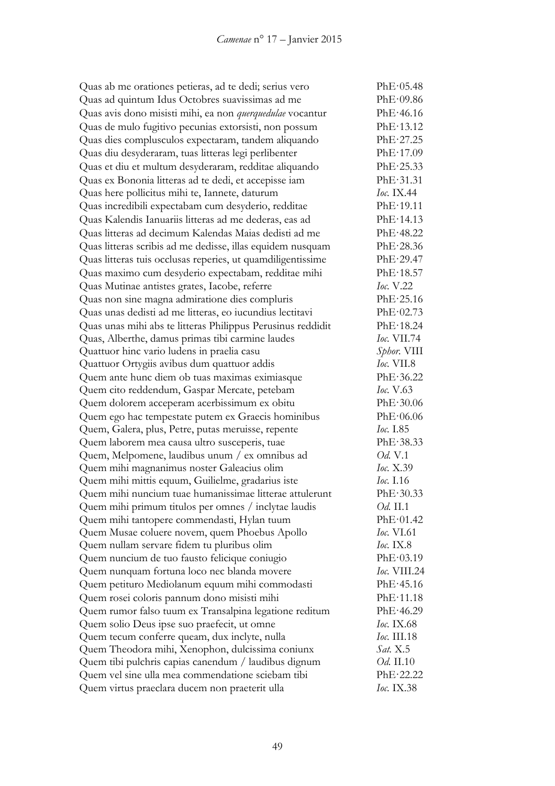Quas ab me orationes petieras, ad te dedi; serius vero PhE·05.48 Quas ad quintum Idus Octobres suavissimas ad me PhE·09.86 Quas avis dono misisti mihi, ea non *querquedulae* vocantur PhE·46.16 Quas de mulo fugitivo pecunias extorsisti, non possum PhE·13.12 Quas dies complusculos expectaram, tandem aliquando PhE·27.25 Quas diu desyderaram, tuas litteras legi perlibenter PhE·17.09 Quas et diu et multum desyderaram, redditae aliquando PhE·25.33 Quas ex Bononia litteras ad te dedi, et accepisse iam PhE·31.31 Quas here pollicitus mihi te, Iannete, daturum *Ioc.* IX.44 Quas incredibili expectabam cum desyderio, redditae PhE·19.11 Quas Kalendis Ianuariis litteras ad me dederas, eas ad PhE·14.13 Quas litteras ad decimum Kalendas Maias dedisti ad me PhE·48.22 Quas litteras scribis ad me dedisse, illas equidem nusquam PhE·28.36 Quas litteras tuis occlusas reperies, ut quamdiligentissime PhE·29.47 Quas maximo cum desyderio expectabam, redditae mihi PhE·18.57 Quas Mutinae antistes grates, Iacobe, referre *Ioc.* V.22 Quas non sine magna admiratione dies compluris PhE·25.16 Quas unas dedisti ad me litteras, eo iucundius lectitavi PhE·02.73 Quas unas mihi abs te litteras Philippus Perusinus reddidit PhE·18.24 Quas, Alberthe, damus primas tibi carmine laudes *Ioc.* VII.74 Quattuor hinc vario ludens in praelia casu *Sphor.* VIII Quattuor Ortygiis avibus dum quattuor addis *Ioc.* VII.8 Quem ante hunc diem ob tuas maximas eximiasque PhE·36.22 Quem cito reddendum, Gaspar Mercate, petebam *Ioc.* V.63 Quem dolorem acceperam acerbissimum ex obitu PhE·30.06 Quem ego hac tempestate putem ex Graecis hominibus PhE·06.06 Quem, Galera, plus, Petre, putas meruisse, repente *Ioc.* I.85 Quem laborem mea causa ultro susceperis, tuae PhE·38.33 Quem, Melpomene, laudibus unum / ex omnibus ad *Od.* V.1<br>
Ouem mihi magnanimus noster Galeacius olim *Ioc.* X.39 Quem mihi magnanimus noster Galeacius olim Quem mihi mittis equum, Guilielme, gradarius iste *Ioc.* I.16 Quem mihi nuncium tuae humanissimae litterae attulerunt PhE·30.33 Quem mihi primum titulos per omnes / inclytae laudis *Od.* II.1 Quem mihi tantopere commendasti, Hylan tuum PhE·01.42 Quem Musae coluere novem, quem Phoebus Apollo *Ioc.* VI.61 Quem nullam servare fidem tu pluribus olim *Ioc.* IX.8 Quem nuncium de tuo fausto felicique coniugio PhE·03.19 Quem nunquam fortuna loco nec blanda movere *Ioc.* VIII.24 Quem petituro Mediolanum equum mihi commodasti PhE·45.16 Quem rosei coloris pannum dono misisti mihi PhE·11.18 Quem rumor falso tuum ex Transalpina legatione reditum PhE·46.29 Quem solio Deus ipse suo praefecit, ut omne *Ioc.* IX.68 Quem tecum conferre queam, dux inclyte, nulla *Ioc.* III.18 Quem Theodora mihi, Xenophon, dulcissima coniunx *Sat.* X.5 Quem tibi pulchris capias canendum / laudibus dignum *Od.* II.10 Quem vel sine ulla mea commendatione sciebam tibi PhE·22.22 Quem virtus praeclara ducem non praeterit ulla *Ioc.* IX.38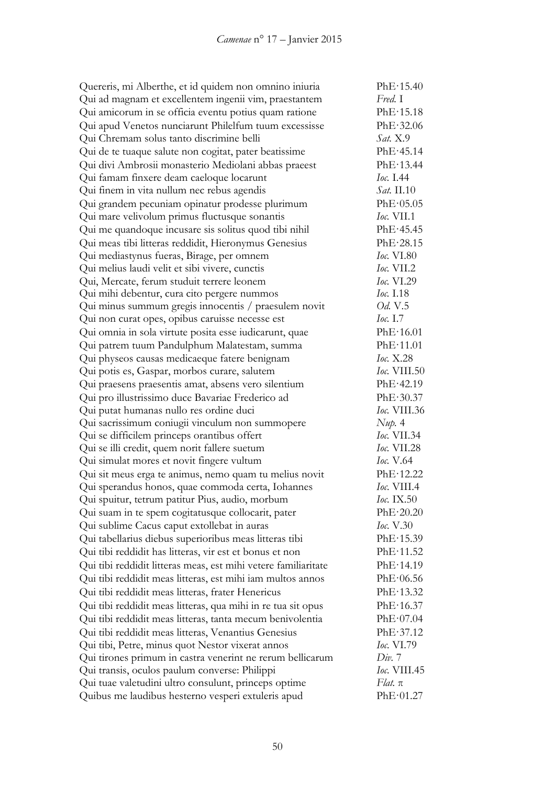| Quereris, mi Alberthe, et id quidem non omnino iniuria         | PhE·15.40           |
|----------------------------------------------------------------|---------------------|
| Qui ad magnam et excellentem ingenii vim, praestantem          | Fred. I             |
| Qui amicorum in se officia eventu potius quam ratione          | PhE·15.18           |
| Qui apud Venetos nunciarunt Philelfum tuum excessisse          | PhE·32.06           |
| Qui Chremam solus tanto discrimine belli                       | Sat. X.9            |
| Qui de te tuaque salute non cogitat, pater beatissime          | PhE·45.14           |
| Qui divi Ambrosii monasterio Mediolani abbas praeest           | PhE·13.44           |
| Qui famam finxere deam caeloque locarunt                       | Ioc. 1.44           |
| Qui finem in vita nullum nec rebus agendis                     | <i>Sat.</i> II.10   |
| Qui grandem pecuniam opinatur prodesse plurimum                | PhE·05.05           |
| Qui mare velivolum primus fluctusque sonantis                  | <b>Ioc.</b> VII.1   |
| Qui me quandoque incusare sis solitus quod tibi nihil          | PhE·45.45           |
| Qui meas tibi litteras reddidit, Hieronymus Genesius           | PhE·28.15           |
| Qui mediastynus fueras, Birage, per omnem                      | Ioc. VI.80          |
| Qui melius laudi velit et sibi vivere, cunctis                 | $loc.$ VII.2        |
| Qui, Mercate, ferum studuit terrere leonem                     | Ioc. VI.29          |
| Qui mihi debentur, cura cito pergere nummos                    | Ioc. $1.18$         |
| Qui minus summum gregis innocentis / praesulem novit           | <i>Od.</i> V.5      |
| Qui non curat opes, opibus caruisse necesse est                | <i>Ioc.</i> $1.7$   |
| Qui omnia in sola virtute posita esse iudicarunt, quae         | PhE·16.01           |
| Qui patrem tuum Pandulphum Malatestam, summa                   | PhE·11.01           |
| Qui physeos causas medicaeque fatere benignam                  | Ioc. X.28           |
| Qui potis es, Gaspar, morbos curare, salutem                   | <i>Ioc.</i> VIII.50 |
| Qui praesens praesentis amat, absens vero silentium            | PhE·42.19           |
| Qui pro illustrissimo duce Bavariae Frederico ad               | PhE·30.37           |
| Qui putat humanas nullo res ordine duci                        | Ioc. VIII.36        |
| Qui sacrissimum coniugii vinculum non summopere                | Nup. 4              |
| Qui se difficilem princeps orantibus offert                    | Ioc. VII.34         |
| Qui se illi credit, quem norit fallere suetum                  | <b>Ioc.</b> VII.28  |
| Qui simulat mores et novit fingere vultum                      | <i>Ioc.</i> V.64    |
| Qui sit meus erga te animus, nemo quam tu melius novit         | PhE·12.22           |
| Qui sperandus honos, quae commoda certa, Iohannes              | Ioc. VIII.4         |
| Qui spuitur, tetrum patitur Pius, audio, morbum                | <i>Ioc.</i> IX.50   |
| Qui suam in te spem cogitatusque collocarit, pater             | PhE·20.20           |
| Qui sublime Cacus caput extollebat in auras                    | <i>Ioc.</i> V.30    |
| Qui tabellarius diebus superioribus meas litteras tibi         | PhE·15.39           |
| Qui tibi reddidit has litteras, vir est et bonus et non        | PhE·11.52           |
| Qui tibi reddidit litteras meas, est mihi vetere familiaritate | PhE·14.19           |
| Qui tibi reddidit meas litteras, est mihi iam multos annos     | PhE·06.56           |
| Qui tibi reddidit meas litteras, frater Henericus              | PhE·13.32           |
| Qui tibi reddidit meas litteras, qua mihi in re tua sit opus   | PhE·16.37           |
| Qui tibi reddidit meas litteras, tanta mecum benivolentia      | PhE·07.04           |
| Qui tibi reddidit meas litteras, Venantius Genesius            | PhE·37.12           |
| Qui tibi, Petre, minus quot Nestor vixerat annos               | <i>Ioc.</i> VI.79   |
| Qui tirones primum in castra venerint ne rerum bellicarum      | Div. 7              |
| Qui transis, oculos paulum converse: Philippi                  | Ioc. VIII.45        |
| Qui tuae valetudini ultro consulunt, princeps optime           | $Flat. \pi$         |
| Quibus me laudibus hesterno vesperi extuleris apud             | PhE·01.27           |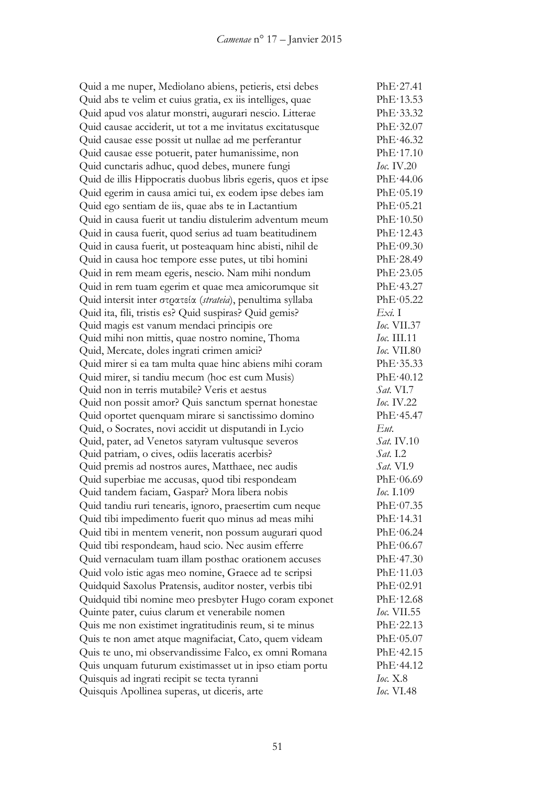Quid a me nuper, Mediolano abiens, petieris, etsi debes PhE·27.41 Quid abs te velim et cuius gratia, ex iis intelliges, quae PhE·13.53 Quid apud vos alatur monstri, augurari nescio. Litterae PhE·33.32 Quid causae acciderit, ut tot a me invitatus excitatusque PhE·32.07 Quid causae esse possit ut nullae ad me perferantur PhE·46.32 Quid causae esse potuerit, pater humanissime, non PhE·17.10 Quid cunctaris adhuc, quod debes, munere fungi *Ioc.* IV.20 Quid de illis Hippocratis duobus libris egeris, quos et ipse PhE·44.06 Quid egerim in causa amici tui, ex eodem ipse debes iam PhE·05.19 Quid ego sentiam de iis, quae abs te in Lactantium PhE·05.21 Quid in causa fuerit ut tandiu distulerim adventum meum PhE·10.50 Quid in causa fuerit, quod serius ad tuam beatitudinem PhE·12.43 Quid in causa fuerit, ut posteaquam hinc abisti, nihil de PhE·09.30 Quid in causa hoc tempore esse putes, ut tibi homini PhE·28.49 Quid in rem meam egeris, nescio. Nam mihi nondum PhE·23.05 Quid in rem tuam egerim et quae mea amicorumque sit PhE·43.27 Quid intersit inter στρατεία (*strateia*), penultima syllaba PhE·05.22 Quid ita, fili, tristis es? Quid suspiras? Quid gemis? *Exi.* I Quid magis est vanum mendaci principis ore *Ioc.* VII.37 Quid mihi non mittis, quae nostro nomine, Thoma *Ioc.* III.11 Quid, Mercate, doles ingrati crimen amici? *Ioc.* VII.80 Quid mirer si ea tam multa quae hinc abiens mihi coram PhE·35.33 Quid mirer, si tandiu mecum (hoc est cum Musis) PhE·40.12 Quid non in terris mutabile? Veris et aestus *Sat.* VI.7 Quid non possit amor? Quis sanctum spernat honestae *Ioc.* IV.22 Quid oportet quenquam mirare si sanctissimo domino PhE·45.47 Quid, o Socrates, novi accidit ut disputandi in Lycio *Eut.* Quid, pater, ad Venetos satyram vultusque severos *Sat.* IV.10 Quid patriam, o cives, odiis laceratis acerbis? *Sat.* I.2 Quid premis ad nostros aures, Matthaee, nec audis *Sat.* VI.9 Quid superbiae me accusas, quod tibi respondeam PhE·06.69 Quid tandem faciam, Gaspar? Mora libera nobis *Ioc.* I.109 Quid tandiu ruri tenearis, ignoro, praesertim cum neque PhE·07.35 Quid tibi impedimento fuerit quo minus ad meas mihi PhE·14.31 Quid tibi in mentem venerit, non possum augurari quod PhE·06.24 Quid tibi respondeam, haud scio. Nec ausim efferre PhE·06.67 Quid vernaculam tuam illam posthac orationem accuses PhE·47.30 Quid volo istic agas meo nomine, Graece ad te scripsi PhE·11.03 Quidquid Saxolus Pratensis, auditor noster, verbis tibi PhE·02.91 Quidquid tibi nomine meo presbyter Hugo coram exponet PhE·12.68 Quinte pater, cuius clarum et venerabile nomen *Ioc.* VII.55 Quis me non existimet ingratitudinis reum, si te minus PhE·22.13 Quis te non amet atque magnifaciat, Cato, quem videam PhE·05.07 Quis te uno, mi observandissime Falco, ex omni Romana PhE·42.15 Quis unquam futurum existimasset ut in ipso etiam portu PhE·44.12 Quisquis ad ingrati recipit se tecta tyranni *Ioc.* X.8 Quisquis Apollinea superas, ut diceris, arte *Ioc.* VI.48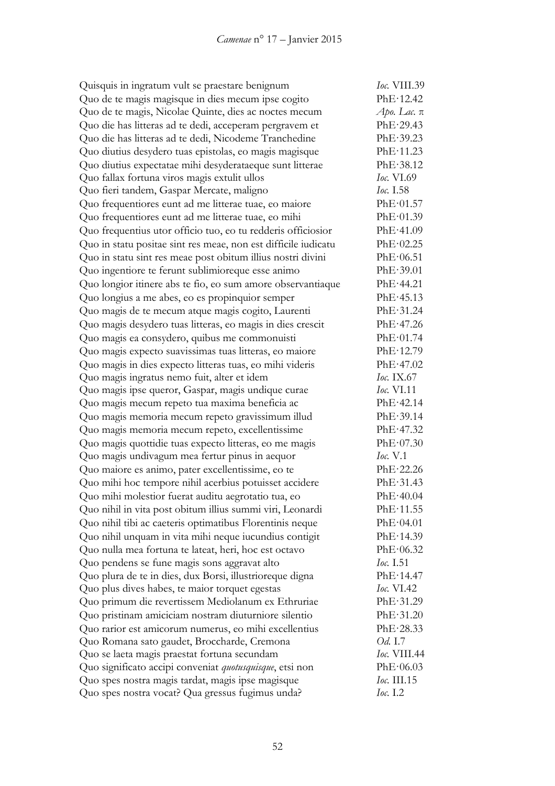| Quisquis in ingratum vult se praestare benignum                | <i>Ioc.</i> VIII.39 |
|----------------------------------------------------------------|---------------------|
| Quo de te magis magisque in dies mecum ipse cogito             | PhE·12.42           |
| Quo de te magis, Nicolae Quinte, dies ac noctes mecum          | Аро. Lac. $\pi$     |
| Quo die has litteras ad te dedi, acceperam pergravem et        | PhE·29.43           |
| Quo die has litteras ad te dedi, Nicodeme Tranchedine          | PhE·39.23           |
| Quo diutius desydero tuas epistolas, eo magis magisque         | PhE·11.23           |
| Quo diutius expectatae mihi desyderataeque sunt litterae       | PhE·38.12           |
| Quo fallax fortuna viros magis extulit ullos                   | <i>Ioc.</i> VI.69   |
| Quo fieri tandem, Gaspar Mercate, maligno                      | <i>Ioc.</i> I.58    |
| Quo frequentiores eunt ad me litterae tuae, eo maiore          | PhE·01.57           |
| Quo frequentiores eunt ad me litterae tuae, eo mihi            | PhE·01.39           |
| Quo frequentius utor officio tuo, eo tu redderis officiosior   | PhE·41.09           |
| Quo in statu positae sint res meae, non est difficile iudicatu | PhE·02.25           |
| Quo in statu sint res meae post obitum illius nostri divini    | PhE·06.51           |
| Quo ingentiore te ferunt sublimioreque esse animo              | PhE.39.01           |
| Quo longior itinere abs te fio, eo sum amore observantiaque    | PhE·44.21           |
| Quo longius a me abes, eo es propinquior semper                | PhE·45.13           |
| Quo magis de te mecum atque magis cogito, Laurenti             | PhE·31.24           |
| Quo magis desydero tuas litteras, eo magis in dies crescit     | PhE·47.26           |
| Quo magis ea consydero, quibus me commonuisti                  | PhE·01.74           |
| Quo magis expecto suavissimas tuas litteras, eo maiore         | PhE·12.79           |
| Quo magis in dies expecto litteras tuas, eo mihi videris       | PhE·47.02           |
| Quo magis ingratus nemo fuit, alter et idem                    | <i>Ioc.</i> IX.67   |
| Quo magis ipse queror, Gaspar, magis undique curae             | <i>Ioc.</i> VI.11   |
| Quo magis mecum repeto tua maxima beneficia ac                 | PhE·42.14           |
| Quo magis memoria mecum repeto gravissimum illud               | PhE·39.14           |
| Quo magis memoria mecum repeto, excellentissime                | PhE·47.32           |
| Quo magis quottidie tuas expecto litteras, eo me magis         | PhE·07.30           |
| Quo magis undivagum mea fertur pinus in aequor                 | Ioc. V.1            |
| Quo maiore es animo, pater excellentissime, eo te              | PhE·22.26           |
| Quo mihi hoc tempore nihil acerbius potuisset accidere         | PhE·31.43           |
| Quo mihi molestior fuerat auditu aegrotatio tua, eo            | PhE·40.04           |
| Quo nihil in vita post obitum illius summi viri, Leonardi      | PhE·11.55           |
| Quo nihil tibi ac caeteris optimatibus Florentinis neque       | PhE·04.01           |
| Quo nihil unquam in vita mihi neque iucundius contigit         | PhE·14.39           |
| Quo nulla mea fortuna te lateat, heri, hoc est octavo          | PhE·06.32           |
| Quo pendens se fune magis sons aggravat alto                   | Ioc. 1.51           |
| Quo plura de te in dies, dux Borsi, illustrioreque digna       | PhE·14.47           |
| Quo plus dives habes, te maior torquet egestas                 | <i>Ioc.</i> VI.42   |
| Quo primum die revertissem Mediolanum ex Ethruriae             | PhE·31.29           |
| Quo pristinam amiciciam nostram diuturniore silentio           | PhE·31.20           |
| Quo rarior est amicorum numerus, eo mihi excellentius          | PhE·28.33           |
| Quo Romana sato gaudet, Broccharde, Cremona                    | <i>Od.</i> I.7      |
| Quo se laeta magis praestat fortuna secundam                   | <i>Ioc.</i> VIII.44 |
| Quo significato accipi conveniat quotusquisque, etsi non       | PhE·06.03           |
| Quo spes nostra magis tardat, magis ipse magisque              | Ioc. III.15         |
| Quo spes nostra vocat? Qua gressus fugimus unda?               | <i>Ioc.</i> 1.2     |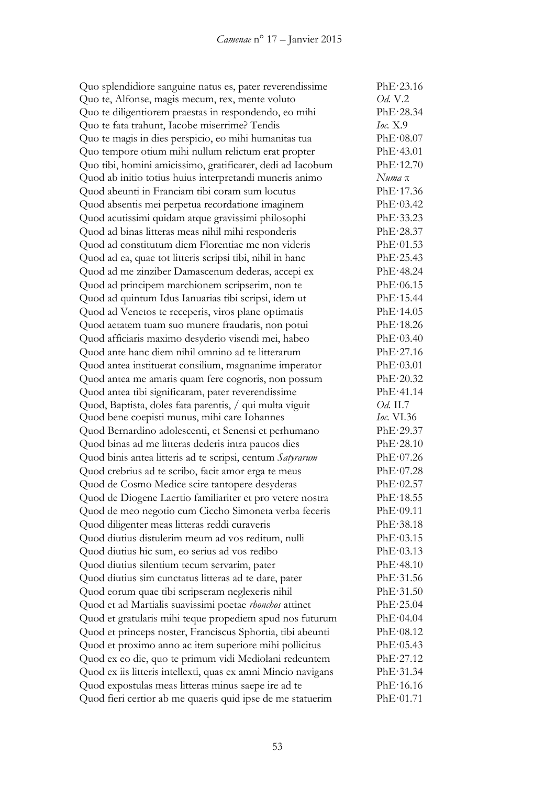| Quo splendidiore sanguine natus es, pater reverendissime      | PhE·23.16         |
|---------------------------------------------------------------|-------------------|
| Quo te, Alfonse, magis mecum, rex, mente voluto               | Od. V.2           |
| Quo te diligentiorem praestas in respondendo, eo mihi         | PhE·28.34         |
| Quo te fata trahunt, Iacobe miserrime? Tendis                 | Ioc. X.9          |
| Quo te magis in dies perspicio, eo mihi humanitas tua         | PhE·08.07         |
| Quo tempore otium mihi nullum relictum erat propter           | PhE·43.01         |
| Quo tibi, homini amicissimo, gratificarer, dedi ad Iacobum    | PhE·12.70         |
| Quod ab initio totius huius interpretandi muneris animo       | Numa π            |
| Quod abeunti in Franciam tibi coram sum locutus               | PhE·17.36         |
| Quod absentis mei perpetua recordatione imaginem              | PhE·03.42         |
| Quod acutissimi quidam atque gravissimi philosophi            | PhE-33.23         |
| Quod ad binas litteras meas nihil mihi responderis            | PhE·28.37         |
| Quod ad constitutum diem Florentiae me non videris            | PhE·01.53         |
| Quod ad ea, quae tot litteris scripsi tibi, nihil in hanc     | PhE·25.43         |
| Quod ad me zinziber Damascenum dederas, accepi ex             | PhE·48.24         |
| Quod ad principem marchionem scripserim, non te               | PhE·06.15         |
| Quod ad quintum Idus Ianuarias tibi scripsi, idem ut          | PhE·15.44         |
| Quod ad Venetos te receperis, viros plane optimatis           | PhE·14.05         |
| Quod aetatem tuam suo munere fraudaris, non potui             | PhE·18.26         |
| Quod afficiaris maximo desyderio visendi mei, habeo           | PhE·03.40         |
| Quod ante hanc diem nihil omnino ad te litterarum             | PhE·27.16         |
| Quod antea instituerat consilium, magnanime imperator         | PhE·03.01         |
| Quod antea me amaris quam fere cognoris, non possum           | PhE·20.32         |
| Quod antea tibi significaram, pater reverendissime            | PhE·41.14         |
| Quod, Baptista, doles fata parentis, / qui multa viguit       | <i>Od.</i> II.7   |
| Quod bene coepisti munus, mihi care Iohannes                  | <i>Ioc.</i> VI.36 |
| Quod Bernardino adolescenti, et Senensi et perhumano          | PhE·29.37         |
| Quod binas ad me litteras dederis intra paucos dies           | PhE·28.10         |
| Quod binis antea litteris ad te scripsi, centum Satyrarum     | PhE·07.26         |
| Quod crebrius ad te scribo, facit amor erga te meus           | PhE·07.28         |
| Quod de Cosmo Medice scire tantopere desyderas                | PhE·02.57         |
| Quod de Diogene Laertio familiariter et pro vetere nostra     | PhE·18.55         |
| Quod de meo negotio cum Ciccho Simoneta verba feceris         | PhE·09.11         |
| Quod diligenter meas litteras reddi curaveris                 | PhE·38.18         |
| Quod diutius distulerim meum ad vos reditum, nulli            | PhE·03.15         |
| Quod diutius hic sum, eo serius ad vos redibo                 | PhE·03.13         |
| Quod diutius silentium tecum servarim, pater                  | PhE·48.10         |
| Quod diutius sim cunctatus litteras ad te dare, pater         | PhE·31.56         |
| Quod eorum quae tibi scripseram neglexeris nihil              | PhE·31.50         |
| Quod et ad Martialis suavissimi poetae rhonchos attinet       | PhE·25.04         |
| Quod et gratularis mihi teque propediem apud nos futurum      | PhE·04.04         |
| Quod et princeps noster, Franciscus Sphortia, tibi abeunti    | PhE·08.12         |
| Quod et proximo anno ac item superiore mihi pollicitus        | PhE·05.43         |
| Quod ex eo die, quo te primum vidi Mediolani redeuntem        | PhE·27.12         |
| Quod ex iis litteris intellexti, quas ex amni Mincio navigans | PhE·31.34         |
| Quod expostulas meas litteras minus saepe ire ad te           | PhE·16.16         |
| Quod fieri certior ab me quaeris quid ipse de me statuerim    | PhE·01.71         |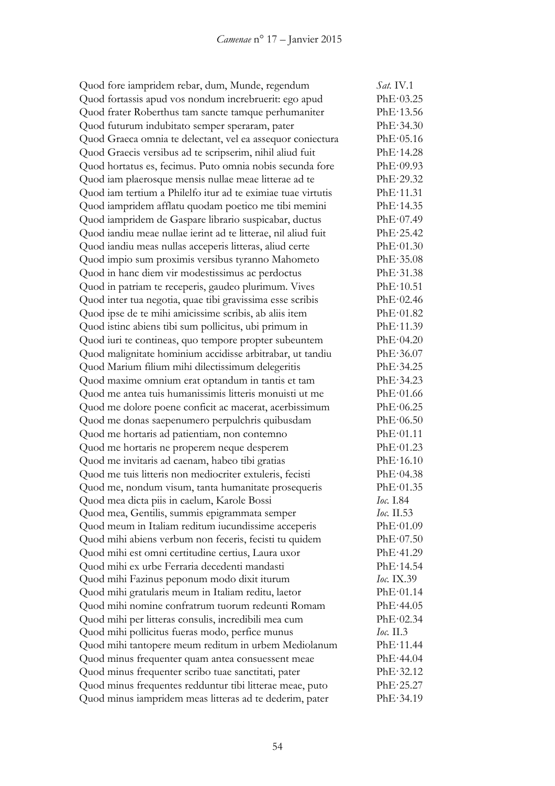Quod fore iampridem rebar, dum, Munde, regendum *Sat.* IV.1 Quod fortassis apud vos nondum increbruerit: ego apud PhE·03.25 Quod frater Roberthus tam sancte tamque perhumaniter PhE·13.56 Quod futurum indubitato semper speraram, pater PhE·34.30 Quod Graeca omnia te delectant, vel ea assequor coniectura PhE·05.16 Quod Graecis versibus ad te scripserim, nihil aliud fuit PhE·14.28 Quod hortatus es, fecimus. Puto omnia nobis secunda fore PhE·09.93 Quod iam plaerosque mensis nullae meae litterae ad te PhE·29.32 Quod iam tertium a Philelfo itur ad te eximiae tuae virtutis PhE·11.31 Quod iampridem afflatu quodam poetico me tibi memini PhE·14.35 Quod iampridem de Gaspare librario suspicabar, ductus PhE·07.49 Quod iandiu meae nullae ierint ad te litterae, nil aliud fuit PhE·25.42 Quod iandiu meas nullas acceperis litteras, aliud certe PhE·01.30 Quod impio sum proximis versibus tyranno Mahometo PhE·35.08 Quod in hanc diem vir modestissimus ac perdoctus PhE·31.38 Quod in patriam te receperis, gaudeo plurimum. Vives PhE·10.51 Quod inter tua negotia, quae tibi gravissima esse scribis PhE·02.46 Quod ipse de te mihi amicissime scribis, ab aliis item PhE·01.82 Quod istinc abiens tibi sum pollicitus, ubi primum in PhE·11.39 Quod iuri te contineas, quo tempore propter subeuntem PhE·04.20 Quod malignitate hominium accidisse arbitrabar, ut tandiu PhE·36.07 Quod Marium filium mihi dilectissimum delegeritis PhE·34.25 Quod maxime omnium erat optandum in tantis et tam PhE·34.23 Quod me antea tuis humanissimis litteris monuisti ut me PhE·01.66 Quod me dolore poene conficit ac macerat, acerbissimum PhE·06.25 Quod me donas saepenumero perpulchris quibusdam PhE·06.50 Quod me hortaris ad patientiam, non contemno PhE·01.11 Quod me hortaris ne properem neque desperem PhE·01.23 Quod me invitaris ad caenam, habeo tibi gratias PhE·16.10 Quod me tuis litteris non mediocriter extuleris, fecisti PhE·04.38 Quod me, nondum visum, tanta humanitate prosequeris PhE·01.35 Quod mea dicta piis in caelum, Karole Bossi *Ioc.* I.84 Quod mea, Gentilis, summis epigrammata semper *Ioc.* II.53 Quod meum in Italiam reditum iucundissime acceperis PhE·01.09 Quod mihi abiens verbum non feceris, fecisti tu quidem PhE·07.50 Quod mihi est omni certitudine certius, Laura uxor PhE·41.29 Quod mihi ex urbe Ferraria decedenti mandasti PhE·14.54 Quod mihi Fazinus peponum modo dixit iturum *Ioc.* IX.39 Quod mihi gratularis meum in Italiam reditu, laetor PhE·01.14 Quod mihi nomine confratrum tuorum redeunti Romam PhE·44.05 Quod mihi per litteras consulis, incredibili mea cum PhE·02.34 Quod mihi pollicitus fueras modo, perfice munus *Ioc.* II.3 Quod mihi tantopere meum reditum in urbem Mediolanum PhE·11.44 Quod minus frequenter quam antea consuessent meae PhE·44.04 Quod minus frequenter scribo tuae sanctitati, pater PhE·32.12 Quod minus frequentes redduntur tibi litterae meae, puto PhE·25.27 Quod minus iampridem meas litteras ad te dederim, pater PhE·34.19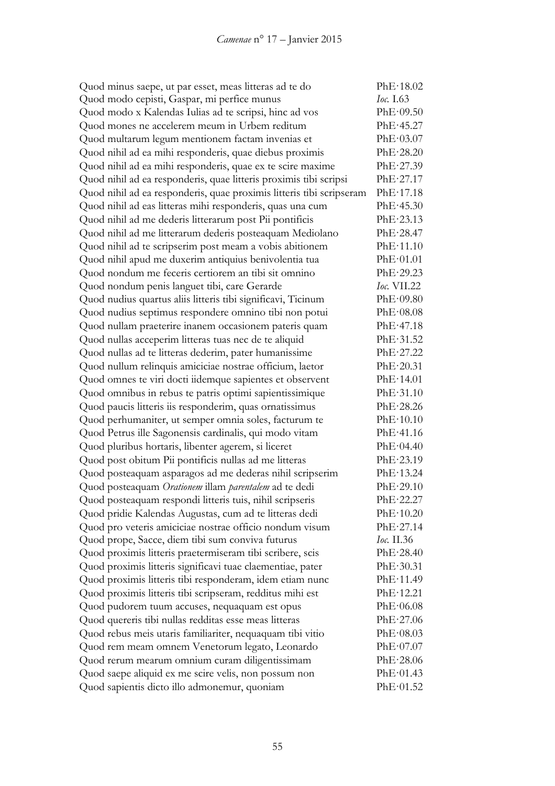| Quod minus saepe, ut par esset, meas litteras ad te do               | PhE·18.02          |
|----------------------------------------------------------------------|--------------------|
| Quod modo cepisti, Gaspar, mi perfice munus                          | <i>Ioc.</i> 1.63   |
| Quod modo x Kalendas Iulias ad te scripsi, hinc ad vos               | PhE·09.50          |
| Quod mones ne accelerem meum in Urbem reditum                        | PhE.45.27          |
| Quod multarum legum mentionem factam invenias et                     | PhE·03.07          |
| Quod nihil ad ea mihi responderis, quae diebus proximis              | PhE·28.20          |
| Quod nihil ad ea mihi responderis, quae ex te scire maxime           | PhE·27.39          |
| Quod nihil ad ea responderis, quae litteris proximis tibi scripsi    | PhE·27.17          |
| Quod nihil ad ea responderis, quae proximis litteris tibi scripseram | PhE·17.18          |
| Quod nihil ad eas litteras mihi responderis, quas una cum            | PhE·45.30          |
| Quod nihil ad me dederis litterarum post Pii pontificis              | PhE·23.13          |
| Quod nihil ad me litterarum dederis posteaquam Mediolano             | PhE·28.47          |
| Quod nihil ad te scripserim post meam a vobis abitionem              | PhE·11.10          |
| Quod nihil apud me duxerim antiquius benivolentia tua                | PhE·01.01          |
| Quod nondum me feceris certiorem an tibi sit omnino                  | PhE·29.23          |
| Quod nondum penis languet tibi, care Gerarde                         | <i>Ioc.</i> VII.22 |
| Quod nudius quartus aliis litteris tibi significavi, Ticinum         | PhE·09.80          |
| Quod nudius septimus respondere omnino tibi non potui                | PhE·08.08          |
| Quod nullam praeterire inanem occasionem pateris quam                | PhE·47.18          |
| Quod nullas acceperim litteras tuas nec de te aliquid                | PhE-31.52          |
| Quod nullas ad te litteras dederim, pater humanissime                | PhE·27.22          |
| Quod nullum relinquis amiciciae nostrae officium, laetor             | PhE·20.31          |
| Quod omnes te viri docti iidemque sapientes et observent             | PhE·14.01          |
| Quod omnibus in rebus te patris optimi sapientissimique              | PhE·31.10          |
| Quod paucis litteris iis responderim, quas ornatissimus              | PhE·28.26          |
| Quod perhumaniter, ut semper omnia soles, facturum te                | PhE·10.10          |
| Quod Petrus ille Sagonensis cardinalis, qui modo vitam               | PhE·41.16          |
| Quod pluribus hortaris, libenter agerem, si liceret                  | PhE·04.40          |
| Quod post obitum Pii pontificis nullas ad me litteras                | PhE·23.19          |
| Quod posteaquam asparagos ad me dederas nihil scripserim             | PhE·13.24          |
| Quod posteaquam Orationem illam parentalem ad te dedi                | PhE·29.10          |
| Quod posteaquam respondi litteris tuis, nihil scripseris             | PhE·22.27          |
| Quod pridie Kalendas Augustas, cum ad te litteras dedi               | PhE·10.20          |
| Quod pro veteris amiciciae nostrae officio nondum visum              | PhE·27.14          |
| Quod prope, Sacce, diem tibi sum conviva futurus                     | <i>Ioc.</i> II.36  |
| Quod proximis litteris praetermiseram tibi scribere, scis            | PhE·28.40          |
| Quod proximis litteris significavi tuae claementiae, pater           | PhE·30.31          |
| Quod proximis litteris tibi responderam, idem etiam nunc             | PhE·11.49          |
| Quod proximis litteris tibi scripseram, redditus mihi est            | PhE·12.21          |
| Quod pudorem tuum accuses, nequaquam est opus                        | PhE·06.08          |
| Quod quereris tibi nullas redditas esse meas litteras                | PhE·27.06          |
|                                                                      | PhE·08.03          |
| Quod rebus meis utaris familiariter, nequaquam tibi vitio            | PhE·07.07          |
| Quod rem meam omnem Venetorum legato, Leonardo                       | PhE·28.06          |
| Quod rerum mearum omnium curam diligentissimam                       |                    |
| Quod saepe aliquid ex me scire velis, non possum non                 | PhE·01.43          |
| Quod sapientis dicto illo admonemur, quoniam                         | PhE·01.52          |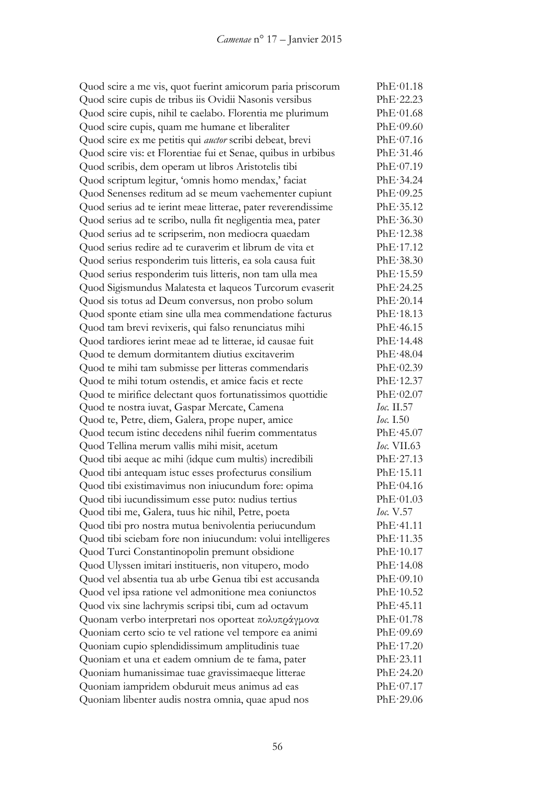Quod scire a me vis, quot fuerint amicorum paria priscorum PhE·01.18 Quod scire cupis de tribus iis Ovidii Nasonis versibus PhE·22.23 Quod scire cupis, nihil te caelabo. Florentia me plurimum PhE·01.68 Quod scire cupis, quam me humane et liberaliter PhE·09.60 Quod scire ex me petitis qui *auctor* scribi debeat, brevi PhE·07.16 Quod scire vis: et Florentiae fui et Senae, quibus in urbibus PhE·31.46 Quod scribis, dem operam ut libros Aristotelis tibi PhE·07.19 Quod scriptum legitur, 'omnis homo mendax,' faciat PhE·34.24 Quod Senenses reditum ad se meum vaehementer cupiunt PhE·09.25 Quod serius ad te ierint meae litterae, pater reverendissime PhE·35.12 Quod serius ad te scribo, nulla fit negligentia mea, pater PhE·36.30 Quod serius ad te scripserim, non mediocra quaedam PhE·12.38 Quod serius redire ad te curaverim et librum de vita et PhE·17.12 Quod serius responderim tuis litteris, ea sola causa fuit PhE·38.30 Quod serius responderim tuis litteris, non tam ulla mea PhE·15.59 Quod Sigismundus Malatesta et laqueos Turcorum evaserit PhE·24.25 Quod sis totus ad Deum conversus, non probo solum PhE·20.14 Quod sponte etiam sine ulla mea commendatione facturus PhE·18.13 Quod tam brevi revixeris, qui falso renunciatus mihi PhE·46.15 Quod tardiores ierint meae ad te litterae, id causae fuit PhE·14.48 Quod te demum dormitantem diutius excitaverim PhE·48.04 Quod te mihi tam submisse per litteras commendaris PhE·02.39 Quod te mihi totum ostendis, et amice facis et recte PhE·12.37 Quod te mirifice delectant quos fortunatissimos quottidie PhE·02.07 Quod te nostra iuvat, Gaspar Mercate, Camena *Ioc.* II.57 Quod te, Petre, diem, Galera, prope nuper, amice *Ioc.* I.50 Quod tecum istinc decedens nihil fuerim commentatus PhE·45.07 Quod Tellina merum vallis mihi misit, acetum *Ioc.* VII.63 Quod tibi aeque ac mihi (idque cum multis) incredibili PhE·27.13 Quod tibi antequam istuc esses profecturus consilium PhE·15.11 Quod tibi existimavimus non iniucundum fore: opima PhE·04.16 Quod tibi iucundissimum esse puto: nudius tertius PhE·01.03 Quod tibi me, Galera, tuus hic nihil, Petre, poeta *Ioc.* V.57 Quod tibi pro nostra mutua benivolentia periucundum PhE·41.11 Quod tibi sciebam fore non iniucundum: volui intelligeres PhE·11.35 Quod Turci Constantinopolin premunt obsidione PhE·10.17 Quod Ulyssen imitari institueris, non vitupero, modo PhE·14.08 Quod vel absentia tua ab urbe Genua tibi est accusanda PhE·09.10 Quod vel ipsa ratione vel admonitione mea coniunctos PhE·10.52 Quod vix sine lachrymis scripsi tibi, cum ad octavum PhE·45.11 Quonam verbo interpretari nos oporteat πολυπράγμονα PhE·01.78 Quoniam certo scio te vel ratione vel tempore ea animi PhE·09.69 Quoniam cupio splendidissimum amplitudinis tuae PhE·17.20 Quoniam et una et eadem omnium de te fama, pater PhE·23.11 Quoniam humanissimae tuae gravissimaeque litterae PhE·24.20 Quoniam iampridem obduruit meus animus ad eas PhE·07.17 Quoniam libenter audis nostra omnia, quae apud nos PhE·29.06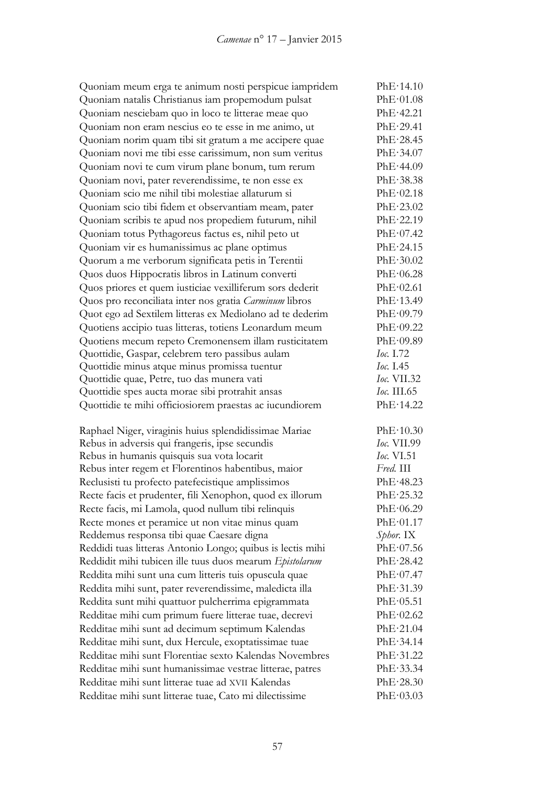| Quoniam meum erga te animum nosti perspicue iampridem      | PhE·14.10          |
|------------------------------------------------------------|--------------------|
| Quoniam natalis Christianus iam propemodum pulsat          | PhE·01.08          |
| Quoniam nesciebam quo in loco te litterae meae quo         | PhE·42.21          |
| Quoniam non eram nescius eo te esse in me animo, ut        | PhE·29.41          |
| Quoniam norim quam tibi sit gratum a me accipere quae      | PhE·28.45          |
| Quoniam novi me tibi esse carissimum, non sum veritus      | PhE·34.07          |
| Quoniam novi te cum virum plane bonum, tum rerum           | PhE·44.09          |
| Quoniam novi, pater reverendissime, te non esse ex         | PhE·38.38          |
| Quoniam scio me nihil tibi molestiae allaturum si          | PhE·02.18          |
| Quoniam scio tibi fidem et observantiam meam, pater        | PhE·23.02          |
| Quoniam scribis te apud nos propediem futurum, nihil       | PhE·22.19          |
| Quoniam totus Pythagoreus factus es, nihil peto ut         | PhE·07.42          |
| Quoniam vir es humanissimus ac plane optimus               | PhE·24.15          |
| Quorum a me verborum significata petis in Terentii         | PhE·30.02          |
| Quos duos Hippocratis libros in Latinum converti           | PhE·06.28          |
| Quos priores et quem iusticiae vexilliferum sors dederit   | PhE·02.61          |
| Quos pro reconciliata inter nos gratia Carminum libros     | PhE·13.49          |
| Quot ego ad Sextilem litteras ex Mediolano ad te dederim   | PhE·09.79          |
| Quotiens accipio tuas litteras, totiens Leonardum meum     | PhE·09.22          |
| Quotiens mecum repeto Cremonensem illam rusticitatem       | PhE·09.89          |
| Quottidie, Gaspar, celebrem tero passibus aulam            | Ioc. 1.72          |
| Quottidie minus atque minus promissa tuentur               | Ioc. 1.45          |
| Quottidie quae, Petre, tuo das munera vati                 | <i>Ioc.</i> VII.32 |
| Quottidie spes aucta morae sibi protrahit ansas            | <i>Ioc.</i> III.65 |
| Quottidie te mihi officiosiorem praestas ac iucundiorem    | PhE·14.22          |
| Raphael Niger, viraginis huius splendidissimae Mariae      | PhE·10.30          |
| Rebus in adversis qui frangeris, ipse secundis             | <b>Ioc. VII.99</b> |
| Rebus in humanis quisquis sua vota locarit                 | Ioc. VI.51         |
| Rebus inter regem et Florentinos habentibus, maior         | Fred. III          |
| Reclusisti tu profecto patefecistique amplissimos          | PhE·48.23          |
| Recte facis et prudenter, fili Xenophon, quod ex illorum   | PhE·25.32          |
| Recte facis, mi Lamola, quod nullum tibi relinquis         | PhE·06.29          |
| Recte mones et peramice ut non vitae minus quam            | PhE·01.17          |
| Reddemus responsa tibi quae Caesare digna                  | Sphor. IX          |
| Reddidi tuas litteras Antonio Longo; quibus is lectis mihi | PhE·07.56          |
| Reddidit mihi tubicen ille tuus duos mearum Epistolarum    | PhE·28.42          |
| Reddita mihi sunt una cum litteris tuis opuscula quae      | PhE·07.47          |
| Reddita mihi sunt, pater reverendissime, maledicta illa    | PhE·31.39          |
| Reddita sunt mihi quattuor pulcherrima epigrammata         | PhE·05.51          |
| Redditae mihi cum primum fuere litterae tuae, decrevi      | PhE·02.62          |
| Redditae mihi sunt ad decimum septimum Kalendas            | PhE·21.04          |
| Redditae mihi sunt, dux Hercule, exoptatissimae tuae       | PhE·34.14          |
| Redditae mihi sunt Florentiae sexto Kalendas Novembres     | PhE·31.22          |
| Redditae mihi sunt humanissimae vestrae litterae, patres   | PhE·33.34          |
| Redditae mihi sunt litterae tuae ad XVII Kalendas          | PhE·28.30          |
| Redditae mihi sunt litterae tuae, Cato mi dilectissime     |                    |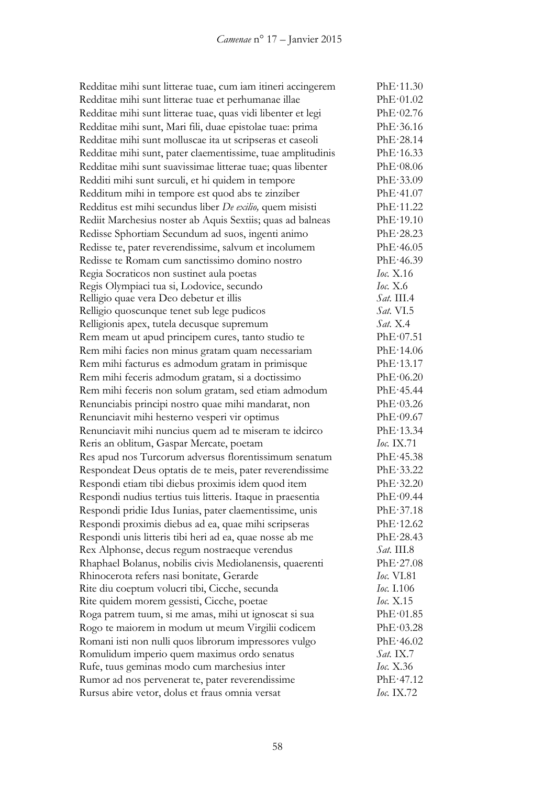Redditae mihi sunt litterae tuae, cum iam itineri accingerem PhE·11.30 Redditae mihi sunt litterae tuae et perhumanae illae PhE·01.02 Redditae mihi sunt litterae tuae, quas vidi libenter et legi PhE·02.76 Redditae mihi sunt, Mari fili, duae epistolae tuae: prima PhE·36.16 Redditae mihi sunt molluscae ita ut scripseras et caseoli PhE·28.14 Redditae mihi sunt, pater claementissime, tuae amplitudinis PhE·16.33 Redditae mihi sunt suavissimae litterae tuae; quas libenter PhE·08.06 Redditi mihi sunt surculi, et hi quidem in tempore PhE·33.09 Redditum mihi in tempore est quod abs te zinziber PhE·41.07 Redditus est mihi secundus liber *De exilio,* quem misisti PhE·11.22 Rediit Marchesius noster ab Aquis Sextiis; quas ad balneas PhE·19.10 Redisse Sphortiam Secundum ad suos, ingenti animo PhE·28.23 Redisse te, pater reverendissime, salvum et incolumem PhE·46.05 Redisse te Romam cum sanctissimo domino nostro PhE·46.39 Regia Socraticos non sustinet aula poetas *Ioc.* X.16 Regis Olympiaci tua si, Lodovice, secundo *Ioc.* X.6 Relligio quae vera Deo debetur et illis *Sat.* III.4 Relligio quoscunque tenet sub lege pudicos *Sat.* VI.5 Relligionis apex, tutela decusque supremum *Sat.* X.4 Rem meam ut apud principem cures, tanto studio te PhE·07.51 Rem mihi facies non minus gratam quam necessariam PhE·14.06 Rem mihi facturus es admodum gratam in primisque PhE·13.17 Rem mihi feceris admodum gratam, si a doctissimo PhE·06.20 Rem mihi feceris non solum gratam, sed etiam admodum PhE·45.44 Renunciabis principi nostro quae mihi mandarat, non PhE·03.26 Renunciavit mihi hesterno vesperi vir optimus PhE·09.67 Renunciavit mihi nuncius quem ad te miseram te idcirco PhE·13.34 Reris an oblitum, Gaspar Mercate, poetam *Ioc.* IX.71 Res apud nos Turcorum adversus florentissimum senatum PhE·45.38 Respondeat Deus optatis de te meis, pater reverendissime PhE·33.22 Respondi etiam tibi diebus proximis idem quod item PhE·32.20 Respondi nudius tertius tuis litteris. Itaque in praesentia PhE·09.44 Respondi pridie Idus Iunias, pater claementissime, unis PhE·37.18 Respondi proximis diebus ad ea, quae mihi scripseras PhE·12.62 Respondi unis litteris tibi heri ad ea, quae nosse ab me PhE·28.43 Rex Alphonse, decus regum nostraeque verendus *Sat.* III.8 Rhaphael Bolanus, nobilis civis Mediolanensis, quaerenti PhE·27.08 Rhinocerota refers nasi bonitate, Gerarde *Ioc.* VI.81 Rite diu coeptum volucri tibi, Cicche, secunda *Ioc.* I.106 Rite quidem morem gessisti, Cicche, poetae *Ioc.* X.15 Roga patrem tuum, si me amas, mihi ut ignoscat si sua PhE·01.85 Rogo te maiorem in modum ut meum Virgilii codicem PhE·03.28 Romani isti non nulli quos librorum impressores vulgo PhE·46.02 Romulidum imperio quem maximus ordo senatus *Sat.* IX.7 Rufe, tuus geminas modo cum marchesius inter *Ioc.* X.36 Rumor ad nos pervenerat te, pater reverendissime PhE·47.12 Rursus abire vetor, dolus et fraus omnia versat *Ioc.* IX.72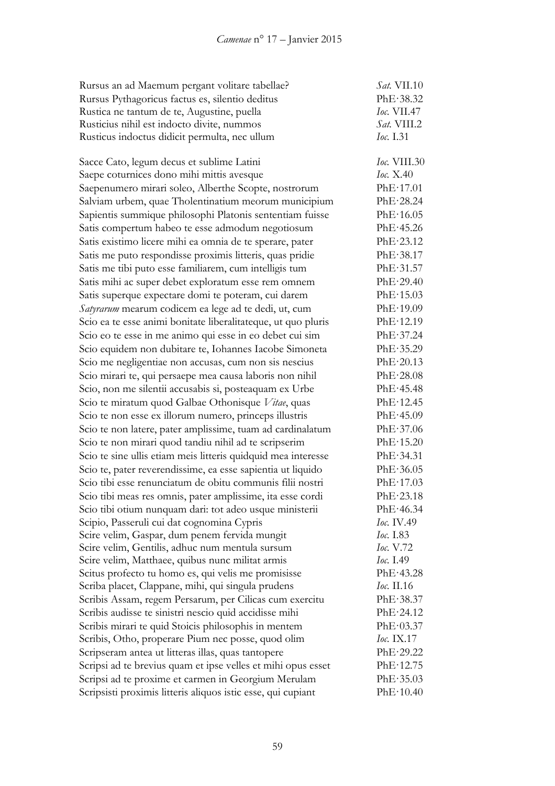| Rursus an ad Maemum pergant volitare tabellae?                | Sat. VII.10         |
|---------------------------------------------------------------|---------------------|
| Rursus Pythagoricus factus es, silentio deditus               | PhE·38.32           |
| Rustica ne tantum de te, Augustine, puella                    | <i>Ioc.</i> VII.47  |
| Rusticius nihil est indocto divite, nummos                    | Sat. VIII.2         |
| Rusticus indoctus didicit permulta, nec ullum                 | Ioc. I.31           |
| Sacce Cato, legum decus et sublime Latini                     | <i>Ioc.</i> VIII.30 |
| Saepe coturnices dono mihi mittis avesque                     | <i>Ioc.</i> X.40    |
| Saepenumero mirari soleo, Alberthe Scopte, nostrorum          | PhE·17.01           |
| Salviam urbem, quae Tholentinatium meorum municipium          | PhE·28.24           |
| Sapientis summique philosophi Platonis sententiam fuisse      | PhE·16.05           |
| Satis compertum habeo te esse admodum negotiosum              | PhE·45.26           |
| Satis existimo licere mihi ea omnia de te sperare, pater      | PhE·23.12           |
| Satis me puto respondisse proximis litteris, quas pridie      | PhE·38.17           |
| Satis me tibi puto esse familiarem, cum intelligis tum        | PhE·31.57           |
| Satis mihi ac super debet exploratum esse rem omnem           | PhE·29.40           |
| Satis superque expectare domi te poteram, cui darem           | PhE·15.03           |
| Satyrarum mearum codicem ea lege ad te dedi, ut, cum          | PhE·19.09           |
| Scio ea te esse animi bonitate liberalitateque, ut quo pluris | PhE·12.19           |
| Scio eo te esse in me animo qui esse in eo debet cui sim      | PhE·37.24           |
| Scio equidem non dubitare te, Iohannes Iacobe Simoneta        | PhE.35.29           |
| Scio me negligentiae non accusas, cum non sis nescius         | PhE·20.13           |
| Scio mirari te, qui persaepe mea causa laboris non nihil      | PhE·28.08           |
| Scio, non me silentii accusabis si, posteaquam ex Urbe        | PhE·45.48           |
| Scio te miratum quod Galbae Othonisque Vitae, quas            | PhE·12.45           |
| Scio te non esse ex illorum numero, princeps illustris        | PhE·45.09           |
| Scio te non latere, pater amplissime, tuam ad cardinalatum    | PhE·37.06           |
| Scio te non mirari quod tandiu nihil ad te scripserim         | PhE·15.20           |
| Scio te sine ullis etiam meis litteris quidquid mea interesse | PhE·34.31           |
| Scio te, pater reverendissime, ea esse sapientia ut liquido   | PhE·36.05           |
| Scio tibi esse renunciatum de obitu communis filii nostri     | PhE·17.03           |
| Scio tibi meas res omnis, pater amplissime, ita esse cordi    | PhE·23.18           |
| Scio tibi otium nunquam dari: tot adeo usque ministerii       | PhE·46.34           |
| Scipio, Passeruli cui dat cognomina Cypris                    | Ioc. IV.49          |
| Scire velim, Gaspar, dum penem fervida mungit                 | <i>Ioc.</i> I.83    |
| Scire velim, Gentilis, adhuc num mentula sursum               | <i>Ioc.</i> V.72    |
| Scire velim, Matthaee, quibus nunc militat armis              | <i>Ioc.</i> I.49    |
| Scitus profecto tu homo es, qui velis me promisisse           | PhE·43.28           |
| Scriba placet, Clappane, mihi, qui singula prudens            | <i>Ioc.</i> II.16   |
| Scribis Assam, regem Persarum, per Cilicas cum exercitu       | PhE·38.37           |
| Scribis audisse te sinistri nescio quid accidisse mihi        | PhE·24.12           |
| Scribis mirari te quid Stoicis philosophis in mentem          | PhE·03.37           |
| Scribis, Otho, properare Pium nec posse, quod olim            | <i>Ioc.</i> IX.17   |
| Scripseram antea ut litteras illas, quas tantopere            | PhE·29.22           |
| Scripsi ad te brevius quam et ipse velles et mihi opus esset  | PhE·12.75           |
| Scripsi ad te proxime et carmen in Georgium Merulam           | PhE·35.03           |
| Scripsisti proximis litteris aliquos istic esse, qui cupiant  | PhE·10.40           |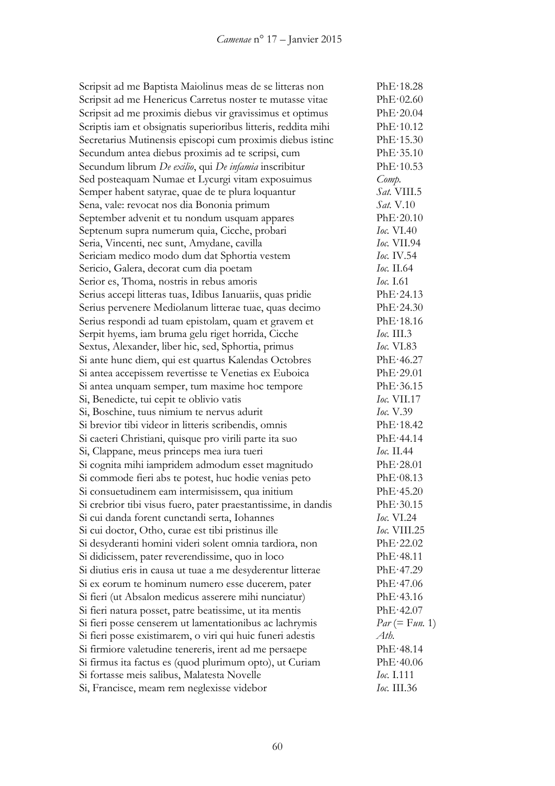Scripsit ad me Baptista Maiolinus meas de se litteras non PhE·18.28 Scripsit ad me Henericus Carretus noster te mutasse vitae PhE·02.60 Scripsit ad me proximis diebus vir gravissimus et optimus PhE·20.04 Scriptis iam et obsignatis superioribus litteris, reddita mihi PhE·10.12 Secretarius Mutinensis episcopi cum proximis diebus istinc PhE·15.30 Secundum antea diebus proximis ad te scripsi, cum PhE·35.10 Secundum librum *De exilio*, qui *De infamia* inscribitur PhE·10.53 Sed posteaquam Numae et Lycurgi vitam exposuimus *Comp.* Semper habent satyrae, quae de te plura loquantur *Sat.* VIII.5 Sena, vale: revocat nos dia Bononia primum *Sat.* V.10 September advenit et tu nondum usquam appares PhE·20.10 Septenum supra numerum quia, Cicche, probari *Ioc.* VI.40 Seria, Vincenti, nec sunt, Amydane, cavilla *Ioc.* VII.94<br>
Sericiam medico modo dum dat Sphortia vestem *Ioc.* IV.54 Sericiam medico modo dum dat Sphortia vestem Sericio, Galera, decorat cum dia poetam *Ioc.* II.64 Serior es, Thoma, nostris in rebus amoris *Ioc.* I.61 Serius accepi litteras tuas, Idibus Ianuariis, quas pridie PhE·24.13 Serius pervenere Mediolanum litterae tuae, quas decimo PhE·24.30 Serius respondi ad tuam epistolam, quam et gravem et PhE·18.16 Serpit hyems, iam bruma gelu riget horrida, Cicche *Ioc.* III.3 Sextus, Alexander, liber hic, sed, Sphortia, primus *Ioc.* VI.83 Si ante hunc diem, qui est quartus Kalendas Octobres PhE·46.27 Si antea accepissem revertisse te Venetias ex Euboica PhE·29.01 Si antea unquam semper, tum maxime hoc tempore PhE·36.15 Si, Benedicte, tui cepit te oblivio vatis *Ioc.* VII.17 Si, Boschine, tuus nimium te nervus adurit *Ioc.* V.39 Si brevior tibi videor in litteris scribendis, omnis PhE·18.42 Si caeteri Christiani, quisque pro virili parte ita suo PhE·44.14 Si, Clappane, meus princeps mea iura tueri *Ioc.* II.44 Si cognita mihi iampridem admodum esset magnitudo PhE·28.01 Si commode fieri abs te potest, huc hodie venias peto PhE·08.13 Si consuetudinem eam intermisissem, qua initium PhE·45.20 Si crebrior tibi visus fuero, pater praestantissime, in dandis PhE·30.15 Si cui danda forent cunctandi serta, Iohannes *Ioc.* VI.24 Si cui doctor, Otho, curae est tibi pristinus ille *Ioc.* VIII.25 Si desyderanti homini videri solent omnia tardiora, non PhE·22.02 Si didicissem, pater reverendissime, quo in loco PhE·48.11 Si diutius eris in causa ut tuae a me desyderentur litterae PhE·47.29 Si ex eorum te hominum numero esse ducerem, pater PhE·47.06 Si fieri (ut Absalon medicus asserere mihi nunciatur) PhE·43.16 Si fieri natura posset, patre beatissime, ut ita mentis PhE·42.07 Si fieri posse censerem ut lamentationibus ac lachrymis *Par* (= F*un.* 1) Si fieri posse existimarem, o viri qui huic funeri adestis *Ath.* Si firmiore valetudine tenereris, irent ad me persaepe PhE·48.14 Si firmus ita factus es (quod plurimum opto), ut Curiam PhE·40.06 Si fortasse meis salibus, Malatesta Novelle *Ioc.* I.111 Si, Francisce, meam rem neglexisse videbor *Ioc.* III.36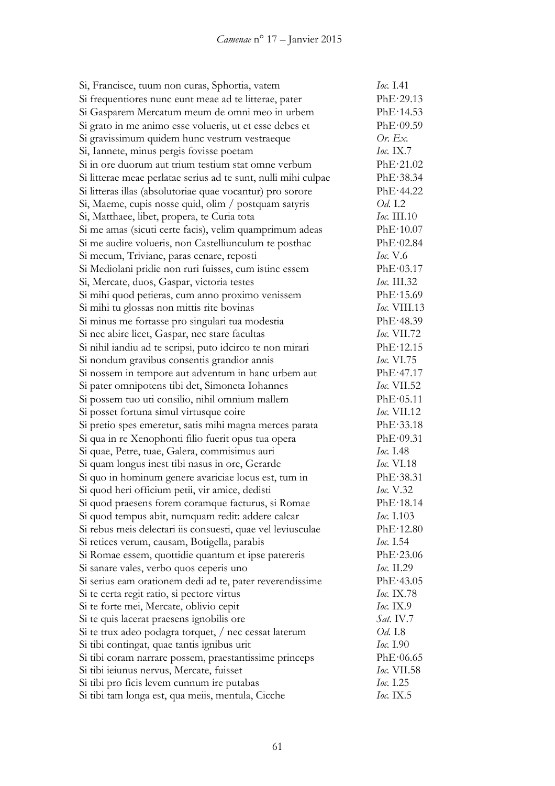| Si, Francisce, tuum non curas, Sphortia, vatem                 | Ioc. I.41           |
|----------------------------------------------------------------|---------------------|
| Si frequentiores nunc eunt meae ad te litterae, pater          | PhE·29.13           |
| Si Gasparem Mercatum meum de omni meo in urbem                 | PhE·14.53           |
| Si grato in me animo esse volueris, ut et esse debes et        | PhE·09.59           |
| Si gravissimum quidem hunc vestrum vestraeque                  | Or. Ex.             |
| Si, Iannete, minus pergis fovisse poetam                       | Ioc. $IX.7$         |
| Si in ore duorum aut trium testium stat omne verbum            | PhE·21.02           |
| Si litterae meae perlatae serius ad te sunt, nulli mihi culpae | PhE·38.34           |
| Si litteras illas (absolutoriae quae vocantur) pro sorore      | PhE·44.22           |
| Si, Maeme, cupis nosse quid, olim / postquam satyris           | Od. I.2             |
| Si, Matthaee, libet, propera, te Curia tota                    | <i>Ioc.</i> III.10  |
| Si me amas (sicuti certe facis), velim quamprimum adeas        | PhE·10.07           |
| Si me audire volueris, non Castelliunculum te posthac          | PhE·02.84           |
| Si mecum, Triviane, paras cenare, reposti                      | <i>Ioc.</i> V.6     |
| Si Mediolani pridie non ruri fuisses, cum istinc essem         | PhE·03.17           |
| Si, Mercate, duos, Gaspar, victoria testes                     | Ioc. III.32         |
| Si mihi quod petieras, cum anno proximo venissem               | PhE·15.69           |
| Si mihi tu glossas non mittis rite bovinas                     | <i>Ioc.</i> VIII.13 |
| Si minus me fortasse pro singulari tua modestia                | PhE·48.39           |
| Si nec abire licet, Gaspar, nec stare facultas                 | <i>Ioc.</i> VII.72  |
| Si nihil iandiu ad te scripsi, puto idcirco te non mirari      | PhE·12.15           |
| Si nondum gravibus consentis grandior annis                    | <i>Ioc.</i> VI.75   |
| Si nossem in tempore aut adventum in hanc urbem aut            | PhE·47.17           |
| Si pater omnipotens tibi det, Simoneta Iohannes                | Ioc. VII.52         |
| Si possem tuo uti consilio, nihil omnium mallem                | PhE·05.11           |
| Si posset fortuna simul virtusque coire                        | Ioc. VII.12         |
| Si pretio spes emeretur, satis mihi magna merces parata        | PhE·33.18           |
| Si qua in re Xenophonti filio fuerit opus tua opera            | PhE·09.31           |
| Si quae, Petre, tuae, Galera, commisimus auri                  | Ioc. 1.48           |
| Si quam longus inest tibi nasus in ore, Gerarde                | <i>Ioc.</i> VI.18   |
| Si quo in hominum genere avariciae locus est, tum in           | PhE·38.31           |
| Si quod heri officium petii, vir amice, dedisti                | Ioc. V.32           |
| Si quod praesens forem coramque facturus, si Romae             | PhE·18.14           |
| Si quod tempus abit, numquam redit: addere calcar              | Ioc. I.103          |
| Si rebus meis delectari iis consuesti, quae vel leviusculae    | PhE·12.80           |
| Si retices verum, causam, Botigella, parabis                   | Ioc. 1.54           |
| Si Romae essem, quottidie quantum et ipse patereris            | PhE·23.06           |
| Si sanare vales, verbo quos ceperis uno                        | Ioc. II.29          |
| Si serius eam orationem dedi ad te, pater reverendissime       | PhE·43.05           |
| Si te certa regit ratio, si pectore virtus                     | Ioc. IX.78          |
| Si te forte mei, Mercate, oblivio cepit                        | <b>Ioc.</b> IX.9    |
| Si te quis lacerat praesens ignobilis ore                      | Sat. IV.7           |
| Si te trux adeo podagra torquet, / nec cessat laterum          | <i>Od.</i> I.8      |
| Si tibi contingat, quae tantis ignibus urit                    | Ioc. 1.90           |
| Si tibi coram narrare possem, praestantissime princeps         | PhE·06.65           |
| Si tibi ieiunus nervus, Mercate, fuisset                       | <i>Ioc.</i> VII.58  |
| Si tibi pro ficis levem cunnum ire putabas                     | Ioc. 1.25           |
| Si tibi tam longa est, qua meiis, mentula, Cicche              | <i>Ioc.</i> IX.5    |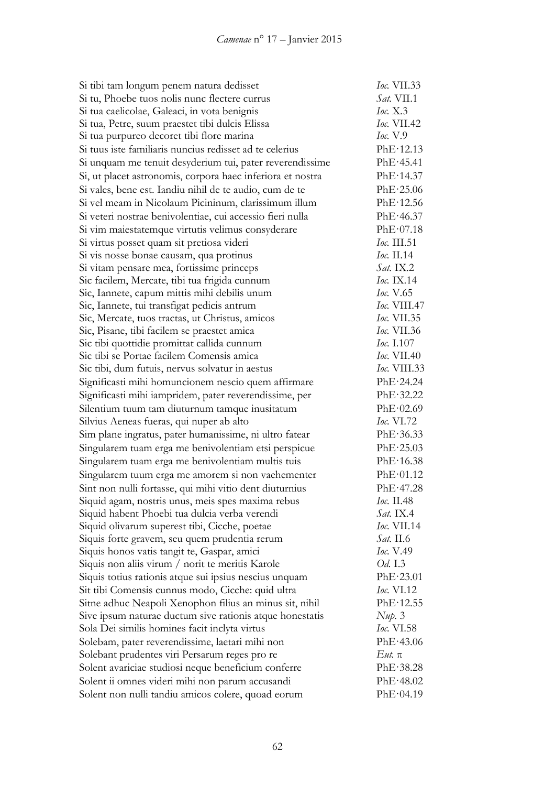| Si tibi tam longum penem natura dedisset                   | <i>Ioc.</i> VII.33  |
|------------------------------------------------------------|---------------------|
| Si tu, Phoebe tuos nolis nunc flectere currus              | Sat. VII.1          |
| Si tua caelicolae, Galeaci, in vota benignis               | <b>Ioc.</b> X.3     |
| Si tua, Petre, suum praestet tibi dulcis Elissa            | Ioc. VII.42         |
| Si tua purpureo decoret tibi flore marina                  | <i>Ioc.</i> V.9     |
| Si tuus iste familiaris nuncius redisset ad te celerius    | PhE·12.13           |
| Si unquam me tenuit desyderium tui, pater reverendissime   | PhE·45.41           |
| Si, ut placet astronomis, corpora haec inferiora et nostra | PhE·14.37           |
| Si vales, bene est. Iandiu nihil de te audio, cum de te    | PhE·25.06           |
| Si vel meam in Nicolaum Picininum, clarissimum illum       | PhE·12.56           |
| Si veteri nostrae benivolentiae, cui accessio fieri nulla  | PhE·46.37           |
| Si vim maiestatemque virtutis velimus consyderare          | PhE·07.18           |
| Si virtus posset quam sit pretiosa videri                  | Ioc. III.51         |
| Si vis nosse bonae causam, qua protinus                    | <i>Ioc.</i> II.14   |
| Si vitam pensare mea, fortissime princeps                  | $Sat.$ IX.2         |
| Sic facilem, Mercate, tibi tua frigida cunnum              | <i>Ioc.</i> IX.14   |
| Sic, Iannete, capum mittis mihi debilis unum               | <i>Ioc.</i> V.65    |
| Sic, Iannete, tui transfigat pedicis antrum                | <i>Ioc.</i> VIII.47 |
| Sic, Mercate, tuos tractas, ut Christus, amicos            | Ioc. VII.35         |
| Sic, Pisane, tibi facilem se praestet amica                | <i>Ioc.</i> VII.36  |
| Sic tibi quottidie promittat callida cunnum                | <i>Ioc.</i> I.107   |
| Sic tibi se Portae facilem Comensis amica                  | <i>Ioc.</i> VII.40  |
| Sic tibi, dum futuis, nervus solvatur in aestus            | <i>Ioc.</i> VIII.33 |
| Significasti mihi homuncionem nescio quem affirmare        | PhE·24.24           |
| Significasti mihi iampridem, pater reverendissime, per     | PhE·32.22           |
| Silentium tuum tam diuturnum tamque inusitatum             | PhE·02.69           |
| Silvius Aeneas fueras, qui nuper ab alto                   | <i>Ioc.</i> $VI.72$ |
| Sim plane ingratus, pater humanissime, ni ultro fatear     | PhE·36.33           |
| Singularem tuam erga me benivolentiam etsi perspicue       | PhE·25.03           |
| Singularem tuam erga me benivolentiam multis tuis          | PhE·16.38           |
| Singularem tuum erga me amorem si non vaehementer          | PhE·01.12           |
| Sint non nulli fortasse, qui mihi vitio dent diuturnius    | PhE·47.28           |
| Siquid agam, nostris unus, meis spes maxima rebus          | Ioc. II.48          |
| Siquid habent Phoebi tua dulcia verba verendi              | <i>Sat.</i> IX.4    |
| Siquid olivarum superest tibi, Cicche, poetae              | Ioc. VII.14         |
| Siquis forte gravem, seu quem prudentia rerum              | <i>Sat.</i> II.6    |
| Siquis honos vatis tangit te, Gaspar, amici                | Ioc. V.49           |
| Siquis non aliis virum / norit te meritis Karole           | <i>Od.</i> I.3      |
| Siquis totius rationis atque sui ipsius nescius unquam     | PhE·23.01           |
| Sit tibi Comensis cunnus modo, Cicche: quid ultra          | <i>Ioc.</i> VI.12   |
| Sitne adhuc Neapoli Xenophon filius an minus sit, nihil    | PhE·12.55           |
| Sive ipsum naturae ductum sive rationis atque honestatis   | $Nup.$ 3            |
| Sola Dei similis homines facit inclyta virtus              | <i>Ioc.</i> VI.58   |
| Solebam, pater reverendissime, laetari mihi non            | PhE·43.06           |
| Solebant prudentes viri Persarum reges pro re              | $Eut$ . $\pi$       |
| Solent avariciae studiosi neque beneficium conferre        | PhE·38.28           |
| Solent ii omnes videri mihi non parum accusandi            | PhE·48.02           |
| Solent non nulli tandiu amicos colere, quoad eorum         | PhE·04.19           |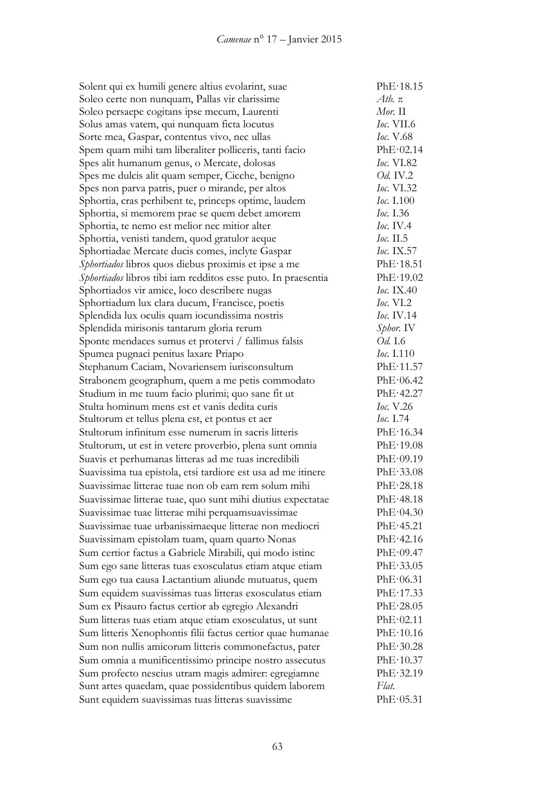Solent qui ex humili genere altius evolarint, suae PhE·18.15 Soleo certe non nunquam, Pallas vir clarissime *Ath.* π Soleo persaepe cogitans ipse mecum, Laurenti *Mor.* II Solus amas vatem, qui nunquam ficta locutus *Ioc.* VII.6 Sorte mea, Gaspar, contentus vivo, nec ullas *Ioc.* V.68 Spem quam mihi tam liberaliter polliceris, tanti facio PhE·02.14 Spes alit humanum genus, o Mercate, dolosas *Ioc.* VI.82 Spes me dulcis alit quam semper, Cicche, benigno *Od.* IV.2 Spes non parva patris, puer o mirande, per altos *Ioc.* VI.32 Sphortia, cras perhibent te, princeps optime, laudem *Ioc.* I.100 Sphortia, si memorem prae se quem debet amorem *Ioc.* I.36 Sphortia, te nemo est melior nec mitior alter *Ioc.* IV.4 Sphortia, venisti tandem, quod gratulor aeque *Ioc.* II.5 Sphortiadae Mercate ducis comes, inclyte Gaspar *Ioc.* IX.57 *Sphortiados* libros quos diebus proximis et ipse a me PhE·18.51 *Sphortiados* libros tibi iam redditos esse puto. In praesentia PhE·19.02 Sphortiados vir amice, loco describere nugas *Ioc.* IX.40 Sphortiadum lux clara ducum, Francisce, poetis *Ioc.* VI.2 Splendida lux oculis quam iocundissima nostris *Ioc.* IV.14 Splendida mirisonis tantarum gloria rerum *Sphor.* IV Sponte mendaces sumus et protervi / fallimus falsis *Od.* I.6 Spumea pugnaci penitus laxare Priapo *Ioc.* I.110 Stephanum Caciam, Novariensem iurisconsultum PhE·11.57 Strabonem geographum, quem a me petis commodato PhE·06.42 Studium in me tuum facio plurimi; quo sane fit ut PhE·42.27 Stulta hominum mens est et vanis dedita curis *Ioc.* V.26 Stultorum et tellus plena est, et pontus et aer *Ioc.* I.74 Stultorum infinitum esse numerum in sacris litteris PhE·16.34 Stultorum, ut est in vetere proverbio, plena sunt omnia PhE·19.08 Suavis et perhumanas litteras ad me tuas incredibili PhE·09.19 Suavissima tua epistola, etsi tardiore est usa ad me itinere PhE·33.08 Suavissimae litterae tuae non ob eam rem solum mihi PhE·28.18 Suavissimae litterae tuae, quo sunt mihi diutius expectatae PhE·48.18 Suavissimae tuae litterae mihi perquamsuavissimae PhE·04.30 Suavissimae tuae urbanissimaeque litterae non mediocri PhE·45.21 Suavissimam epistolam tuam, quam quarto Nonas PhE·42.16 Sum certior factus a Gabriele Mirabili, qui modo istinc PhE·09.47 Sum ego sane litteras tuas exosculatus etiam atque etiam PhE·33.05 Sum ego tua causa Lactantium aliunde mutuatus, quem PhE·06.31 Sum equidem suavissimas tuas litteras exosculatus etiam PhE·17.33 Sum ex Pisauro factus certior ab egregio Alexandri PhE·28.05 Sum litteras tuas etiam atque etiam exosculatus, ut sunt PhE·02.11 Sum litteris Xenophontis filii factus certior quae humanae PhE·10.16 Sum non nullis amicorum litteris commonefactus, pater PhE·30.28 Sum omnia a munificentissimo principe nostro assecutus PhE·10.37 Sum profecto nescius utram magis admirer: egregiamne PhE·32.19 Sunt artes quaedam, quae possidentibus quidem laborem *Flat.* Sunt equidem suavissimas tuas litteras suavissime PhE·05.31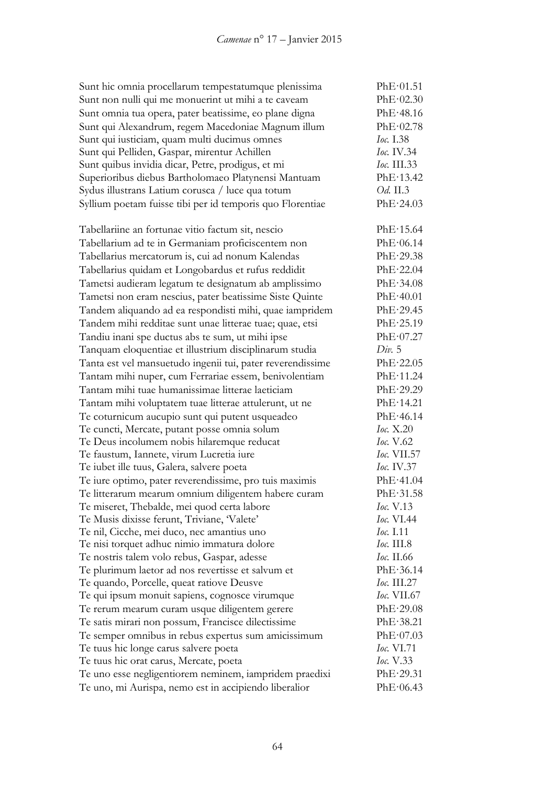| Sunt hic omnia procellarum tempestatumque plenissima                            | PhE·01.51                       |
|---------------------------------------------------------------------------------|---------------------------------|
| Sunt non nulli qui me monuerint ut mihi a te caveam                             | PhE·02.30                       |
| Sunt omnia tua opera, pater beatissime, eo plane digna                          | PhE·48.16                       |
| Sunt qui Alexandrum, regem Macedoniae Magnum illum                              | PhE·02.78                       |
| Sunt qui iusticiam, quam multi ducimus omnes                                    | Ioc. 1.38                       |
| Sunt qui Pelliden, Gaspar, mirentur Achillen                                    | Ioc. IV.34                      |
| Sunt quibus invidia dicar, Petre, prodigus, et mi                               | <i>Ioc.</i> III.33              |
| Superioribus diebus Bartholomaeo Platynensi Mantuam                             | PhE·13.42                       |
| Sydus illustrans Latium corusca / luce qua totum                                | Od. II.3                        |
| Syllium poetam fuisse tibi per id temporis quo Florentiae                       | PhE·24.03                       |
| Tabellariine an fortunae vitio factum sit, nescio                               | PhE·15.64                       |
| Tabellarium ad te in Germaniam proficiscentem non                               | PhE·06.14                       |
| Tabellarius mercatorum is, cui ad nonum Kalendas                                | PhE·29.38                       |
| Tabellarius quidam et Longobardus et rufus reddidit                             | PhE·22.04                       |
| Tametsi audieram legatum te designatum ab amplissimo                            | PhE·34.08                       |
| Tametsi non eram nescius, pater beatissime Siste Quinte                         | PhE·40.01                       |
| Tandem aliquando ad ea respondisti mihi, quae iampridem                         | PhE·29.45                       |
| Tandem mihi redditae sunt unae litterae tuae; quae, etsi                        | PhE·25.19                       |
| Tandiu inani spe ductus abs te sum, ut mihi ipse                                | PhE·07.27                       |
| Tanquam eloquentiae et illustrium disciplinarum studia                          | Div. 5                          |
| Tanta est vel mansuetudo ingenii tui, pater reverendissime                      | PhE·22.05                       |
| Tantam mihi nuper, cum Ferrariae essem, benivolentiam                           | PhE·11.24                       |
| Tantam mihi tuae humanissimae litterae laeticiam                                | PhE·29.29                       |
| Tantam mihi voluptatem tuae litterae attulerunt, ut ne                          | PhE·14.21                       |
| Te coturnicum aucupio sunt qui putent usqueadeo                                 | PhE·46.14                       |
| Te cuncti, Mercate, putant posse omnia solum                                    | Ioc. X.20                       |
| Te Deus incolumem nobis hilaremque reducat                                      | <i>Ioc.</i> V.62                |
| Te faustum, Iannete, virum Lucretia iure                                        | <i>Ioc.</i> VII.57              |
| Te iubet ille tuus, Galera, salvere poeta                                       | <i>Ioc.</i> IV.37               |
| Te iure optimo, pater reverendissime, pro tuis maximis                          | PhE·41.04                       |
| Te litterarum mearum omnium diligentem habere curam                             | PhE·31.58                       |
| Te miseret, Thebalde, mei quod certa labore                                     | Ioc. V.13                       |
| Te Musis dixisse ferunt, Triviane, Valete'                                      | <i>Ioc.</i> VI.44               |
| Te nil, Cicche, mei duco, nec amantius uno                                      | <i>Ioc.</i> I.11                |
| Te nisi torquet adhuc nimio immatura dolore                                     | <i>Ioc.</i> III.8               |
| Te nostris talem volo rebus, Gaspar, adesse                                     | <i>Ioc.</i> II.66               |
| Te plurimum laetor ad nos revertisse et salvum et                               | PhE·36.14                       |
| Te quando, Porcelle, queat ratiove Deusve                                       | <i>Ioc.</i> III.27              |
| Te qui ipsum monuit sapiens, cognosce virumque                                  | <i>Ioc.</i> VII.67<br>PhE·29.08 |
| Te rerum mearum curam usque diligentem gerere                                   |                                 |
| Te satis mirari non possum, Francisce dilectissime                              | PhE·38.21                       |
| Te semper omnibus in rebus expertus sum amicissimum                             | PhE·07.03<br><i>Ioc.</i> VI.71  |
| Te tuus hic longe carus salvere poeta<br>Te tuus hic orat carus, Mercate, poeta | <i>Ioc.</i> V.33                |
| Te uno esse negligentiorem neminem, iampridem praedixi                          | PhE·29.31                       |
| Te uno, mi Aurispa, nemo est in accipiendo liberalior                           | PhE·06.43                       |
|                                                                                 |                                 |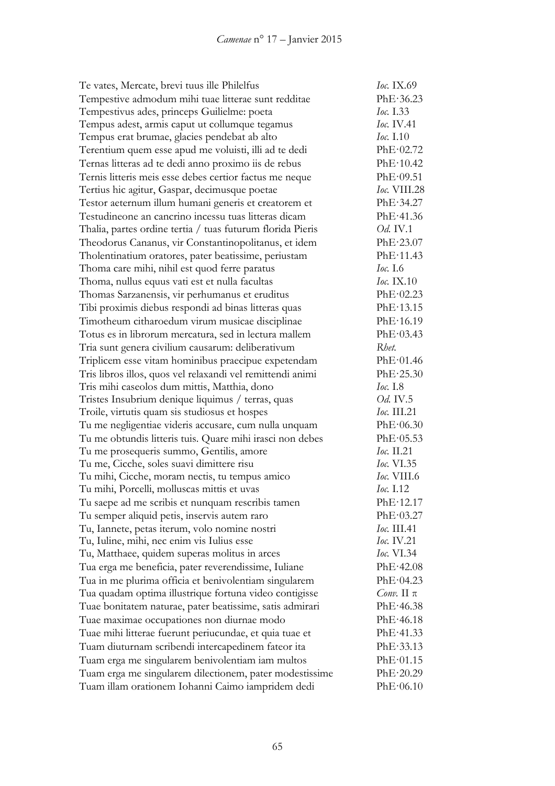| Te vates, Mercate, brevi tuus ille Philelfus               | Ioc. IX.69            |
|------------------------------------------------------------|-----------------------|
| Tempestive admodum mihi tuae litterae sunt redditae        | PhE.36.23             |
| Tempestivus ades, princeps Guilielme: poeta                | <i>Ioc.</i> I.33      |
| Tempus adest, armis caput ut collumque tegamus             | <i>Ioc.</i> IV.41     |
| Tempus erat brumae, glacies pendebat ab alto               | Ioc. I.10             |
| Terentium quem esse apud me voluisti, illi ad te dedi      | PhE·02.72             |
| Ternas litteras ad te dedi anno proximo iis de rebus       | PhE·10.42             |
| Ternis litteris meis esse debes certior factus me neque    | PhE·09.51             |
| Tertius hic agitur, Gaspar, decimusque poetae              | Ioc. VIII.28          |
| Testor aeternum illum humani generis et creatorem et       | PhE·34.27             |
| Testudineone an cancrino incessu tuas litteras dicam       | PhE·41.36             |
| Thalia, partes ordine tertia / tuas futurum florida Pieris | Od. IV.1              |
| Theodorus Cananus, vir Constantinopolitanus, et idem       | PhE·23.07             |
| Tholentinatium oratores, pater beatissime, periustam       | PhE·11.43             |
| Thoma care mihi, nihil est quod ferre paratus              | <i>Ioc.</i> I.6       |
| Thoma, nullus equus vati est et nulla facultas             | $Ioc.$ IX.10          |
| Thomas Sarzanensis, vir perhumanus et eruditus             | PhE·02.23             |
| Tibi proximis diebus respondi ad binas litteras quas       | PhE·13.15             |
| Timotheum citharoedum virum musicae disciplinae            | PhE·16.19             |
| Totus es in librorum mercatura, sed in lectura mallem      | PhE·03.43             |
| Tria sunt genera civilium causarum: deliberativum          | Rhet.                 |
| Triplicem esse vitam hominibus praecipue expetendam        | PhE·01.46             |
| Tris libros illos, quos vel relaxandi vel remittendi animi | PhE·25.30             |
| Tris mihi caseolos dum mittis, Matthia, dono               | Ioc. 1.8              |
| Tristes Insubrium denique liquimus / terras, quas          | <i>Od.</i> IV.5       |
| Troile, virtutis quam sis studiosus et hospes              | Ioc. III.21           |
| Tu me negligentiae videris accusare, cum nulla unquam      | PhE·06.30             |
| Tu me obtundis litteris tuis. Quare mihi irasci non debes  | PhE·05.53             |
| Tu me prosequeris summo, Gentilis, amore                   | Ioc. II.21            |
| Tu me, Cicche, soles suavi dimittere risu                  | <i>Ioc.</i> VI.35     |
| Tu mihi, Cicche, moram nectis, tu tempus amico             | <i>Ioc.</i> VIII.6    |
| Tu mihi, Porcelli, molluscas mittis et uvas                | Ioc. 1.12             |
| Tu saepe ad me scribis et nunquam rescribis tamen          | PhE·12.17             |
| Tu semper aliquid petis, inservis autem raro               | PhE·03.27             |
| Tu, Iannete, petas iterum, volo nomine nostri              | <i>Ioc.</i> III.41    |
| Tu, Iuline, mihi, nec enim vis Iulius esse                 | <i>Ioc.</i> IV.21     |
| Tu, Matthaee, quidem superas molitus in arces              | <i>Ioc.</i> VI.34     |
| Tua erga me beneficia, pater reverendissime, Iuliane       | PhE·42.08             |
| Tua in me plurima officia et benivolentiam singularem      | PhE·04.23             |
| Tua quadam optima illustrique fortuna video contigisse     | <i>Conv.</i> II $\pi$ |
| Tuae bonitatem naturae, pater beatissime, satis admirari   | PhE·46.38             |
| Tuae maximae occupationes non diurnae modo                 | PhE·46.18             |
| Tuae mihi litterae fuerunt periucundae, et quia tuae et    | PhE·41.33             |
| Tuam diuturnam scribendi intercapedinem fateor ita         | PhE·33.13             |
| Tuam erga me singularem benivolentiam iam multos           | PhE·01.15             |
| Tuam erga me singularem dilectionem, pater modestissime    | PhE·20.29             |
| Tuam illam orationem Iohanni Caimo iampridem dedi          | PhE·06.10             |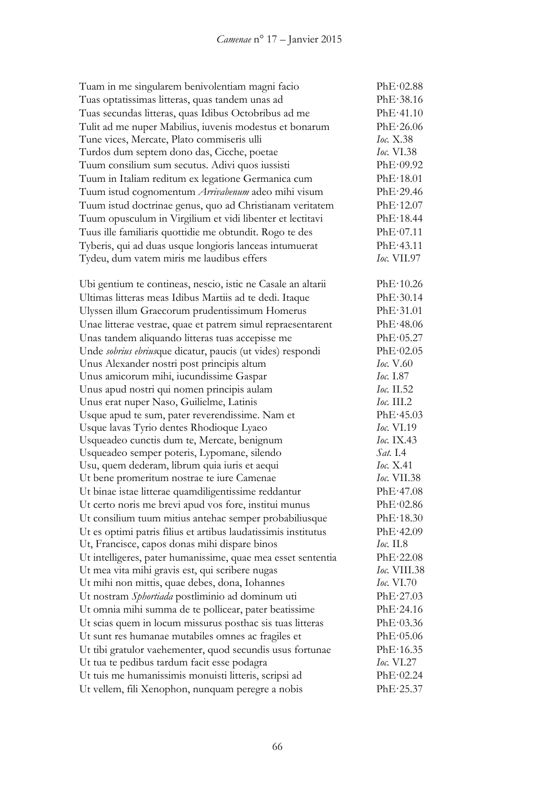| Tuam in me singularem benivolentiam magni facio                | PhE·02.88           |
|----------------------------------------------------------------|---------------------|
| Tuas optatissimas litteras, quas tandem unas ad                | PhE·38.16           |
| Tuas secundas litteras, quas Idibus Octobribus ad me           | PhE·41.10           |
| Tulit ad me nuper Mabilius, iuvenis modestus et bonarum        | PhE·26.06           |
| Tune vices, Mercate, Plato commiseris ulli                     | Ioc. X.38           |
| Turdos dum septem dono das, Cicche, poetae                     | <i>Ioc.</i> VI.38   |
| Tuum consilium sum secutus. Adivi quos iussisti                | PhE·09.92           |
| Tuum in Italiam reditum ex legatione Germanica cum             | PhE·18.01           |
| Tuum istud cognomentum Arrivabenum adeo mihi visum             | PhE·29.46           |
| Tuum istud doctrinae genus, quo ad Christianam veritatem       | PhE·12.07           |
| Tuum opusculum in Virgilium et vidi libenter et lectitavi      | PhE·18.44           |
| Tuus ille familiaris quottidie me obtundit. Rogo te des        | PhE·07.11           |
| Tyberis, qui ad duas usque longioris lanceas intumuerat        | PhE·43.11           |
| Tydeu, dum vatem miris me laudibus effers                      | <i>Ioc.</i> VII.97  |
| Ubi gentium te contineas, nescio, istic ne Casale an altarii   | PhE·10.26           |
| Ultimas litteras meas Idibus Martiis ad te dedi. Itaque        | PhE·30.14           |
| Ulyssen illum Graecorum prudentissimum Homerus                 | PhE·31.01           |
| Unae litterae vestrae, quae et patrem simul repraesentarent    | PhE·48.06           |
| Unas tandem aliquando litteras tuas accepisse me               | PhE·05.27           |
| Unde sobrius ebriusque dicatur, paucis (ut vides) respondi     | PhE·02.05           |
| Unus Alexander nostri post principis altum                     | Ioc. V.60           |
| Unus amicorum mihi, iucundissime Gaspar                        | <i>Ioc.</i> I.87    |
| Unus apud nostri qui nomen principis aulam                     | Ioc. II.52          |
| Unus erat nuper Naso, Guilielme, Latinis                       | $loc.$ III.2        |
| Usque apud te sum, pater reverendissime. Nam et                | PhE·45.03           |
| Usque lavas Tyrio dentes Rhodioque Lyaeo                       | <i>Ioc.</i> VI.19   |
| Usqueadeo cunctis dum te, Mercate, benignum                    | Ioc. IX.43          |
| Usqueadeo semper poteris, Lypomane, silendo                    | <i>Sat.</i> I.4     |
| Usu, quem dederam, librum quia iuris et aequi                  | Ioc. X.41           |
| Ut bene promeritum nostrae te iure Camenae                     | <i>Ioc.</i> VII.38  |
| Ut binae istae litterae quamdiligentissime reddantur           | PhE·47.08           |
| Ut certo noris me brevi apud vos fore, institui munus          | PhE·02.86           |
| Ut consilium tuum mitius antehac semper probabiliusque         | PhE·18.30           |
| Ut es optimi patris filius et artibus laudatissimis institutus | PhE·42.09           |
| Ut, Francisce, capos donas mihi dispare binos                  | <i>Ioc.</i> II.8    |
| Ut intelligeres, pater humanissime, quae mea esset sententia   | PhE·22.08           |
| Ut mea vita mihi gravis est, qui scribere nugas                | <i>Ioc.</i> VIII.38 |
| Ut mihi non mittis, quae debes, dona, Iohannes                 | <i>Ioc.</i> VI.70   |
| Ut nostram Sphortiada postliminio ad dominum uti               | PhE·27.03           |
| Ut omnia mihi summa de te pollicear, pater beatissime          | PhE·24.16           |
| Ut scias quem in locum missurus posthac sis tuas litteras      | PhE·03.36           |
| Ut sunt res humanae mutabiles omnes ac fragiles et             | PhE·05.06           |
| Ut tibi gratulor vaehementer, quod secundis usus fortunae      | PhE·16.35           |
| Ut tua te pedibus tardum facit esse podagra                    | <i>Ioc.</i> $VI.27$ |
| Ut tuis me humanissimis monuisti litteris, scripsi ad          | PhE·02.24           |
| Ut vellem, fili Xenophon, nunquam peregre a nobis              | PhE·25.37           |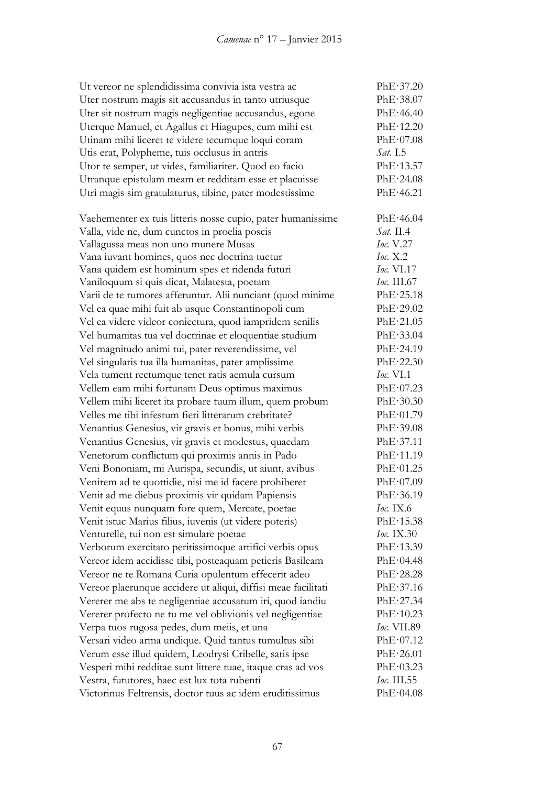| Ut vereor ne splendidissima convivia ista vestra ac           | PhE·37.20          |
|---------------------------------------------------------------|--------------------|
| Uter nostrum magis sit accusandus in tanto utriusque          | PhE·38.07          |
| Uter sit nostrum magis negligentiae accusandus, egone         | PhE·46.40          |
| Uterque Manuel, et Agallus et Hiagupes, cum mihi est          | PhE·12.20          |
| Utinam mihi liceret te videre tecumque loqui coram            | PhE·07.08          |
| Utis erat, Polypheme, tuis occlusus in antris                 | <i>Sat.</i> I.5    |
| Utor te semper, ut vides, familiariter. Quod eo facio         | PhE·13.57          |
| Utranque epistolam meam et redditam esse et placuisse         | PhE·24.08          |
| Utri magis sim gratulaturus, tibine, pater modestissime       | PhE·46.21          |
|                                                               |                    |
| Vaehementer ex tuis litteris nosse cupio, pater humanissime   | PhE·46.04          |
| Valla, vide ne, dum cunctos in proelia poscis                 | Sat. II.4          |
| Vallagussa meas non uno munere Musas                          | Ioc. V.27          |
| Vana iuvant homines, quos nec doctrina tuetur                 | Ioc. $X.2$         |
| Vana quidem est hominum spes et ridenda futuri                | <i>Ioc.</i> VI.17  |
| Vaniloquum si quis dicat, Malatesta, poetam                   | <i>Ioc.</i> III.67 |
| Varii de te rumores afferuntur. Alii nunciant (quod minime    | PhE·25.18          |
| Vel ea quae mihi fuit ab usque Constantinopoli cum            | PhE·29.02          |
| Vel ea videre videor coniectura, quod iampridem senilis       | PhE·21.05          |
| Vel humanitas tua vel doctrinae et eloquentiae studium        | PhE·33.04          |
| Vel magnitudo animi tui, pater reverendissime, vel            | PhE·24.19          |
| Vel singularis tua illa humanitas, pater amplissime           | PhE·22.30          |
| Vela tument rectumque tenet ratis aemula cursum               | <b>Ioc.</b> VI.1   |
| Vellem eam mihi fortunam Deus optimus maximus                 | PhE·07.23          |
| Vellem mihi liceret ita probare tuum illum, quem probum       | PhE·30.30          |
| Velles me tibi infestum fieri litterarum crebritate?          | PhE·01.79          |
| Venantius Genesius, vir gravis et bonus, mihi verbis          | PhE·39.08          |
| Venantius Genesius, vir gravis et modestus, quaedam           | PhE·37.11          |
| Venetorum conflictum qui proximis annis in Pado               | PhE·11.19          |
| Veni Bononiam, mi Aurispa, secundis, ut aiunt, avibus         | PhE·01.25          |
| Venirem ad te quottidie, nisi me id facere prohiberet         | PhE·07.09          |
| Venit ad me diebus proximis vir quidam Papiensis              | PhE·36.19          |
| Venit equus nunquam fore quem, Mercate, poetae                | <i>Ioc.</i> IX.6   |
| Venit istuc Marius filius, iuvenis (ut videre poteris)        | PhE·15.38          |
| Venturelle, tui non est simulare poetae                       | <i>Ioc.</i> IX.30  |
| Verborum exercitato peritissimoque artifici verbis opus       | PhE·13.39          |
| Vereor idem accidisse tibi, posteaquam petieris Basileam      | PhE·04.48          |
| Vereor ne te Romana Curia opulentum effecerit adeo            | PhE·28.28          |
| Vereor plaerunque accidere ut aliqui, diffisi meae facilitati | PhE·37.16          |
| Vererer me abs te negligentiae accusatum iri, quod iandiu     | PhE·27.34          |
| Vererer profecto ne tu me vel oblivionis vel negligentiae     | PhE·10.23          |
| Verpa tuos rugosa pedes, dum meiis, et una                    | <i>Ioc.</i> VII.89 |
| Versari video arma undique. Quid tantus tumultus sibi         | PhE·07.12          |
| Verum esse illud quidem, Leodrysi Cribelle, satis ipse        | PhE·26.01          |
| Vesperi mihi redditae sunt littere tuae, itaque cras ad vos   | PhE·03.23          |
| Vestra, fututores, haec est lux tota rubenti                  | <i>Ioc.</i> III.55 |
| Victorinus Feltrensis, doctor tuus ac idem eruditissimus      | PhE·04.08          |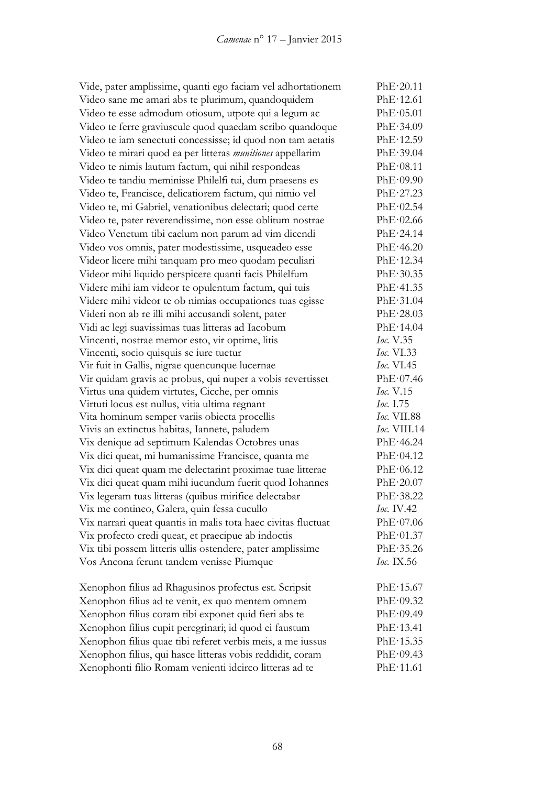| Vide, pater amplissime, quanti ego faciam vel adhortationem   | PhE·20.11          |
|---------------------------------------------------------------|--------------------|
| Video sane me amari abs te plurimum, quandoquidem             | PhE·12.61          |
| Video te esse admodum otiosum, utpote qui a legum ac          | PhE·05.01          |
| Video te ferre graviuscule quod quaedam scribo quandoque      | PhE·34.09          |
| Video te iam senectuti concessisse; id quod non tam aetatis   | PhE·12.59          |
| Video te mirari quod ea per litteras munitiones appellarim    | PhE·39.04          |
| Video te nimis lautum factum, qui nihil respondeas            | PhE·08.11          |
| Video te tandiu meminisse Philelfi tui, dum praesens es       | PhE·09.90          |
| Video te, Francisce, delicatiorem factum, qui nimio vel       | PhE·27.23          |
| Video te, mi Gabriel, venationibus delectari; quod certe      | PhE·02.54          |
| Video te, pater reverendissime, non esse oblitum nostrae      | PhE·02.66          |
| Video Venetum tibi caelum non parum ad vim dicendi            | PhE·24.14          |
| Video vos omnis, pater modestissime, usqueadeo esse           | PhE·46.20          |
| Videor licere mihi tanquam pro meo quodam peculiari           | PhE·12.34          |
| Videor mihi liquido perspicere quanti facis Philelfum         | PhE·30.35          |
| Videre mihi iam videor te opulentum factum, qui tuis          | PhE·41.35          |
| Videre mihi videor te ob nimias occupationes tuas egisse      | PhE·31.04          |
| Videri non ab re illi mihi accusandi solent, pater            | PhE·28.03          |
| Vidi ac legi suavissimas tuas litteras ad Iacobum             | PhE·14.04          |
| Vincenti, nostrae memor esto, vir optime, litis               | Ioc. V.35          |
| Vincenti, socio quisquis se iure tuetur                       | <i>Ioc.</i> VI.33  |
| Vir fuit in Gallis, nigrae quencunque lucernae                | Ioc. VI.45         |
| Vir quidam gravis ac probus, qui nuper a vobis revertisset    | PhE·07.46          |
| Virtus una quidem virtutes, Cicche, per omnis                 | Ioc. V.15          |
| Virtuti locus est nullus, vitia ultima regnant                | Ioc. 1.75          |
| Vita hominum semper variis obiecta procellis                  | <i>Ioc.</i> VII.88 |
| Vivis an extinctus habitas, Iannete, paludem                  | Ioc. VIII.14       |
| Vix denique ad septimum Kalendas Octobres unas                | PhE·46.24          |
| Vix dici queat, mi humanissime Francisce, quanta me           | PhE·04.12          |
| Vix dici queat quam me delectarint proximae tuae litterae     | PhE·06.12          |
| Vix dici queat quam mihi iucundum fuerit quod Iohannes        | PhE·20.07          |
| Vix legeram tuas litteras (quibus mirifice delectabar         | PhE·38.22          |
| Vix me contineo, Galera, quin fessa cucullo                   | <i>Ioc.</i> IV.42  |
| Vix narrari queat quantis in malis tota haec civitas fluctuat | PhE·07.06          |
| Vix profecto credi queat, et praecipue ab indoctis            | PhE·01.37          |
| Vix tibi possem litteris ullis ostendere, pater amplissime    | PhE·35.26          |
| Vos Ancona ferunt tandem venisse Piumque                      | <i>Ioc.</i> IX.56  |
| Xenophon filius ad Rhagusinos profectus est. Scripsit         | PhE·15.67          |
| Xenophon filius ad te venit, ex quo mentem omnem              | PhE·09.32          |
| Xenophon filius coram tibi exponet quid fieri abs te          | PhE·09.49          |
| Xenophon filius cupit peregrinari; id quod ei faustum         | PhE·13.41          |
| Xenophon filius quae tibi referet verbis meis, a me iussus    | PhE·15.35          |
| Xenophon filius, qui hasce litteras vobis reddidit, coram     | PhE·09.43          |
| Xenophonti filio Romam venienti idcirco litteras ad te        | PhE·11.61          |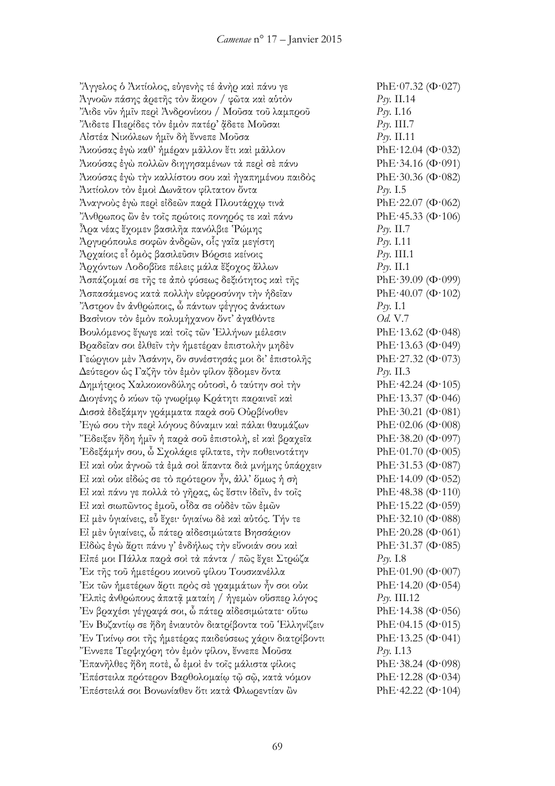"Άγγελος ὁ Ἀκτίολος, εὐγενὴς τέ ἀνὴρ καὶ πάνυ γε PhE·07.32 (Φ·027) Ἀγνοῶν πάσης ἀρετῆς τὸν ἄκρον / φῶτα καὶ αὑτὸν *Psy.* II.14  $\%$ λιδε νῦν ἡμῖν περὶ Ἀνδρονίκου / Μοῦσα τοῦ λαμπροῦ *Psy.* I.16 ᾌδετε Πιερίδες τὸν ἐμὸν πατέρ' ᾄδετε Μοῦσαι *Psy.* III.7 Αἰστέα Νικόλεων ἡμῖν δὴ ἔννεπε Μοῦσα *Psy.* II.11  $\Delta x$ ούσας έγὼ καθ' ήμέραν μᾶλλον ἔτι καὶ μᾶλλον **PhE·12.04** (Φ·032) Άκούσας έγὼ πολλῶν διηγησαμένων τὰ περὶ σὲ πάνυ PhE·34.16 (Φ·091) Άκούσας έγὼ τὴν καλλίστου σου καὶ ἠγαπημένου παιδὸς PhE·30.36 (Φ·082) Ἀκτίολον τὸν ἐμοὶ Δωνᾶτον φίλτατον ὄντα *Psy.* I.5  $\lambda$ ναγνούς έγὼ περὶ εἰδεῶν παρά Πλουτάρχῳ τινὰ PhE·22.07 (Φ·062) "Άνθρωπος ὢν ἐν τοῖς πρώτοις πονηρός τε καὶ πάνυ PhE·45.33 (Φ·106)  $\tilde{A}$ ρα νέας ἔχομεν βασιλῆα πανόλβιε Ῥώμης  $P$ sy. ΙΙ.7 Ἀργυρόπουλε σοφῶν ἀνδρῶν, οἷς γαῖα μεγίστη *Psy.* I.11 Ἀρχαίοις εἶ ὁμὸς βασιλεῦσιν Βόρσιε κείνοις *Psy.* III.1 Ἀρχόντων Λοδοβῖκε πέλεις μάλα ἔξοχος ἄλλων *Psy.* II.1 Άσπάζομαί σε τῆς τε ἀπὸ φύσεως δεξιότητος καὶ τῆς  $PhE·39.09 (Φ·099)$ Άσπασάμενος κατά πολλήν εὐφροσύνην τὴν ἡδεῖαν PhE·40.07 (Φ·102) Ἄστρον ἐν ἀνθρώποις, ὦ πάντων φέ́γγος ἀνάκτων *Psy.* I.1 Βασίνιον τὸν ἐμὸν πολυμήχανον ὄντ᾽ ἀγαθόντε *Od.* V.7 Βουλόμενος ἔγωγε καὶ τοῖς τῶν Ἑλλήνων μέλεσιν PhE·13.62 (Φ·048) Βραδεῖαν σοι ἐλθεῖν τὴν ἡμετέραν ἐπιστολὴν μηδὲν PhE·13.63 (Φ·049) Γεώργιον μὲν Ἀσάνην, ὃν συνέστησάς μοι δι' ἐπιστολῆς  $\rm PhE\text{-}27.32$   $(\Phi\text{-}073)$ Δεύτερον ὡς Γαζῆν τὸν ἐμὸν φίλον ἄδομεν ὄντα *Psy. II.3* Δημήτριος Χαλκοκονδύλης ούτοσὶ, ὁ ταύτην σοὶ τὴν <br>PhE·42.24 (Φ·105) Διογένης ὁ κύων τῷ γνωρίμῳ Κράτητι παραινεῖ καὶ PhE·13.37 (Φ·046) Δισσὰ ἐδεξάμην γράμματα παρὰ σοῦ Οὐρβίνοθεν PhE·30.21 (Φ·081) Έγώ σου την περί λόγους δύναμιν και πάλαι θαυμάζων PhE·02.06 (Φ·008) "Εδειξεν ἤδη ἡμῖν ἡ παρὰ σοῦ ἐπιστολὴ, εἰ καὶ βραχεῖα PhE·38.20 (Φ·097) Έδεξάμήν σου, ὦ Σχολάριε φίλτατε, την ποθεινοτάτην PhE·01.70 (Φ·005) Εἰ καὶ οὐκ ἀγνοῶ τὰ ἐμὰ σοὶ ἅπαντα διὰ μνήμης ὑπάρχειν PhE·31.53 (Φ·087) Εἰ καὶ οὐκ εἰδώς σε τὸ πρότερον ἦν, ἀλλ᾽ ὅμως ἡ σὴ  $\rm PhE·14.09$   $(\Phi·052)$ Εἰ καὶ πάνυ γε πολλά τὸ γῆρας, ὡς ἔστιν ἰδεῖν, ἐν τοῖς  $\rm PhE·48.38$  (Φ·110) Eί καὶ σιωπῶντος ἐμοῦ, οἶδα σε οὐδὲν τῶν ἐμῶν  $PhE·15.22$  (Φ·059) Εἰ μὲν ὑγιαίνεις, εὖ ἔχει· ὑγιαίνω δὲ καὶ αὐτός. Τήν τε PhE·32.10 (Φ·088) Εί μὲν ὑγιαίνεις, ὦ πάτερ αἰδεσιμώτατε Βησσάριον PhE·20.28 (Φ·061) Είδὼς έγὼ ἄρτι πάνυ γ' ἐνδήλως τὴν εὔνοιάν σου καὶ PhE·31.37 (Φ·085) Εἰπέ μοι Πάλλα παρὰ σοὶ τὰ πάντα / πῶς ἔχει Στρώζα *Psy.* I.8 Έκ τῆς τοῦ ἡμετέρου κοινοῦ φίλου Τουσκανέλλα PhE·01.90 (Φ·007) Έκ τῶν ἡμετέρων ἄρτι πρὸς σὲ γραμμάτων ἦν σοι οὐκ PhE·14.20 (Φ·054) Έλπις άνθρώπους άπατῷ ματαίη / ήγεμὼν οὕσπερ λόγος *Psy*. III.12 Ἐν βραχέσι γέγραφά σοι, ὦ πάτερ αἰδεσιμώτατε· οὕτω PhE·14.38 (Φ·056) Έν Βυζαντίω σε ήδη ένιαυτόν διατρίβοντα τοῦ Έλληνίζειν PhE·04.15 (Φ·015) Έν Τικίνω σοι τῆς ἡμετέρας παιδεύσεως γάριν διατρίβοντι PhE·13.25 (Φ·041) Ἔννεπε Τερψιχόρη τὸν ἐμὸν φίλον, ἔννεπε Μοῦσα *Psy.* I.13 Έπανῆλθες ἤδη ποτὲ, ὦ ἐμοὶ ἐν τοῖς μάλιστα φίλοις  $\text{PhE}\cdot 38.24 \text{ }(\Phi\cdot 098)$ 'Επέστειλα πρότερον Βαρθολομαίω τῷ σῷ, κατὰ νόμον PhE·12.28 (Φ·034) Έπέστειλά σοι Βονωνίαθεν δτι κατά Φλωρεντίαν ὢν **PhE·42.22** (Φ·104)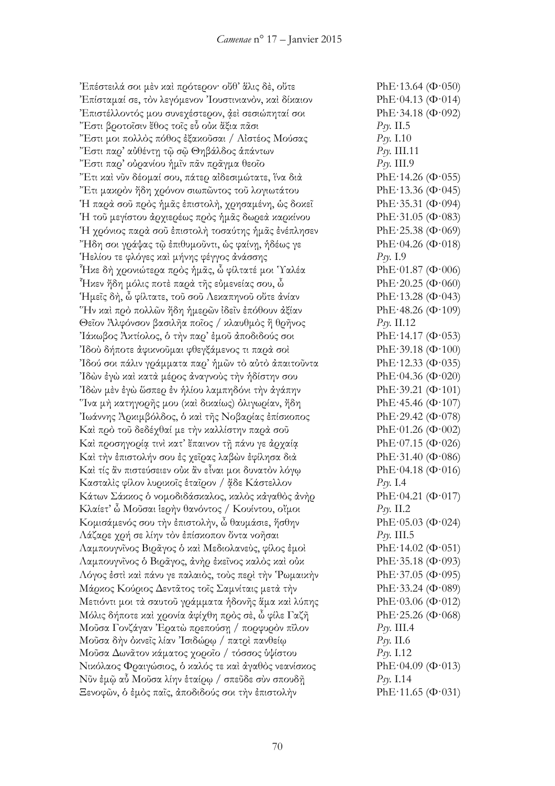Έπέστειλά σοι μὲν καὶ πρότερον· οὔθ᾽ ἅλις δὲ, οὔτε PhE·13.64 (Φ·050) Έπίσταμαί σε, τὸν λεγόμενον Ἰουστινιανὸν, καὶ δίκαιον PhE·04.13 (Φ·014) 'Επιστέλλοντός μου συνεχέστερον, ἀεὶ σεσιώπηταί σοι  $\text{PhE-34.18 (}\Phi\cdot 092)$ Ἔστι βροτοῖσιν ἔθος τοῖς εὖ οὐκ ἄξια πᾶσι *Psy.* II.5 Ἔστι μοι πολλὸς πόθος ἐξακοῦσαι / Αἰστέος Μούσας *Psy.* I.10 Ἔστι παρ' αὐθέντῃ τῷ σῷ Θηβάλδος ἁπάντων *Psy.* III.11 Ἔστι παρ' οὐρανίου ἡμῖν πᾶν πρᾶγμα θεοῖο *Psy.* III.9 Ἔτι καὶ νῦν δέομαί σου, πάτερ αἰδεσιμώτατε, ἵνα διὰ PhE·14.26 (Φ·055) Ἔτι μακρὸν ἤδη χρόνον σιωπῶντος τοῦ λογιωτάτου PhE·13.36 (Φ·045) Ἡ παρὰ σοῦ πρὸς ἡμᾶς ἐπιστολὴ, χρησαμένη, ὡς δοκεῖ PhE·35.31 (Φ·094) Ἡ τοῦ μεγίστου ἀρχιερέως πρὸς ἡμᾶς δωρεὰ καρκίνου PhE·31.05 (Φ·083) Ή χρόνιος παρά σοῦ ἐπιστολή τοσαύτης ἡμᾶς ἐνέπλησεν PhE·25.38 (Φ·069)  $\text{``H\delta}$ η σοι γράψας τῶ ἐπιθυμοῦντι, ὡς φαίνη, ἡδέως γε PhE·04.26 (Φ·018) Ἡελίου τε φλόγες καὶ μήνης φέγγος ἀνάσσης *Psy.* I.9  $\tilde{f}$ Ηκε δὴ χρονιώτερα πρὸς ἡμᾶς, ὦ φίλτατέ μοι Ύαλέα PhE·01.87 (Φ·006)  $\tilde{f}$ Ηκεν ἤδη μόλις ποτὲ παρὰ τῆς εὐμενείας σου, ὦ PhE·20.25 (Φ·060) Ἡμεῖς δὴ, ὦ φίλτατε, τοῦ σοῦ Λεκαπηνοῦ οὔτε ἀνίαν PhE·13.28 (Φ·043) "Ην καὶ πρὸ πολλῶν ἤδη ἡμερῶν ἰδεῖν ἐπόθουν ἀξίαν  $\text{PhE}\cdot 48.26 \ (\Phi\cdot 109)$ Θεῖον Ἀλφόνσον βασιλῆα ποῖος / κλαυθμὸς ἢ θρῆνος *Psy.* II.12 Ίάκωβος Ἀκτίολος, ὁ τὴν πα $\varrho'$  ἐμοῦ ἀποδιδούς σοι PhE·14.17 (Φ·053)  $18$ ού δήποτε άφικνοῦμαι φθεγξάμενος τι παρὰ σοὶ PhE·39.18 (Φ·100) (18ού σοι πάλιν γράμματα παρ' ήμῶν τὸ αὐτὸ ἀπαιτοῦντα PhE·12.33 (Φ·035) 'Ίδὼν ἐγὼ καὶ κατὰ μέρος ἀναγνοὺς τὴν ἡδίστην σου PhE·04.36 (Φ·020)  $18$ ὼν μὲν ἐγὼ ὥσπε $\varrho$  ἐν ἡλίου λαμπηδόνι τὴν ἀγάπην  $\qquad \qquad$ PhE·39.21 (Φ·101) "Ίνα μὴ κατηγορῆς μου (καὶ δικαίως) ὀλιγωρίαν, ἤδη PhE·45.46 (Φ·107) Ίωάννης Ἀρκιμβόλδος, ὁ καὶ τῆς Νοβαρίας ἐπίσκοπος PhE·29.42 (Φ·078) Καὶ πρὸ τοῦ δεδέχθαί με τὴν καλλίστην παρὰ σοῦ PhE·01.26 (Φ·002) Καὶ προσηγορίᾳ τινὶ κατ᾽ ἔπαινον τῇ πάνυ γε ἀρχαίᾳ PhE·07.15 (Φ·026) Καὶ τὴν ἐπιστολήν σου ἐς χεῖρας λαβὼν ἐφίλησα διὰ PhE·31.40 (Φ·086) Καὶ τίς ἂν πιστεύσειεν οὐκ ἂν εἶναι μοι δυνατὸν λόγῳ PhE·04.18 (Φ·016) Κασταλὶς φίλον λυρικοῖς ἑταῖρον / ᾄδε Κάστελλον *Psy.* I.4 Κάτων Σάκκος ὁ νομοδιδάσκαλος, καλὸς κἀγαθὸς ἀνὴρ PhE·04.21 (Φ·017) Κλαίετ' ὦ Μοῦσαι ἱερὴν θανόντος / Κουίντου, οἴμοι *Psy.* II.2 Κομισάμενός σου τὴν ἐπιστολὴν, ὦ θαυμάσιε, ἥσθην  $\rm PhE·05.03$  (Φ·024) Λάζαρε χρή σε λίην τὸν ἐπίσκοπον ὄντα νοῆσαι *Psy. III.5* Λαμπουγνῖνος Βιρᾶγος ὁ καὶ Μεδιολανεὺς, φίλος ἐμοὶ PhE·14.02 (Φ·051) Λαμπουγνῖνος ὁ Βιρᾶγος, ἀνὴρ ἐκεῖνος καλὸς καὶ οὐκ PhE·35.18 (Φ·093) Λόγος έστὶ καὶ πάνυ γε παλαιὸς, τοὺς περὶ τὴν Ῥωμαικὴν PhE·37.05 (Φ·095) Μάρκος Κούριος Δεντᾶτος τοῖς Σαμνίταις μετὰ τὴν PhE·33.24 (Φ·089) Μετιόντι μοι τὰ σαυτοῦ γράμματα ἡδονῆς ἅμα καὶ λύπης PhE·03.06 (Φ·012) Μόλις δήποτε καὶ χρονία ἀφίχθη πρὸς σὲ, ὦ φίλε Γαζῆ PhE·25.26 (Φ·068) Μοῦσα Γονζάγαν Ἐρατὼ πρεπούσῃ / πορφυρὸν πῖλον *Psy.* III.4 Μοῦσα δὴν ὀκνεῖς λίαν Ἰσιδώρῳ / πατρὶ πανθείῳ *Psy.* II.6 Μοῦσα Δωνᾶτον κάματος χοροῖο / τόσσος ὑψίστου *Psy.* I.12 Νικόλαος Φραιγώσιος, ὁ καλός τε καὶ ἀγαθὸς νεανίσκος PhE·04.09 (Φ·013) Νῦν ἐμῷ αὖ Μοῦσα λίην ἑταίρῳ / σπεῦδε σὺν σπουδῇ *Psy.* I.14 Ξενοφῶν, ὁ ἐμὸς παῖς, ἀποδιδούς σοι τὴν ἐπιστολὴν PhE·11.65 (Φ·031)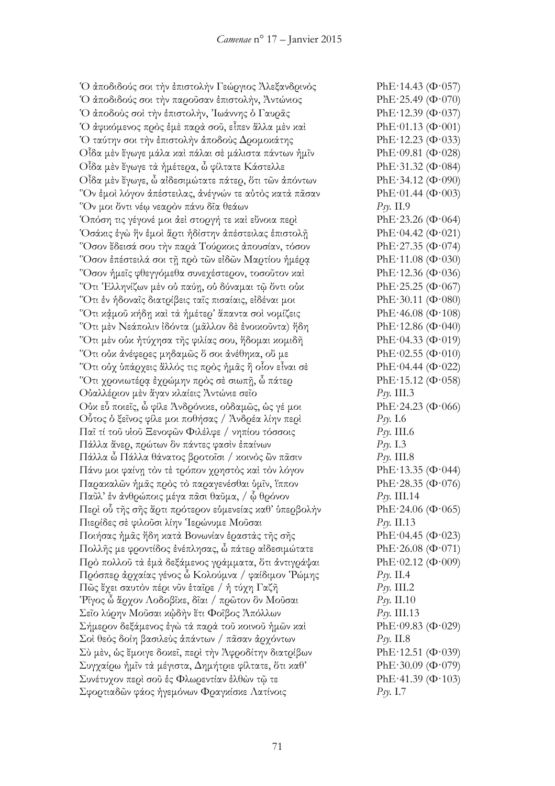Ὁ ἀποδιδούς σοι τὴν ἐπιστολὴν Γεώργιος Ἀλεξανδρινὸς PhE·14.43 (Φ·057) Ό άποδιδούς σοι την παροῦσαν ἐπιστολήν, Ἀντώνιος  $\qquad \qquad$ PhE·25.49 (Φ·070) Ό άποδούς σοὶ τὴν ἐπιστολὴν, Ἰωάννης ὁ Γαυρᾶς  $\rm PhE·12.39$  (Φ·037) Ὁ ἀφικόμενος πρὸς ἐμὲ παρὰ σοῦ, εἶπεν ἄλλα μὲν καὶ PhE·01.13 (Φ·001) Ό ταύτην σοι την έπιστολήν άποδούς Δρομοκάτης PhE·12.23 (Φ·033) Οἶδα μὲν ἔγωγε μάλα καὶ πάλαι σὲ μάλιστα πάντων ἡμῖν PhE·09.81 (Φ·028)  $O$ ἶδα μὲν ἔγωγε τὰ ἡμέτερα, ὦ φίλτατε Κάστελλε PhE·31.32 (Φ·084) Οἶδα μὲν ἔγωγε, ὦ αἰδεσιμώτατε πάτερ, ὅτι τῶν ἀπόντων PhE·34.12 (Φ·090) "Ον έμοι λόγον απέστειλας, ανέγνών τε αὐτὸς κατὰ πᾶσαν PhE·01.44 (Φ·003) Ὅν μοι ὄντι νέῳ νεαρὸν πάνυ δῖα θεάων *Psy.* II.9 Ὁπόση τις γέγονέ μοι ἀεὶ στοργή τε καὶ εὔνοια περὶ PhE·23.26 (Φ·064) Ὁσάκις ἐγὼ ἣν ἐμοὶ ἄρτι ἡδίστην ἀπέστειλας ἐπιστολῇ PhE·04.42 (Φ·021) "Όσον ἔδεισά σου τὴν παρὰ Τούρκοις ἀπουσίαν, τόσον PhE·27.35 (Φ·074) "Όσον ἐπέστειλά σοι τῆ πρὸ τῶν εἰδῶν Μαρτίου ἡμέρα  $PhE·11.08$  (Φ·030) Ὅσον ἡμεῖς φθεγγόμεθα συνεχέστερον, τοσοῦτον καὶ PhE·12.36 (Φ·036) "Ότι Έλληνίζων μὲν οὐ παύη, οὐ δύναμαι τῷ ὄντι οὐκ PhE·25.25 (Φ·067) Ὅτι ἐν ἡδοναῖς διατρίβεις ταῖς πισαίαις, εἰδέναι μοι PhE·30.11 (Φ·080) "Ότι κάμοῦ κήδῃ καὶ τὰ ἡμέτερ' ἅπαντα σοὶ νομίζεις  $\rm PhE·46.08$  (Φ·108) Ὅτι μὲν Νεάπολιν ἰδόντα (μᾶλλον δὲ ἐνοικοῦντα) ἤδη PhE·12.86 (Φ·040) Ὅτι μὲν οὐκ ἠτύχησα τῆς φιλίας σου, ἥδομαι κομιδῆ PhE·04.33 (Φ·019) Ότι ούκ άνέφερες μηδαμῶς δ σοι άνέθηκα, οὔ με PhE·02.55 (Φ·010) Ὅτι οὐχ ὑπάρχεις ἄλλός τις πρὸς ἡμᾶς ἢ οἷον εἶναι σὲ PhE·04.44 (Φ·022) "Ότι χρονιωτέρα ἐχρώμην πρὸς σὲ σιωπῆ, ὦ πάτερ  $\rm PhE\cdot15.12~(\Phi\cdot058)$ Οὐαλλέριον μὲν ἄγαν κλαίεις Ἀντώνιε σεῖο *Psy.* III.3 Οὐκ εὖ ποιεῖς, ὦ φίλε Ἀνδρόνικε, οὐδαμῶς, ὡς γέ μοι PhE·24.23 (Φ·066) Οὗτος ὁ ξεῖνος φίλε μοι ποθήσας / Ἀνδρέα λίην περὶ *Psy.* I.6 Παῖ τί τοῦ υἱοῦ Ξενοφῶν Φιλέλφε / νηπίου τόσσοις *Psy.* III.6 Πάλλα ἄνερ, πρώτων ὃν πάντες φασὶν ἐπαίνων *Psy.* I.3 Πάλλα ὦ Πάλλα θάνατος βροτοῖσι / κοινὸς ὢν πᾶσιν *Psy.* III.8 Πάνυ μοι φαίνῃ τὸν τὲ τρόπον χρηστὸς καὶ τὸν λόγον PhE·13.35 (Φ·044) Παρακαλῶν ἡμᾶς πρὸς τὸ παραγενέσθαι ὑμῖν, ἵππον PhE·28.35 (Φ·076) Παῦλ' ἐν ἀνθρώποις μέγα πᾶσι θαῦμα, / ᾧ θρόνον *Psy.* III.14 Περὶ οὗ τῆς σῆς ἄρτι πρότερον εὐμενείας καθ᾽ ὑπερβολὴν PhE·24.06 (Φ·065) Πιερίδες σὲ φιλοῦσι λίην Ἱερώνυμε Μοῦσαι *Psy.* II.13 Ποιήσας ήμᾶς ἤδη κατά Βονωνίαν ἐραστὰς τῆς σῆς PhE·04.45 (Φ·023) Πολλῆς με φροντίδος ἐνέπλησας, ὦ πάτερ αἰδεσιμώτατε PhE·26.08 (Φ·071) Πρὸ πολλοῦ τὰ ἐμὰ δεξάμενος γράμματα, ὅτι ἀντιγράψαι PhE·02.12 (Φ·009) Πρόσπερ ἀρχαίας γένος ὦ Κολούμνα / φαίδιμον Ῥώμης *Psy.* II.4 Πῶς ἔχει σαυτὸν πέρι νῦν ἑταῖρε / ἡ τύχη Γαζῆ *Psy.* III.2 Ῥῖγος ὦ ἄρχον Λοδοβῖκε, δῖαι / πρῶτον ὃν Μοῦσαι *Psy.* II.10  $\Sigma$ εῖο λύ $\Omega$ ην Μοῦσαι κ $\phi$ δὴν ἔτι Φοῖβος Ἀπόλλων *Psy.* III.13 Σήμερον δεξάμενος ἐγὼ τὰ παρὰ τοῦ κοινοῦ ἡμῶν καὶ PhE·09.83 (Φ·029) Σοὶ θεὸς δοίη βασιλεὺς ἁπάντων / πᾶσαν ἀρχόντων *Psy.* II.8 Σύ μὲν, ὡς ἔμοιγε δοκεῖ, περὶ τὴν Ἀφροδίτην διατρίβων PhE·12.51 (Φ·039) Συγχαίρω ἡμῖν τὰ μέγιστα, Δημήτριε φίλτατε, ὅτι καθ᾽ PhE·30.09 (Φ·079) Συνέτυχον περὶ σοῦ ἐς Φλωρεντίαν ἐλθὼν τῷ τε PhE·41.39 (Φ·103) Σφορτιαδῶν φάος ἡγεμόνων Φραγκίσκε Λατίνοις *Psy.* I.7